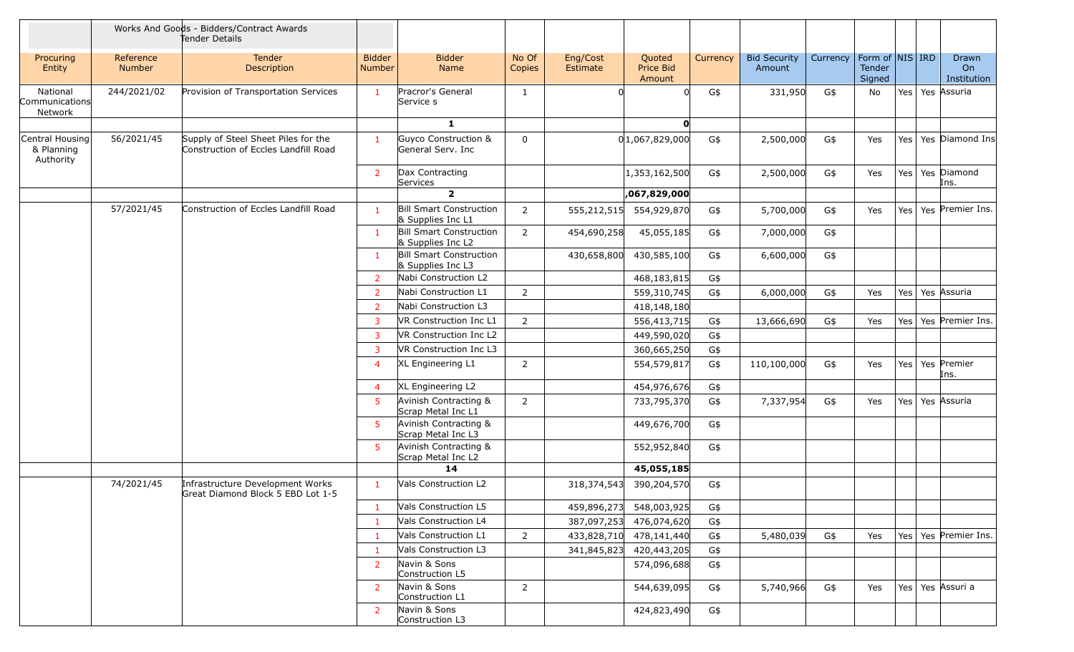|                                            |                            | Works And Goods - Bidders/Contract Awards<br>Tender Details                 |                                |                                                     |                 |                                                       |          |                               |          |                                         |         |                            |
|--------------------------------------------|----------------------------|-----------------------------------------------------------------------------|--------------------------------|-----------------------------------------------------|-----------------|-------------------------------------------------------|----------|-------------------------------|----------|-----------------------------------------|---------|----------------------------|
| Procuring<br>Entity                        | Reference<br><b>Number</b> | Tender<br>Description                                                       | <b>Bidder</b><br><b>Number</b> | <b>Bidder</b><br>Name                               | No Of<br>Copies | Eng/Cost<br>Quoted<br>Estimate<br>Price Bid<br>Amount | Currency | <b>Bid Security</b><br>Amount | Currency | Form of   NIS   IRD<br>Tender<br>Signed |         | Drawn<br>On<br>Institution |
| National<br>Communications<br>Network      | 244/2021/02                | Provision of Transportation Services                                        | $\mathbf{1}$                   | Pracror's General<br>Service s                      | $\mathbf{1}$    |                                                       | G\$      | 331,950                       | G\$      | No                                      |         | Yes   Yes   Assuria        |
|                                            |                            |                                                                             |                                | $\mathbf{1}$                                        |                 | $\mathbf{0}$                                          |          |                               |          |                                         |         |                            |
| Central Housing<br>& Planning<br>Authority | 56/2021/45                 | Supply of Steel Sheet Piles for the<br>Construction of Eccles Landfill Road | $\mathbf{1}$                   | Guyco Construction &<br>General Serv. Inc           | 0               | 0 1,067,829,000                                       | G\$      | 2,500,000                     | G\$      | Yes                                     |         | Yes   Yes   Diamond Ins    |
|                                            |                            |                                                                             | 2                              | Dax Contracting<br>Services                         |                 | 1,353,162,500                                         | G\$      | 2,500,000                     | G\$      | Yes                                     | Yes     | Yes Diamond<br>Ins.        |
|                                            |                            |                                                                             |                                | $\overline{2}$                                      |                 | ,067,829,000                                          |          |                               |          |                                         |         |                            |
|                                            | 57/2021/45                 | Construction of Eccles Landfill Road                                        | $\mathbf{1}$                   | <b>Bill Smart Construction</b><br>& Supplies Inc L1 | $\overline{2}$  | 555,212,515<br>554,929,870                            | G\$      | 5,700,000                     | G\$      | Yes                                     | Yes     | Yes Premier Ins.           |
|                                            |                            |                                                                             | $\mathbf{1}$                   | <b>Bill Smart Construction</b><br>& Supplies Inc L2 | $\overline{2}$  | 45,055,185<br>454,690,258                             | G\$      | 7,000,000                     | G\$      |                                         |         |                            |
|                                            |                            |                                                                             | 1                              | <b>Bill Smart Construction</b><br>& Supplies Inc L3 |                 | 430,585,100<br>430,658,800                            | G\$      | 6,600,000                     | G\$      |                                         |         |                            |
|                                            |                            |                                                                             | $\overline{2}$                 | Nabi Construction L2                                |                 | 468,183,815                                           | G\$      |                               |          |                                         |         |                            |
|                                            |                            |                                                                             | 2                              | Nabi Construction L1                                | 2               | 559,310,745                                           | G\$      | 6,000,000                     | G\$      | Yes                                     | Yes     | Yes Assuria                |
|                                            |                            |                                                                             | $\overline{2}$                 | Nabi Construction L3                                |                 | 418,148,180                                           |          |                               |          |                                         |         |                            |
|                                            |                            |                                                                             | 3                              | VR Construction Inc L1                              | $\overline{2}$  | 556,413,715                                           | G\$      | 13,666,690                    | G\$      | Yes                                     | Yes     | Yes Premier Ins.           |
|                                            |                            |                                                                             | 3                              | VR Construction Inc L2                              |                 | 449,590,020                                           | G\$      |                               |          |                                         |         |                            |
|                                            |                            |                                                                             | $\overline{3}$                 | VR Construction Inc L3                              |                 | 360,665,250                                           | G\$      |                               |          |                                         |         |                            |
|                                            |                            |                                                                             | $\overline{4}$                 | XL Engineering L1                                   | 2               | 554,579,817                                           | G\$      | 110,100,000                   | G\$      | Yes                                     | Yes     | Yes Premier<br>Ins.        |
|                                            |                            |                                                                             | $\overline{4}$                 | XL Engineering L2                                   |                 | 454,976,676                                           | G\$      |                               |          |                                         |         |                            |
|                                            |                            |                                                                             | 5                              | Avinish Contracting &<br>Scrap Metal Inc L1         | $\overline{2}$  | 733,795,370                                           | G\$      | 7,337,954                     | G\$      | Yes                                     | Yes $ $ | Yes Assuria                |
|                                            |                            |                                                                             | -5                             | Avinish Contracting &<br>Scrap Metal Inc L3         |                 | 449,676,700                                           | G\$      |                               |          |                                         |         |                            |
|                                            |                            |                                                                             | $5^{\circ}$                    | Avinish Contracting &<br>Scrap Metal Inc L2         |                 | 552,952,840                                           | G\$      |                               |          |                                         |         |                            |
|                                            |                            |                                                                             |                                | 14                                                  |                 | 45,055,185                                            |          |                               |          |                                         |         |                            |
|                                            | 74/2021/45                 | Infrastructure Development Works<br>Great Diamond Block 5 EBD Lot 1-5       | $\mathbf{1}$                   | Vals Construction L2                                |                 | 318, 374, 543<br>390,204,570                          | G\$      |                               |          |                                         |         |                            |
|                                            |                            |                                                                             | $\mathbf{1}$                   | Vals Construction L5                                |                 | 459,896,273<br>548,003,925                            | G\$      |                               |          |                                         |         |                            |
|                                            |                            |                                                                             | $\mathbf{1}$                   | Vals Construction L4                                |                 | 476,074,620<br>387,097,253                            | G\$      |                               |          |                                         |         |                            |
|                                            |                            |                                                                             | -1                             | Vals Construction L1                                | $\overline{2}$  | 433,828,710<br>478,141,440                            | G\$      | 5,480,039                     | G\$      | Yes                                     |         | Yes   Yes   Premier Ins.   |
|                                            |                            |                                                                             | 1                              | Vals Construction L3                                |                 | 420,443,205<br>341,845,823                            | G\$      |                               |          |                                         |         |                            |
|                                            |                            |                                                                             | 2                              | Navin & Sons<br>Construction L5                     |                 | 574,096,688                                           | G\$      |                               |          |                                         |         |                            |
|                                            |                            |                                                                             | $\overline{2}$                 | Navin & Sons<br>Construction L1                     | $\overline{2}$  | 544,639,095                                           | G\$      | 5,740,966                     | G\$      | Yes                                     |         | Yes   Yes   Assuri a       |
|                                            |                            |                                                                             | $\overline{2}$                 | Navin & Sons<br>Construction L3                     |                 | 424,823,490                                           | G\$      |                               |          |                                         |         |                            |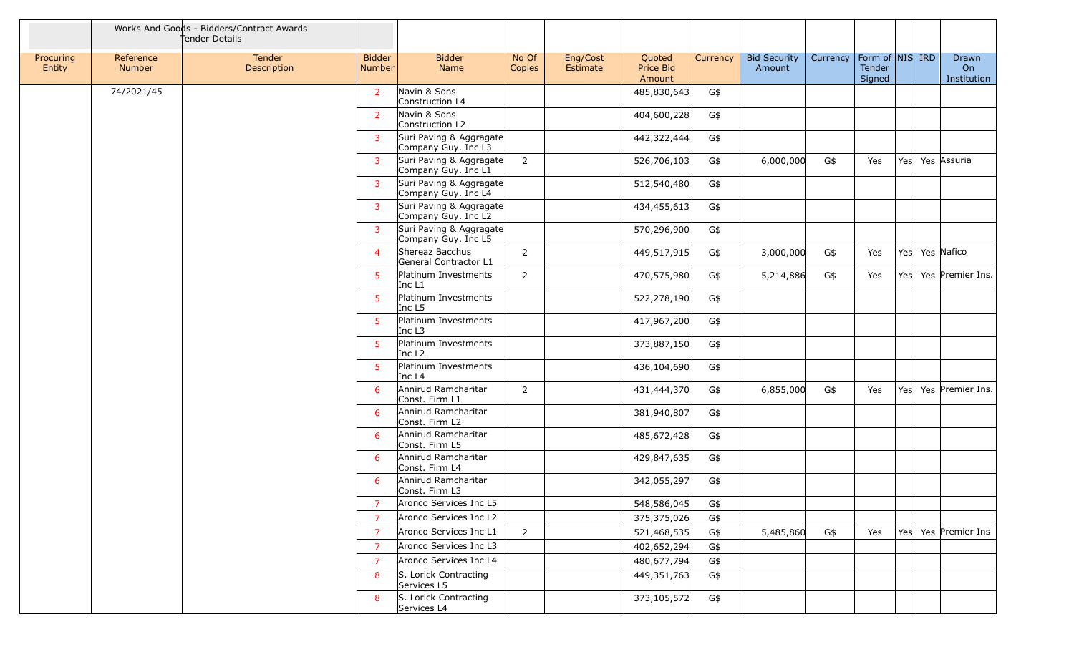|                     |                            | Works And Goods - Bidders/Contract Awards<br>Tender Details |                                |                                                |                 |                      |                               |          |                               |                                |                  |                     |                            |
|---------------------|----------------------------|-------------------------------------------------------------|--------------------------------|------------------------------------------------|-----------------|----------------------|-------------------------------|----------|-------------------------------|--------------------------------|------------------|---------------------|----------------------------|
| Procuring<br>Entity | Reference<br><b>Number</b> | Tender<br>Description                                       | <b>Bidder</b><br><b>Number</b> | <b>Bidder</b><br><b>Name</b>                   | No Of<br>Copies | Eng/Cost<br>Estimate | Quoted<br>Price Bid<br>Amount | Currency | <b>Bid Security</b><br>Amount | Currency   Form of   NIS   IRD | Tender<br>Signed |                     | Drawn<br>On<br>Institution |
|                     | 74/2021/45                 |                                                             | $\overline{2}$                 | Navin & Sons<br>Construction L4                |                 |                      | 485,830,643                   | G\$      |                               |                                |                  |                     |                            |
|                     |                            |                                                             | $\overline{2}$                 | Navin & Sons<br>Construction L2                |                 |                      | 404,600,228                   | G\$      |                               |                                |                  |                     |                            |
|                     |                            |                                                             | 3                              | Suri Paving & Aggragate<br>Company Guy. Inc L3 |                 |                      | 442,322,444                   | G\$      |                               |                                |                  |                     |                            |
|                     |                            |                                                             | 3                              | Suri Paving & Aggragate<br>Company Guy. Inc L1 | $\overline{2}$  |                      | 526,706,103                   | G\$      | 6,000,000                     | G\$                            | Yes              | Yes   Yes   Assuria |                            |
|                     |                            |                                                             | $\overline{3}$                 | Suri Paving & Aggragate<br>Company Guy. Inc L4 |                 |                      | 512,540,480                   | G\$      |                               |                                |                  |                     |                            |
|                     |                            |                                                             | 3                              | Suri Paving & Aggragate<br>Company Guy. Inc L2 |                 |                      | 434,455,613                   | G\$      |                               |                                |                  |                     |                            |
|                     |                            |                                                             | 3                              | Suri Paving & Aggragate<br>Company Guy. Inc L5 |                 |                      | 570,296,900                   | G\$      |                               |                                |                  |                     |                            |
|                     |                            |                                                             | $\overline{4}$                 | Shereaz Bacchus<br>General Contractor L1       | $\overline{2}$  |                      | 449,517,915                   | G\$      | 3,000,000                     | G\$                            | Yes              | Yes   Yes   Nafico  |                            |
|                     |                            |                                                             | $5^{\circ}$                    | Platinum Investments<br>Inc L1                 | $\overline{2}$  |                      | 470,575,980                   | G\$      | 5,214,886                     | G\$                            | Yes              | Yes                 | Yes Premier Ins.           |
|                     |                            |                                                             | $5^{\circ}$                    | Platinum Investments<br>Inc L <sub>5</sub>     |                 |                      | 522,278,190                   | G\$      |                               |                                |                  |                     |                            |
|                     |                            |                                                             | $5^{\circ}$                    | Platinum Investments<br>Inc $L3$               |                 |                      | 417,967,200                   | G\$      |                               |                                |                  |                     |                            |
|                     |                            |                                                             | $5^{\circ}$                    | Platinum Investments<br>Inc L <sub>2</sub>     |                 |                      | 373,887,150                   | G\$      |                               |                                |                  |                     |                            |
|                     |                            |                                                             | $5^{\circ}$                    | Platinum Investments<br>Inc L <sub>4</sub>     |                 |                      | 436,104,690                   | G\$      |                               |                                |                  |                     |                            |
|                     |                            |                                                             | 6                              | Annirud Ramcharitar<br>Const. Firm L1          | $\overline{2}$  |                      | 431,444,370                   | G\$      | 6,855,000                     | G\$                            | Yes              |                     | Yes   Yes   Premier Ins.   |
|                     |                            |                                                             | 6                              | Annirud Ramcharitar<br>Const. Firm L2          |                 |                      | 381,940,807                   | G\$      |                               |                                |                  |                     |                            |
|                     |                            |                                                             | 6                              | Annirud Ramcharitar<br>Const. Firm L5          |                 |                      | 485,672,428                   | G\$      |                               |                                |                  |                     |                            |
|                     |                            |                                                             | 6                              | Annirud Ramcharitar<br>Const. Firm L4          |                 |                      | 429,847,635                   | G\$      |                               |                                |                  |                     |                            |
|                     |                            |                                                             | 6                              | Annirud Ramcharitar<br>Const. Firm L3          |                 |                      | 342,055,297                   | G\$      |                               |                                |                  |                     |                            |
|                     |                            |                                                             | $\overline{7}$                 | Aronco Services Inc L5                         |                 |                      | 548,586,045                   | G\$      |                               |                                |                  |                     |                            |
|                     |                            |                                                             | $\overline{7}$                 | Aronco Services Inc L2                         |                 |                      | 375,375,026                   | G\$      |                               |                                |                  |                     |                            |
|                     |                            |                                                             | $\overline{7}$                 | Aronco Services Inc L1                         | $\overline{2}$  |                      | 521,468,535                   | G\$      | 5,485,860                     | G\$                            | Yes              |                     | Yes   Yes   Premier Ins    |
|                     |                            |                                                             | $\overline{7}$                 | Aronco Services Inc L3                         |                 |                      | 402,652,294                   | G\$      |                               |                                |                  |                     |                            |
|                     |                            |                                                             | $\overline{7}$                 | Aronco Services Inc L4                         |                 |                      | 480,677,794                   | G\$      |                               |                                |                  |                     |                            |
|                     |                            |                                                             | 8                              | S. Lorick Contracting<br>Services L5           |                 |                      | 449,351,763                   | G\$      |                               |                                |                  |                     |                            |
|                     |                            |                                                             | 8                              | S. Lorick Contracting<br>Services L4           |                 |                      | 373,105,572                   | G\$      |                               |                                |                  |                     |                            |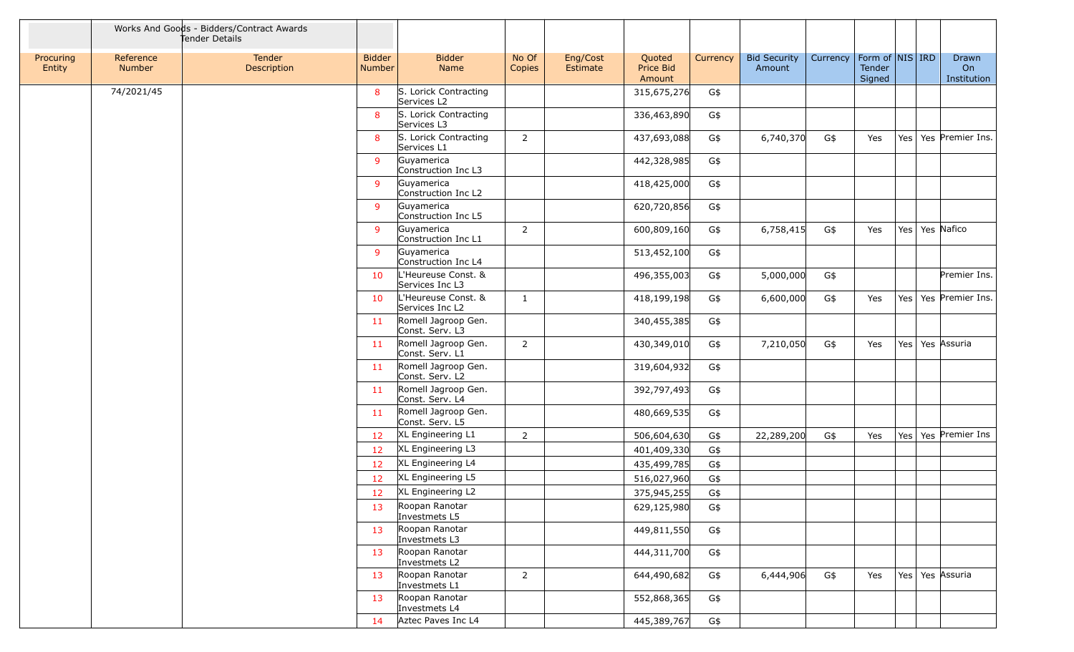|                     |                     | Works And Goods - Bidders/Contract Awards<br>Tender Details |                         |                                        |                 |                      |                               |          |                               |          |                                                     |     |                            |  |
|---------------------|---------------------|-------------------------------------------------------------|-------------------------|----------------------------------------|-----------------|----------------------|-------------------------------|----------|-------------------------------|----------|-----------------------------------------------------|-----|----------------------------|--|
| Procuring<br>Entity | Reference<br>Number | Tender<br>Description                                       | <b>Bidder</b><br>Number | <b>Bidder</b><br>Name                  | No Of<br>Copies | Eng/Cost<br>Estimate | Quoted<br>Price Bid<br>Amount | Currency | <b>Bid Security</b><br>Amount | Currency | Form of $\vert$ NIS $\vert$ IRD<br>Tender<br>Signed |     | Drawn<br>On<br>Institution |  |
|                     | 74/2021/45          |                                                             | 8                       | S. Lorick Contracting<br>Services L2   |                 |                      | 315,675,276                   | G\$      |                               |          |                                                     |     |                            |  |
|                     |                     |                                                             | 8                       | S. Lorick Contracting<br>Services L3   |                 |                      | 336,463,890                   | G\$      |                               |          |                                                     |     |                            |  |
|                     |                     |                                                             | 8                       | S. Lorick Contracting<br>Services L1   | $\overline{2}$  |                      | 437,693,088                   | G\$      | 6,740,370                     | G\$      | Yes                                                 | Yes | Yes Premier Ins.           |  |
|                     |                     |                                                             | 9                       | Guyamerica<br>Construction Inc L3      |                 |                      | 442,328,985                   | G\$      |                               |          |                                                     |     |                            |  |
|                     |                     |                                                             | 9                       | Guyamerica<br>Construction Inc L2      |                 |                      | 418,425,000                   | G\$      |                               |          |                                                     |     |                            |  |
|                     |                     |                                                             | 9                       | Guyamerica<br>Construction Inc L5      |                 |                      | 620,720,856                   | G\$      |                               |          |                                                     |     |                            |  |
|                     |                     |                                                             | 9                       | Guyamerica<br>Construction Inc L1      | $\overline{2}$  |                      | 600,809,160                   | G\$      | 6,758,415                     | G\$      | Yes                                                 | Yes | Yes Nafico                 |  |
|                     |                     |                                                             | 9                       | Guyamerica<br>Construction Inc L4      |                 |                      | 513,452,100                   | G\$      |                               |          |                                                     |     |                            |  |
|                     |                     |                                                             | 10                      | L'Heureuse Const. &<br>Services Inc L3 |                 |                      | 496,355,003                   | G\$      | 5,000,000                     | G\$      |                                                     |     | Premier Ins.               |  |
|                     |                     |                                                             | 10                      | L'Heureuse Const. &<br>Services Inc L2 | 1               |                      | 418,199,198                   | G\$      | 6,600,000                     | G\$      | Yes                                                 |     | Yes   Yes   Premier Ins.   |  |
|                     |                     |                                                             | 11                      | Romell Jagroop Gen.<br>Const. Serv. L3 |                 |                      | 340,455,385                   | G\$      |                               |          |                                                     |     |                            |  |
|                     |                     |                                                             | 11                      | Romell Jagroop Gen.<br>Const. Serv. L1 | $\overline{2}$  |                      | 430,349,010                   | G\$      | 7,210,050                     | G\$      | Yes                                                 |     | Yes   Yes   Assuria        |  |
|                     |                     |                                                             | 11                      | Romell Jagroop Gen.<br>Const. Serv. L2 |                 |                      | 319,604,932                   | G\$      |                               |          |                                                     |     |                            |  |
|                     |                     |                                                             | 11                      | Romell Jagroop Gen.<br>Const. Serv. L4 |                 |                      | 392,797,493                   | G\$      |                               |          |                                                     |     |                            |  |
|                     |                     |                                                             | 11                      | Romell Jagroop Gen.<br>Const. Serv. L5 |                 |                      | 480,669,535                   | G\$      |                               |          |                                                     |     |                            |  |
|                     |                     |                                                             | 12                      | XL Engineering L1                      | 2               |                      | 506,604,630                   | G\$      | 22,289,200                    | G\$      | Yes                                                 | Yes | Yes Premier Ins            |  |
|                     |                     |                                                             | 12                      | XL Engineering L3                      |                 |                      | 401,409,330                   | G\$      |                               |          |                                                     |     |                            |  |
|                     |                     |                                                             | 12                      | XL Engineering L4                      |                 |                      | 435,499,785                   | G\$      |                               |          |                                                     |     |                            |  |
|                     |                     |                                                             | 12                      | XL Engineering L5                      |                 |                      | 516,027,960                   | G\$      |                               |          |                                                     |     |                            |  |
|                     |                     |                                                             | 12                      | XL Engineering L2                      |                 |                      | 375,945,255                   | G\$      |                               |          |                                                     |     |                            |  |
|                     |                     |                                                             | 13                      | Roopan Ranotar<br>Investmets L5        |                 |                      | 629,125,980                   | G\$      |                               |          |                                                     |     |                            |  |
|                     |                     |                                                             | 13                      | Roopan Ranotar<br>Investmets L3        |                 |                      | 449,811,550                   | G\$      |                               |          |                                                     |     |                            |  |
|                     |                     |                                                             | 13                      | Roopan Ranotar<br>Investmets L2        |                 |                      | 444,311,700                   | G\$      |                               |          |                                                     |     |                            |  |
|                     |                     |                                                             | 13                      | Roopan Ranotar<br>Investmets L1        | $\overline{2}$  |                      | 644,490,682                   | G\$      | 6,444,906                     | G\$      | Yes                                                 |     | Yes   Yes   Assuria        |  |
|                     |                     |                                                             | 13                      | Roopan Ranotar<br>Investmets L4        |                 |                      | 552,868,365                   | G\$      |                               |          |                                                     |     |                            |  |
|                     |                     |                                                             | 14                      | Aztec Paves Inc L4                     |                 |                      | 445,389,767                   | G\$      |                               |          |                                                     |     |                            |  |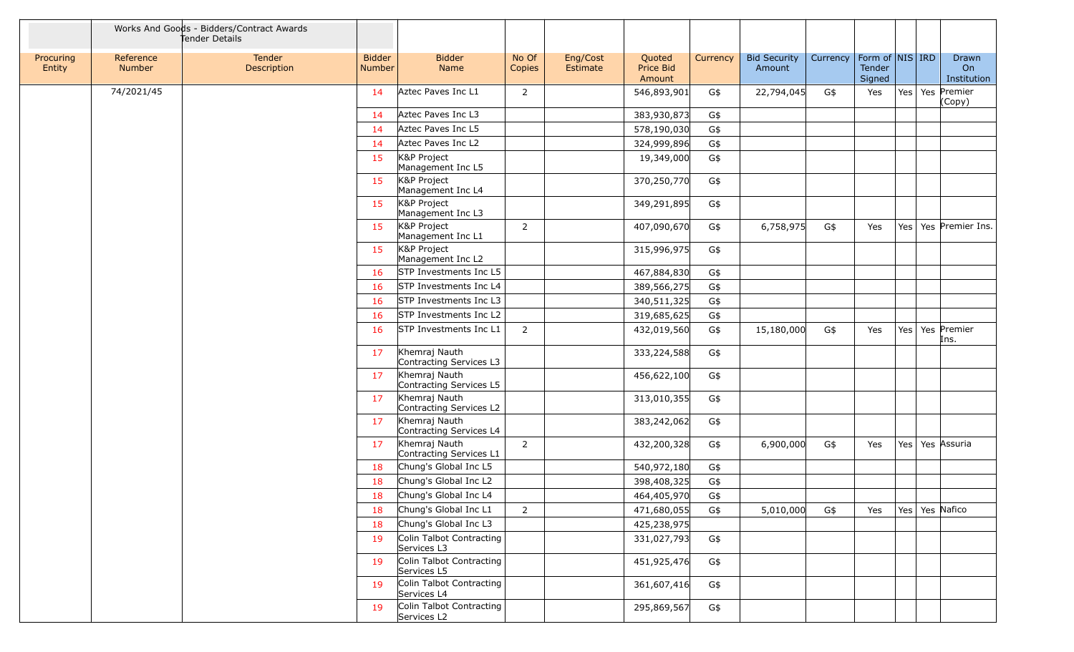|                     |                     | Works And Goods - Bidders/Contract Awards<br>Tender Details |                         |                                          |                 |                      |                               |          |                               |          |                                         |  |                               |
|---------------------|---------------------|-------------------------------------------------------------|-------------------------|------------------------------------------|-----------------|----------------------|-------------------------------|----------|-------------------------------|----------|-----------------------------------------|--|-------------------------------|
| Procuring<br>Entity | Reference<br>Number | Tender<br>Description                                       | <b>Bidder</b><br>Number | <b>Bidder</b><br>Name                    | No Of<br>Copies | Eng/Cost<br>Estimate | Quoted<br>Price Bid<br>Amount | Currency | <b>Bid Security</b><br>Amount | Currency | Form of   NIS   IRD<br>Tender<br>Signed |  | Drawn<br>On<br>Institution    |
|                     | 74/2021/45          |                                                             | 14                      | Aztec Paves Inc L1                       | 2               |                      | 546,893,901                   | G\$      | 22,794,045                    | G\$      | Yes                                     |  | Yes   Yes   Premier<br>(Copy) |
|                     |                     |                                                             | 14                      | Aztec Paves Inc L3                       |                 |                      | 383,930,873                   | G\$      |                               |          |                                         |  |                               |
|                     |                     |                                                             | 14                      | Aztec Paves Inc L5                       |                 |                      | 578,190,030                   | G\$      |                               |          |                                         |  |                               |
|                     |                     |                                                             | 14                      | Aztec Paves Inc L2                       |                 |                      | 324,999,896                   | G\$      |                               |          |                                         |  |                               |
|                     |                     |                                                             | 15                      | K&P Project<br>Management Inc L5         |                 |                      | 19,349,000                    | G\$      |                               |          |                                         |  |                               |
|                     |                     |                                                             | 15                      | K&P Project<br>Management Inc L4         |                 |                      | 370,250,770                   | G\$      |                               |          |                                         |  |                               |
|                     |                     |                                                             | 15                      | K&P Project<br>Management Inc L3         |                 |                      | 349,291,895                   | G\$      |                               |          |                                         |  |                               |
|                     |                     |                                                             | 15                      | K&P Project<br>Management Inc L1         | $\overline{2}$  |                      | 407,090,670                   | G\$      | 6,758,975                     | G\$      | Yes                                     |  | Yes   Yes   Premier Ins.      |
|                     |                     |                                                             | 15                      | K&P Project<br>Management Inc L2         |                 |                      | 315,996,975                   | G\$      |                               |          |                                         |  |                               |
|                     |                     |                                                             | 16                      | STP Investments Inc L5                   |                 |                      | 467,884,830                   | G\$      |                               |          |                                         |  |                               |
|                     |                     |                                                             | 16                      | STP Investments Inc L4                   |                 |                      | 389,566,275                   | G\$      |                               |          |                                         |  |                               |
|                     |                     |                                                             | 16                      | STP Investments Inc L3                   |                 |                      | 340,511,325                   | G\$      |                               |          |                                         |  |                               |
|                     |                     |                                                             | <b>16</b>               | STP Investments Inc L2                   |                 |                      | 319,685,625                   | G\$      |                               |          |                                         |  |                               |
|                     |                     |                                                             | 16                      | STP Investments Inc L1                   | $\overline{2}$  |                      | 432,019,560                   | G\$      | 15,180,000                    | G\$      | Yes                                     |  | Yes   Yes   Premier<br>Ins.   |
|                     |                     |                                                             | 17                      | Khemraj Nauth<br>Contracting Services L3 |                 |                      | 333,224,588                   | G\$      |                               |          |                                         |  |                               |
|                     |                     |                                                             | 17                      | Khemraj Nauth<br>Contracting Services L5 |                 |                      | 456,622,100                   | G\$      |                               |          |                                         |  |                               |
|                     |                     |                                                             | 17                      | Khemraj Nauth<br>Contracting Services L2 |                 |                      | 313,010,355                   | G\$      |                               |          |                                         |  |                               |
|                     |                     |                                                             | 17                      | Khemraj Nauth<br>Contracting Services L4 |                 |                      | 383,242,062                   | G\$      |                               |          |                                         |  |                               |
|                     |                     |                                                             | 17                      | Khemraj Nauth<br>Contracting Services L1 | $\overline{2}$  |                      | 432,200,328                   | G\$      | 6,900,000                     | G\$      | Yes                                     |  | Yes   Yes   Assuria           |
|                     |                     |                                                             | 18                      | Chung's Global Inc L5                    |                 |                      | 540,972,180                   | G\$      |                               |          |                                         |  |                               |
|                     |                     |                                                             | 18                      | Chung's Global Inc L2                    |                 |                      | 398,408,325                   | G\$      |                               |          |                                         |  |                               |
|                     |                     |                                                             | 18                      | Chung's Global Inc L4                    |                 |                      | 464,405,970                   | G\$      |                               |          |                                         |  |                               |
|                     |                     |                                                             | 18                      | Chung's Global Inc L1                    | $\overline{2}$  |                      | 471,680,055                   | G\$      | 5,010,000                     | G\$      | Yes                                     |  | Yes   Yes   Nafico            |
|                     |                     |                                                             | 18                      | Chung's Global Inc L3                    |                 |                      | 425,238,975                   |          |                               |          |                                         |  |                               |
|                     |                     |                                                             | 19                      | Colin Talbot Contracting<br>Services L3  |                 |                      | 331,027,793                   | G\$      |                               |          |                                         |  |                               |
|                     |                     |                                                             | 19                      | Colin Talbot Contracting<br>Services L5  |                 |                      | 451,925,476                   | G\$      |                               |          |                                         |  |                               |
|                     |                     |                                                             | 19                      | Colin Talbot Contracting<br>Services L4  |                 |                      | 361,607,416                   | G\$      |                               |          |                                         |  |                               |
|                     |                     |                                                             | 19                      | Colin Talbot Contracting<br>Services L2  |                 |                      | 295,869,567                   | G\$      |                               |          |                                         |  |                               |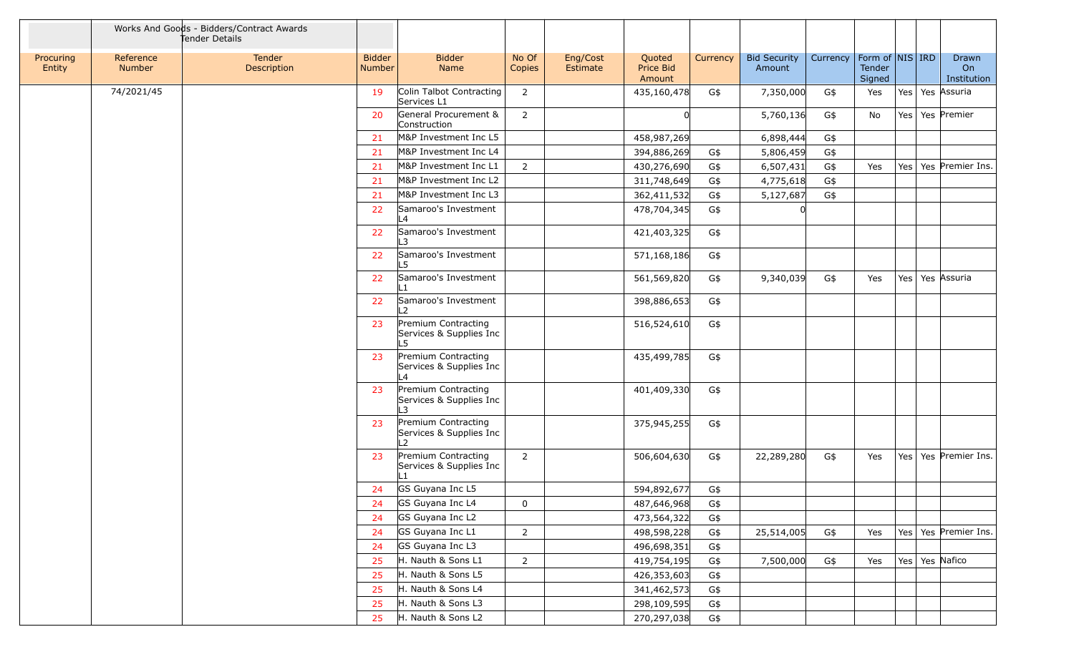|                     |                     | Works And Goods - Bidders/Contract Awards<br>Tender Details |                                |                                                       |                 |                      |                               |          |                               |          |                                     |     |                            |
|---------------------|---------------------|-------------------------------------------------------------|--------------------------------|-------------------------------------------------------|-----------------|----------------------|-------------------------------|----------|-------------------------------|----------|-------------------------------------|-----|----------------------------|
| Procuring<br>Entity | Reference<br>Number | Tender<br><b>Description</b>                                | <b>Bidder</b><br><b>Number</b> | <b>Bidder</b><br>Name                                 | No Of<br>Copies | Eng/Cost<br>Estimate | Quoted<br>Price Bid<br>Amount | Currency | <b>Bid Security</b><br>Amount | Currency | Form of NIS IRD<br>Tender<br>Signed |     | Drawn<br>On<br>Institution |
|                     | 74/2021/45          |                                                             | 19                             | Colin Talbot Contracting<br>Services L1               | 2               |                      | 435,160,478                   | G\$      | 7,350,000                     | G\$      | Yes                                 |     | Yes   Yes   Assuria        |
|                     |                     |                                                             | 20                             | General Procurement &<br>Construction                 | $\overline{2}$  |                      |                               |          | 5,760,136                     | G\$      | No                                  |     | Yes   Yes   Premier        |
|                     |                     |                                                             | 21                             | M&P Investment Inc L5                                 |                 |                      | 458,987,269                   |          | 6,898,444                     | G\$      |                                     |     |                            |
|                     |                     |                                                             | 21                             | M&P Investment Inc L4                                 |                 |                      | 394,886,269                   | G\$      | 5,806,459                     | G\$      |                                     |     |                            |
|                     |                     |                                                             | 21                             | M&P Investment Inc L1                                 | $\overline{2}$  |                      | 430,276,690                   | G\$      | 6,507,431                     | G\$      | Yes                                 |     | Yes   Yes   Premier Ins.   |
|                     |                     |                                                             | 21                             | M&P Investment Inc L2                                 |                 |                      | 311,748,649                   | G\$      | 4,775,618                     | G\$      |                                     |     |                            |
|                     |                     |                                                             | 21                             | M&P Investment Inc L3                                 |                 |                      | 362,411,532                   | G\$      | 5,127,687                     | G\$      |                                     |     |                            |
|                     |                     |                                                             | 22                             | Samaroo's Investment<br>L4                            |                 |                      | 478,704,345                   | G\$      |                               |          |                                     |     |                            |
|                     |                     |                                                             | 22                             | Samaroo's Investment<br>L3                            |                 |                      | 421,403,325                   | G\$      |                               |          |                                     |     |                            |
|                     |                     |                                                             | 22                             | Samaroo's Investment<br>L5                            |                 |                      | 571,168,186                   | G\$      |                               |          |                                     |     |                            |
|                     |                     |                                                             | 22                             | Samaroo's Investment<br>L1                            |                 |                      | 561,569,820                   | G\$      | 9,340,039                     | G\$      | Yes                                 |     | Yes   Yes   Assuria        |
|                     |                     |                                                             | 22                             | Samaroo's Investment<br>L <sub>2</sub>                |                 |                      | 398,886,653                   | G\$      |                               |          |                                     |     |                            |
|                     |                     |                                                             | 23                             | Premium Contracting<br>Services & Supplies Inc<br>L5. |                 |                      | 516,524,610                   | G\$      |                               |          |                                     |     |                            |
|                     |                     |                                                             | 23                             | Premium Contracting<br>Services & Supplies Inc<br>L4  |                 |                      | 435,499,785                   | G\$      |                               |          |                                     |     |                            |
|                     |                     |                                                             | 23                             | Premium Contracting<br>Services & Supplies Inc<br>L3  |                 |                      | 401,409,330                   | G\$      |                               |          |                                     |     |                            |
|                     |                     |                                                             | 23                             | Premium Contracting<br>Services & Supplies Inc<br>L2  |                 |                      | 375,945,255                   | G\$      |                               |          |                                     |     |                            |
|                     |                     |                                                             | 23                             | Premium Contracting<br>Services & Supplies Inc<br>L1  | $\overline{2}$  |                      | 506,604,630                   | G\$      | 22,289,280                    | G\$      | Yes                                 | Yes | Yes Premier Ins.           |
|                     |                     |                                                             | 24                             | GS Guyana Inc L5                                      |                 |                      | 594,892,677                   | G\$      |                               |          |                                     |     |                            |
|                     |                     |                                                             | 24                             | GS Guyana Inc L4                                      | 0               |                      | 487,646,968                   | G\$      |                               |          |                                     |     |                            |
|                     |                     |                                                             | 24                             | GS Guyana Inc L2                                      |                 |                      | 473,564,322                   | G\$      |                               |          |                                     |     |                            |
|                     |                     |                                                             | 24                             | GS Guyana Inc L1                                      | $\overline{2}$  |                      | 498,598,228                   | G\$      | 25,514,005                    | G\$      | Yes                                 |     | Yes   Yes   Premier Ins.   |
|                     |                     |                                                             | 24                             | GS Guyana Inc L3                                      |                 |                      | 496,698,351                   | G\$      |                               |          |                                     |     |                            |
|                     |                     |                                                             | 25                             | H. Nauth & Sons L1                                    | $\overline{2}$  |                      | 419,754,195                   | G\$      | 7,500,000                     | G\$      | Yes                                 |     | Yes   Yes   Nafico         |
|                     |                     |                                                             | 25                             | H. Nauth & Sons L5                                    |                 |                      | 426,353,603                   | G\$      |                               |          |                                     |     |                            |
|                     |                     |                                                             | 25                             | H. Nauth & Sons L4                                    |                 |                      | 341,462,573                   | G\$      |                               |          |                                     |     |                            |
|                     |                     |                                                             | 25                             | H. Nauth & Sons L3                                    |                 |                      | 298,109,595                   | G\$      |                               |          |                                     |     |                            |
|                     |                     |                                                             | 25                             | H. Nauth & Sons L2                                    |                 |                      | 270,297,038                   | G\$      |                               |          |                                     |     |                            |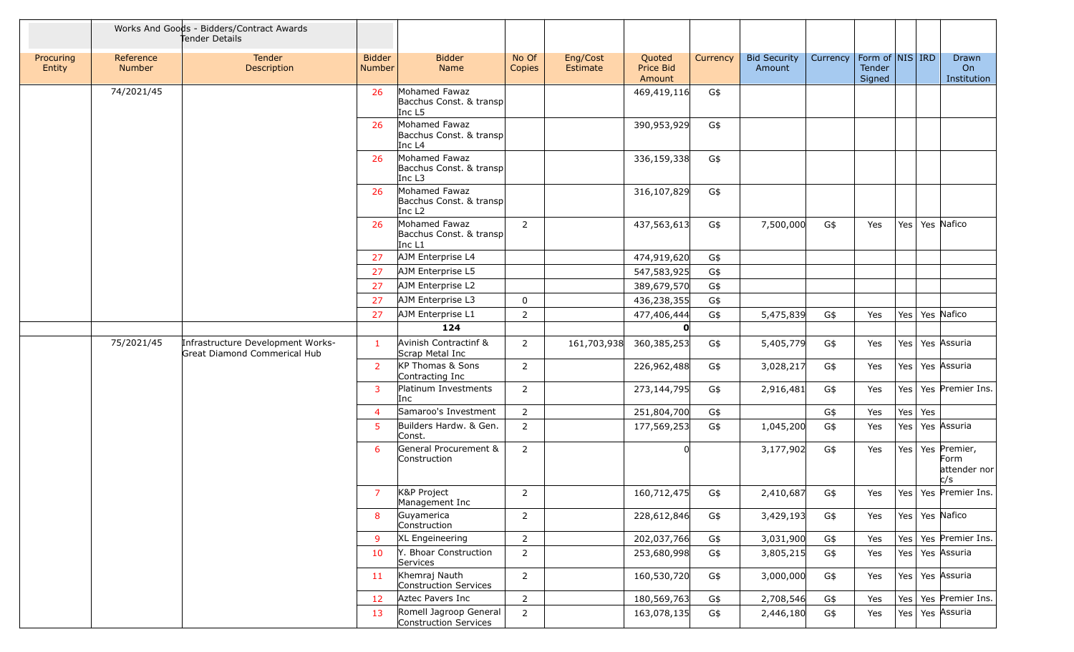|                     |                            | Works And Goods - Bidders/Contract Awards<br>Tender Details       |                                |                                                                |                 |                      |                               |          |                               |          |                                         |     |     |                                                     |
|---------------------|----------------------------|-------------------------------------------------------------------|--------------------------------|----------------------------------------------------------------|-----------------|----------------------|-------------------------------|----------|-------------------------------|----------|-----------------------------------------|-----|-----|-----------------------------------------------------|
| Procuring<br>Entity | Reference<br><b>Number</b> | Tender<br>Description                                             | <b>Bidder</b><br><b>Number</b> | <b>Bidder</b><br>Name                                          | No Of<br>Copies | Eng/Cost<br>Estimate | Quoted<br>Price Bid<br>Amount | Currency | <b>Bid Security</b><br>Amount | Currency | Form of   NIS   IRD<br>Tender<br>Signed |     |     | Drawn<br>On<br>Institution                          |
|                     | 74/2021/45                 |                                                                   | 26                             | Mohamed Fawaz<br>Bacchus Const. & transp<br>Inc L5             |                 |                      | 469,419,116                   | G\$      |                               |          |                                         |     |     |                                                     |
|                     |                            |                                                                   | 26                             | Mohamed Fawaz<br>Bacchus Const. & transp<br>Inc L <sub>4</sub> |                 |                      | 390,953,929                   | G\$      |                               |          |                                         |     |     |                                                     |
|                     |                            |                                                                   | 26                             | Mohamed Fawaz<br>Bacchus Const. & transp<br>Inc L3             |                 |                      | 336,159,338                   | G\$      |                               |          |                                         |     |     |                                                     |
|                     |                            |                                                                   | 26                             | Mohamed Fawaz<br>Bacchus Const. & transp<br>Inc L <sub>2</sub> |                 |                      | 316,107,829                   | G\$      |                               |          |                                         |     |     |                                                     |
|                     |                            |                                                                   | 26                             | Mohamed Fawaz<br>Bacchus Const. & transp<br>Inc $L1$           | $\overline{2}$  |                      | 437,563,613                   | G\$      | 7,500,000                     | G\$      | Yes                                     |     |     | Yes   Yes   Nafico                                  |
|                     |                            |                                                                   | 27                             | AJM Enterprise L4                                              |                 |                      | 474,919,620                   | G\$      |                               |          |                                         |     |     |                                                     |
|                     |                            |                                                                   | 27                             | AJM Enterprise L5                                              |                 |                      | 547,583,925                   | G\$      |                               |          |                                         |     |     |                                                     |
|                     |                            |                                                                   | 27                             | AJM Enterprise L2                                              |                 |                      | 389,679,570                   | G\$      |                               |          |                                         |     |     |                                                     |
|                     |                            |                                                                   | 27                             | AJM Enterprise L3                                              | 0               |                      | 436,238,355                   | G\$      |                               |          |                                         |     |     |                                                     |
|                     |                            |                                                                   | 27                             | AJM Enterprise L1                                              | $\overline{2}$  |                      | 477,406,444                   | G\$      | 5,475,839                     | G\$      | Yes                                     |     |     | Yes   Yes   Nafico                                  |
|                     |                            |                                                                   |                                | 124                                                            |                 |                      | n.                            |          |                               |          |                                         |     |     |                                                     |
|                     | 75/2021/45                 | Infrastructure Development Works-<br>Great Diamond Commerical Hub | 1                              | Avinish Contractinf &<br>Scrap Metal Inc                       | $\overline{2}$  | 161,703,938          | 360,385,253                   | G\$      | 5,405,779                     | G\$      | Yes                                     |     |     | Yes   Yes   Assuria                                 |
|                     |                            |                                                                   | $\overline{2}$                 | KP Thomas & Sons<br>Contracting Inc                            | $\overline{2}$  |                      | 226,962,488                   | G\$      | 3,028,217                     | G\$      | Yes                                     |     |     | Yes   Yes   Assuria                                 |
|                     |                            |                                                                   | 3                              | Platinum Investments<br>Inc                                    | $\overline{2}$  |                      | 273,144,795                   | G\$      | 2,916,481                     | G\$      | Yes                                     | Yes |     | Yes Premier Ins.                                    |
|                     |                            |                                                                   | $\overline{4}$                 | Samaroo's Investment                                           | $\overline{2}$  |                      | 251,804,700                   | G\$      |                               | G\$      | Yes                                     | Yes | Yes |                                                     |
|                     |                            |                                                                   | 5                              | Builders Hardw. & Gen.<br>Const.                               | $\overline{2}$  |                      | 177,569,253                   | G\$      | 1,045,200                     | G\$      | Yes                                     | Yes |     | Yes Assuria                                         |
|                     |                            |                                                                   | 6                              | General Procurement &<br>Construction                          | $\overline{2}$  |                      |                               |          | 3,177,902                     | G\$      | Yes                                     |     |     | Yes   Yes   Premier,<br>Form<br>attender nor<br>c/s |
|                     |                            |                                                                   | $\overline{7}$                 | K&P Project<br>Management Inc                                  | 2               |                      | 160,712,475                   | G\$      | 2,410,687                     | G\$      | Yes                                     |     |     | Yes   Yes   Premier Ins.                            |
|                     |                            |                                                                   | 8                              | Guyamerica<br>Construction                                     | $\overline{2}$  |                      | 228,612,846                   | G\$      | 3,429,193                     | G\$      | Yes                                     |     |     | Yes   Yes   Nafico                                  |
|                     |                            |                                                                   | 9                              | XL Engeineering                                                | $\overline{2}$  |                      | 202,037,766                   | G\$      | 3,031,900                     | G\$      | Yes                                     | Yes |     | Yes Premier Ins.                                    |
|                     |                            |                                                                   | 10                             | Y. Bhoar Construction<br>Services                              | $\overline{2}$  |                      | 253,680,998                   | G\$      | 3,805,215                     | G\$      | Yes                                     | Yes |     | Yes Assuria                                         |
|                     |                            |                                                                   | 11                             | Khemraj Nauth<br>Construction Services                         | $\overline{2}$  |                      | 160,530,720                   | G\$      | 3,000,000                     | G\$      | Yes                                     |     |     | Yes   Yes   Assuria                                 |
|                     |                            |                                                                   | 12                             | Aztec Pavers Inc                                               | $\overline{2}$  |                      | 180,569,763                   | G\$      | 2,708,546                     | G\$      | Yes                                     | Yes |     | Yes Premier Ins.                                    |
|                     |                            |                                                                   | 13                             | Romell Jagroop General<br>Construction Services                | $\overline{2}$  |                      | 163,078,135                   | G\$      | 2,446,180                     | G\$      | Yes                                     | Yes |     | Yes Assuria                                         |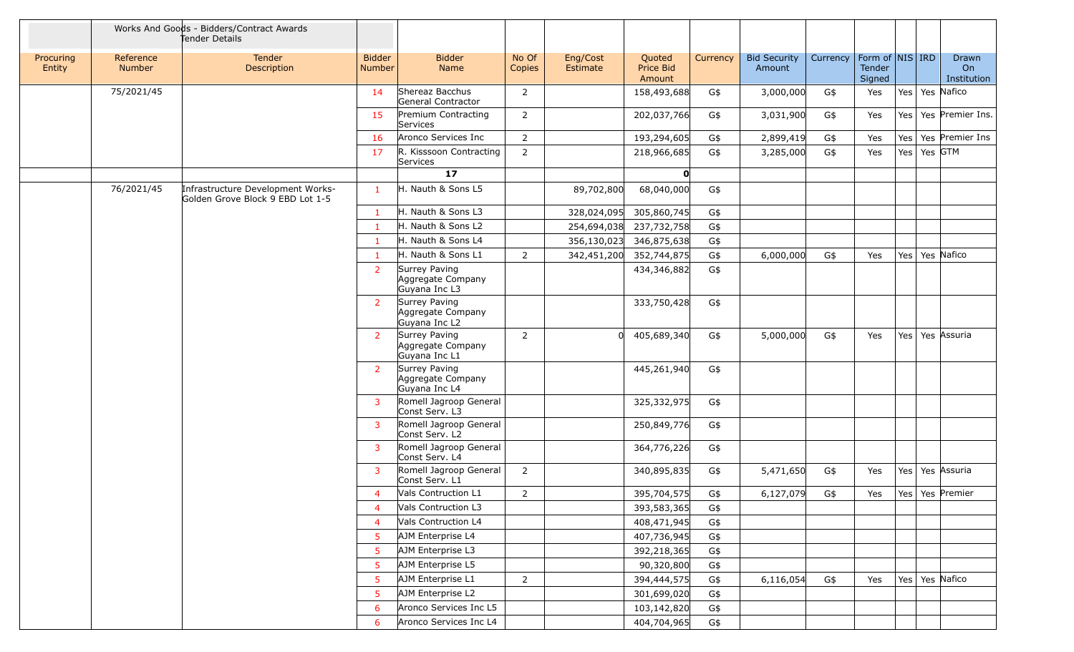|                     |                     | Works And Goods - Bidders/Contract Awards<br>Tender Details           |                                |                                                     |                 |                      |                               |          |                               |          |                                         |     |                            |
|---------------------|---------------------|-----------------------------------------------------------------------|--------------------------------|-----------------------------------------------------|-----------------|----------------------|-------------------------------|----------|-------------------------------|----------|-----------------------------------------|-----|----------------------------|
| Procuring<br>Entity | Reference<br>Number | Tender<br><b>Description</b>                                          | <b>Bidder</b><br><b>Number</b> | <b>Bidder</b><br>Name                               | No Of<br>Copies | Eng/Cost<br>Estimate | Quoted<br>Price Bid<br>Amount | Currency | <b>Bid Security</b><br>Amount | Currency | Form of   NIS   IRD<br>Tender<br>Signed |     | Drawn<br>On<br>Institution |
|                     | 75/2021/45          |                                                                       | 14                             | Shereaz Bacchus<br>General Contractor               | $\overline{2}$  |                      | 158,493,688                   | G\$      | 3,000,000                     | G\$      | Yes                                     |     | Yes   Yes Nafico           |
|                     |                     |                                                                       | 15                             | Premium Contracting<br>Services                     | $\overline{2}$  |                      | 202,037,766                   | G\$      | 3,031,900                     | G\$      | Yes                                     | Yes | Yes Premier Ins.           |
|                     |                     |                                                                       | 16                             | Aronco Services Inc                                 | $\overline{2}$  |                      | 193,294,605                   | G\$      | 2,899,419                     | G\$      | Yes                                     | Yes | Yes Premier Ins            |
|                     |                     |                                                                       | 17                             | R. Kisssoon Contracting<br>Services                 | $\overline{2}$  |                      | 218,966,685                   | G\$      | 3,285,000                     | G\$      | Yes                                     | Yes | Yes GTM                    |
|                     |                     |                                                                       |                                | 17                                                  |                 |                      | O                             |          |                               |          |                                         |     |                            |
|                     | 76/2021/45          | Infrastructure Development Works-<br>Golden Grove Block 9 EBD Lot 1-5 | $\mathbf{1}$                   | H. Nauth & Sons L5                                  |                 | 89,702,800           | 68,040,000                    | G\$      |                               |          |                                         |     |                            |
|                     |                     |                                                                       | $\mathbf{1}$                   | H. Nauth & Sons L3                                  |                 | 328,024,095          | 305,860,745                   | G\$      |                               |          |                                         |     |                            |
|                     |                     |                                                                       | $\mathbf{1}$                   | H. Nauth & Sons L2                                  |                 | 254,694,038          | 237,732,758                   | G\$      |                               |          |                                         |     |                            |
|                     |                     |                                                                       | $\mathbf{1}$                   | H. Nauth & Sons L4                                  |                 | 356,130,023          | 346,875,638                   | G\$      |                               |          |                                         |     |                            |
|                     |                     |                                                                       | $\mathbf{1}$                   | H. Nauth & Sons L1                                  | 2               | 342,451,200          | 352,744,875                   | G\$      | 6,000,000                     | G\$      | Yes                                     |     | Yes   Yes   Nafico         |
|                     |                     |                                                                       | <sup>2</sup>                   | Surrey Paving<br>Aggregate Company<br>Guyana Inc L3 |                 |                      | 434,346,882                   | G\$      |                               |          |                                         |     |                            |
|                     |                     |                                                                       | $\overline{2}$                 | Surrey Paving<br>Aggregate Company<br>Guyana Inc L2 |                 |                      | 333,750,428                   | G\$      |                               |          |                                         |     |                            |
|                     |                     |                                                                       | $\overline{2}$                 | Surrey Paving<br>Aggregate Company<br>Guyana Inc L1 | $\overline{2}$  |                      | 405,689,340                   | G\$      | 5,000,000                     | G\$      | Yes                                     |     | Yes   Yes   Assuria        |
|                     |                     |                                                                       | $\overline{2}$                 | Surrey Paving<br>Aggregate Company<br>Guyana Inc L4 |                 |                      | 445,261,940                   | G\$      |                               |          |                                         |     |                            |
|                     |                     |                                                                       | $\mathbf{3}$                   | Romell Jagroop General<br>Const Serv. L3            |                 |                      | 325,332,975                   | G\$      |                               |          |                                         |     |                            |
|                     |                     |                                                                       | $\overline{3}$                 | Romell Jagroop General<br>Const Serv. L2            |                 |                      | 250,849,776                   | G\$      |                               |          |                                         |     |                            |
|                     |                     |                                                                       | 3                              | Romell Jagroop General<br>Const Serv. L4            |                 |                      | 364,776,226                   | G\$      |                               |          |                                         |     |                            |
|                     |                     |                                                                       | 3                              | Romell Jagroop General<br>Const Serv. L1            | $\overline{2}$  |                      | 340,895,835                   | G\$      | 5,471,650                     | G\$      | Yes                                     |     | Yes   Yes   Assuria        |
|                     |                     |                                                                       | $\overline{4}$                 | Vals Contruction L1                                 | $\overline{2}$  |                      | 395,704,575                   | G\$      | 6,127,079                     | G\$      | Yes                                     |     | Yes   Yes   Premier        |
|                     |                     |                                                                       | 4                              | Vals Contruction L3                                 |                 |                      | 393,583,365                   | G\$      |                               |          |                                         |     |                            |
|                     |                     |                                                                       | $\overline{4}$                 | Vals Contruction L4                                 |                 |                      | 408,471,945                   | G\$      |                               |          |                                         |     |                            |
|                     |                     |                                                                       | 5                              | AJM Enterprise L4                                   |                 |                      | 407,736,945                   | G\$      |                               |          |                                         |     |                            |
|                     |                     |                                                                       | 5                              | AJM Enterprise L3                                   |                 |                      | 392,218,365                   | G\$      |                               |          |                                         |     |                            |
|                     |                     |                                                                       | 5                              | AJM Enterprise L5                                   |                 |                      | 90,320,800                    | G\$      |                               |          |                                         |     |                            |
|                     |                     |                                                                       | 5                              | AJM Enterprise L1                                   | $\overline{2}$  |                      | 394,444,575                   | G\$      | 6,116,054                     | G\$      | Yes                                     |     | Yes   Yes   Nafico         |
|                     |                     |                                                                       | 5                              | AJM Enterprise L2                                   |                 |                      | 301,699,020                   | G\$      |                               |          |                                         |     |                            |
|                     |                     |                                                                       | 6                              | Aronco Services Inc L5                              |                 |                      | 103,142,820                   | G\$      |                               |          |                                         |     |                            |
|                     |                     |                                                                       | 6                              | Aronco Services Inc L4                              |                 |                      | 404,704,965                   | G\$      |                               |          |                                         |     |                            |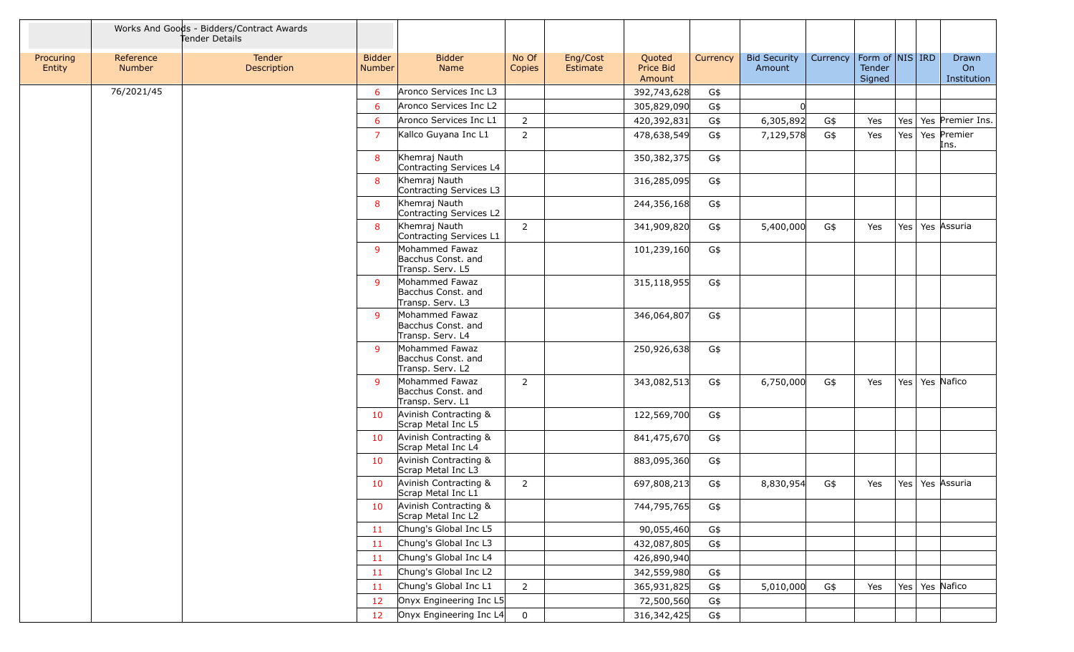|                     |                     | Works And Goods - Bidders/Contract Awards<br>Tender Details |                                |                                                          |                 |                      |                               |          |                               |          |                                     |     |                            |
|---------------------|---------------------|-------------------------------------------------------------|--------------------------------|----------------------------------------------------------|-----------------|----------------------|-------------------------------|----------|-------------------------------|----------|-------------------------------------|-----|----------------------------|
| Procuring<br>Entity | Reference<br>Number | <b>Tender</b><br>Description                                | <b>Bidder</b><br><b>Number</b> | <b>Bidder</b><br>Name                                    | No Of<br>Copies | Eng/Cost<br>Estimate | Quoted<br>Price Bid<br>Amount | Currency | <b>Bid Security</b><br>Amount | Currency | Form of NIS IRD<br>Tender<br>Signed |     | Drawn<br>On<br>Institution |
|                     | 76/2021/45          |                                                             | 6                              | Aronco Services Inc L3                                   |                 |                      | 392,743,628                   | G\$      |                               |          |                                     |     |                            |
|                     |                     |                                                             | 6                              | Aronco Services Inc L2                                   |                 |                      | 305,829,090                   | G\$      |                               |          |                                     |     |                            |
|                     |                     |                                                             | 6                              | Aronco Services Inc L1                                   | $\overline{2}$  |                      | 420,392,831                   | G\$      | 6,305,892                     | G\$      | Yes                                 | Yes | Yes Premier Ins.           |
|                     |                     |                                                             | $\overline{7}$                 | Kallco Guyana Inc L1                                     | $\overline{2}$  |                      | 478,638,549                   | G\$      | 7,129,578                     | G\$      | Yes                                 | Yes | Yes Premier<br>Ins.        |
|                     |                     |                                                             | 8                              | Khemraj Nauth<br>Contracting Services L4                 |                 |                      | 350,382,375                   | G\$      |                               |          |                                     |     |                            |
|                     |                     |                                                             | 8                              | Khemraj Nauth<br>Contracting Services L3                 |                 |                      | 316,285,095                   | G\$      |                               |          |                                     |     |                            |
|                     |                     |                                                             | 8                              | Khemraj Nauth<br>Contracting Services L2                 |                 |                      | 244,356,168                   | G\$      |                               |          |                                     |     |                            |
|                     |                     |                                                             | 8                              | Khemraj Nauth<br>Contracting Services L1                 | $\overline{2}$  |                      | 341,909,820                   | G\$      | 5,400,000                     | G\$      | Yes                                 |     | Yes   Yes   Assuria        |
|                     |                     |                                                             | 9                              | Mohammed Fawaz<br>Bacchus Const. and<br>Transp. Serv. L5 |                 |                      | 101,239,160                   | G\$      |                               |          |                                     |     |                            |
|                     |                     |                                                             | 9                              | Mohammed Fawaz<br>Bacchus Const. and<br>Transp. Serv. L3 |                 |                      | 315,118,955                   | G\$      |                               |          |                                     |     |                            |
|                     |                     |                                                             | $\mathbf{q}$                   | Mohammed Fawaz<br>Bacchus Const. and<br>Transp. Serv. L4 |                 |                      | 346,064,807                   | G\$      |                               |          |                                     |     |                            |
|                     |                     |                                                             | 9                              | Mohammed Fawaz<br>Bacchus Const. and<br>Transp. Serv. L2 |                 |                      | 250,926,638                   | G\$      |                               |          |                                     |     |                            |
|                     |                     |                                                             | -9                             | Mohammed Fawaz<br>Bacchus Const. and<br>Transp. Serv. L1 | $\overline{2}$  |                      | 343,082,513                   | G\$      | 6,750,000                     | G\$      | Yes                                 |     | Yes   Yes   Nafico         |
|                     |                     |                                                             | 10                             | Avinish Contracting &<br>Scrap Metal Inc L5              |                 |                      | 122,569,700                   | G\$      |                               |          |                                     |     |                            |
|                     |                     |                                                             | 10                             | Avinish Contracting &<br>Scrap Metal Inc L4              |                 |                      | 841,475,670                   | G\$      |                               |          |                                     |     |                            |
|                     |                     |                                                             | 10                             | Avinish Contracting &<br>Scrap Metal Inc L3              |                 |                      | 883,095,360                   | G\$      |                               |          |                                     |     |                            |
|                     |                     |                                                             | 10                             | Avinish Contracting &<br>Scrap Metal Inc L1              | $\overline{2}$  |                      | 697,808,213                   | G\$      | 8,830,954                     | G\$      | Yes                                 |     | Yes   Yes   Assuria        |
|                     |                     |                                                             | 10                             | Avinish Contracting &<br>Scrap Metal Inc L2              |                 |                      | 744,795,765                   | G\$      |                               |          |                                     |     |                            |
|                     |                     |                                                             | 11                             | Chung's Global Inc L5                                    |                 |                      | 90,055,460                    | G\$      |                               |          |                                     |     |                            |
|                     |                     |                                                             | 11                             | Chung's Global Inc L3                                    |                 |                      | 432,087,805                   | G\$      |                               |          |                                     |     |                            |
|                     |                     |                                                             | 11                             | Chung's Global Inc L4                                    |                 |                      | 426,890,940                   |          |                               |          |                                     |     |                            |
|                     |                     |                                                             | 11                             | Chung's Global Inc L2                                    |                 |                      | 342,559,980                   | G\$      |                               |          |                                     |     |                            |
|                     |                     |                                                             | 11                             | Chung's Global Inc L1                                    | $\overline{2}$  |                      | 365,931,825                   | G\$      | 5,010,000                     | G\$      | Yes                                 |     | Yes   Yes   Nafico         |
|                     |                     |                                                             | 12                             | Onyx Engineering Inc L5                                  |                 |                      | 72,500,560                    | G\$      |                               |          |                                     |     |                            |
|                     |                     |                                                             | 12                             | Onyx Engineering Inc L4                                  | $\mathbf 0$     |                      | 316, 342, 425                 | G\$      |                               |          |                                     |     |                            |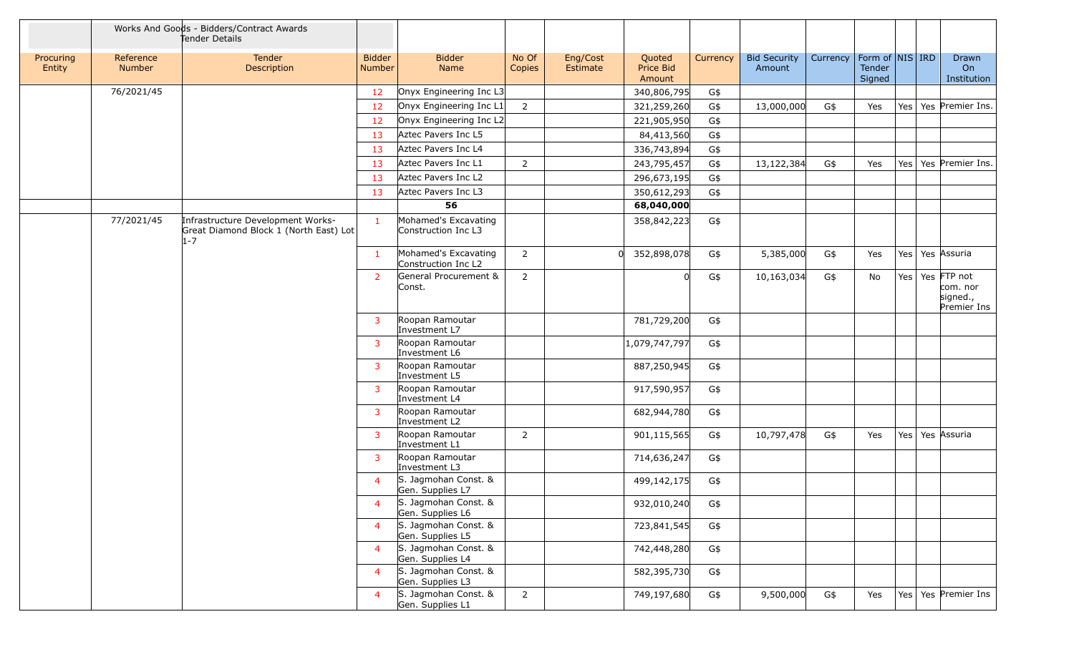|                     |                            | Works And Goods - Bidders/Contract Awards<br>Tender Details                            |                                |                                             |                 |                      |                               |          |                               |          |                                     |         |                                                    |
|---------------------|----------------------------|----------------------------------------------------------------------------------------|--------------------------------|---------------------------------------------|-----------------|----------------------|-------------------------------|----------|-------------------------------|----------|-------------------------------------|---------|----------------------------------------------------|
| Procuring<br>Entity | Reference<br><b>Number</b> | Tender<br><b>Description</b>                                                           | <b>Bidder</b><br><b>Number</b> | <b>Bidder</b><br>Name                       | No Of<br>Copies | Eng/Cost<br>Estimate | Quoted<br>Price Bid<br>Amount | Currency | <b>Bid Security</b><br>Amount | Currency | Form of NIS IRD<br>Tender<br>Signed |         | Drawn<br>On<br>Institution                         |
|                     | 76/2021/45                 |                                                                                        | 12                             | Onyx Engineering Inc L3                     |                 |                      | 340,806,795                   | G\$      |                               |          |                                     |         |                                                    |
|                     |                            |                                                                                        | 12                             | Onyx Engineering Inc L1                     | $\overline{2}$  |                      | 321,259,260                   | G\$      | 13,000,000                    | G\$      | Yes                                 |         | Yes   Yes   Premier Ins.                           |
|                     |                            |                                                                                        | 12                             | Onyx Engineering Inc L2                     |                 |                      | 221,905,950                   | G\$      |                               |          |                                     |         |                                                    |
|                     |                            |                                                                                        | 13                             | Aztec Pavers Inc L5                         |                 |                      | 84,413,560                    | G\$      |                               |          |                                     |         |                                                    |
|                     |                            |                                                                                        | 13                             | Aztec Pavers Inc L4                         |                 |                      | 336,743,894                   | G\$      |                               |          |                                     |         |                                                    |
|                     |                            |                                                                                        | 13                             | Aztec Pavers Inc L1                         | $\overline{2}$  |                      | 243,795,457                   | G\$      | 13,122,384                    | G\$      | Yes                                 | Yes     | Yes Premier Ins.                                   |
|                     |                            |                                                                                        | 13                             | Aztec Pavers Inc L2                         |                 |                      | 296,673,195                   | G\$      |                               |          |                                     |         |                                                    |
|                     |                            |                                                                                        | 13                             | Aztec Pavers Inc L3                         |                 |                      | 350,612,293                   | G\$      |                               |          |                                     |         |                                                    |
|                     |                            |                                                                                        |                                | 56                                          |                 |                      | 68,040,000                    |          |                               |          |                                     |         |                                                    |
|                     | 77/2021/45                 | Infrastructure Development Works-<br>Great Diamond Block 1 (North East) Lot<br>$1 - 7$ | $\mathbf{1}$                   | Mohamed's Excavating<br>Construction Inc L3 |                 |                      | 358,842,223                   | G\$      |                               |          |                                     |         |                                                    |
|                     |                            |                                                                                        | $\mathbf{1}$                   | Mohamed's Excavating<br>Construction Inc L2 | $\overline{2}$  |                      | 352,898,078                   | G\$      | 5,385,000                     | G\$      | Yes                                 |         | Yes   Yes   Assuria                                |
|                     |                            |                                                                                        | $\overline{2}$                 | General Procurement &<br>Const.             | 2               |                      |                               | G\$      | 10,163,034                    | G\$      | No                                  | Yes $ $ | Yes FTP not<br>com. nor<br>signed.,<br>Premier Ins |
|                     |                            |                                                                                        | $\mathbf{3}$                   | Roopan Ramoutar<br>Investment L7            |                 |                      | 781,729,200                   | G\$      |                               |          |                                     |         |                                                    |
|                     |                            |                                                                                        | $\mathbf{3}$                   | Roopan Ramoutar<br>Investment L6            |                 |                      | 1,079,747,797                 | G\$      |                               |          |                                     |         |                                                    |
|                     |                            |                                                                                        | 3                              | Roopan Ramoutar<br>Investment L5            |                 |                      | 887,250,945                   | G\$      |                               |          |                                     |         |                                                    |
|                     |                            |                                                                                        | 3                              | Roopan Ramoutar<br>Investment L4            |                 |                      | 917,590,957                   | G\$      |                               |          |                                     |         |                                                    |
|                     |                            |                                                                                        | 3                              | Roopan Ramoutar<br>Investment L2            |                 |                      | 682,944,780                   | G\$      |                               |          |                                     |         |                                                    |
|                     |                            |                                                                                        | 3                              | Roopan Ramoutar<br>Investment L1            | $\overline{2}$  |                      | 901,115,565                   | G\$      | 10,797,478                    | G\$      | Yes                                 |         | Yes   Yes   Assuria                                |
|                     |                            |                                                                                        | $\mathbf{3}$                   | Roopan Ramoutar<br>Investment L3            |                 |                      | 714,636,247                   | G\$      |                               |          |                                     |         |                                                    |
|                     |                            |                                                                                        | $\overline{4}$                 | S. Jagmohan Const. &<br>Gen. Supplies L7    |                 |                      | 499,142,175                   | G\$      |                               |          |                                     |         |                                                    |
|                     |                            |                                                                                        | $\overline{4}$                 | S. Jagmohan Const. &<br>Gen. Supplies L6    |                 |                      | 932,010,240                   | G\$      |                               |          |                                     |         |                                                    |
|                     |                            |                                                                                        | $\overline{4}$                 | S. Jagmohan Const. &<br>Gen. Supplies L5    |                 |                      | 723,841,545                   | G\$      |                               |          |                                     |         |                                                    |
|                     |                            |                                                                                        | $\overline{4}$                 | S. Jagmohan Const. &<br>Gen. Supplies L4    |                 |                      | 742,448,280                   | G\$      |                               |          |                                     |         |                                                    |
|                     |                            |                                                                                        | $\overline{4}$                 | S. Jagmohan Const. &<br>Gen. Supplies L3    |                 |                      | 582,395,730                   | G\$      |                               |          |                                     |         |                                                    |
|                     |                            |                                                                                        | $\overline{4}$                 | S. Jagmohan Const. &<br>Gen. Supplies L1    | $2^{\circ}$     |                      | 749,197,680                   | G\$      | 9,500,000                     | G\$      | Yes                                 |         | Yes   Yes   Premier Ins                            |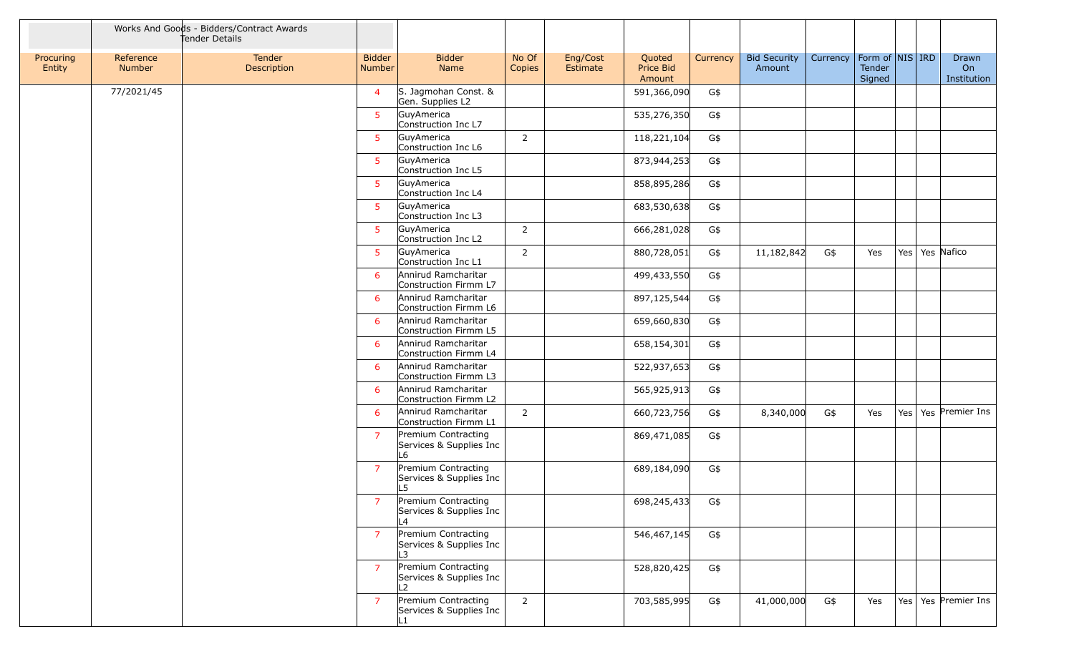|                     |                            | Works And Goods - Bidders/Contract Awards<br>Tender Details |                         |                                                      |                 |                      |                               |          |                               |          |                                         |                    |                            |
|---------------------|----------------------------|-------------------------------------------------------------|-------------------------|------------------------------------------------------|-----------------|----------------------|-------------------------------|----------|-------------------------------|----------|-----------------------------------------|--------------------|----------------------------|
| Procuring<br>Entity | Reference<br><b>Number</b> | Tender<br>Description                                       | <b>Bidder</b><br>Number | <b>Bidder</b><br>Name                                | No Of<br>Copies | Eng/Cost<br>Estimate | Quoted<br>Price Bid<br>Amount | Currency | <b>Bid Security</b><br>Amount | Currency | Form of   NIS   IRD<br>Tender<br>Signed |                    | Drawn<br>On<br>Institution |
|                     | 77/2021/45                 |                                                             | $\overline{4}$          | S. Jagmohan Const. &<br>Gen. Supplies L2             |                 |                      | 591,366,090                   | G\$      |                               |          |                                         |                    |                            |
|                     |                            |                                                             | 5 <sup>5</sup>          | GuyAmerica<br>Construction Inc L7                    |                 |                      | 535,276,350                   | G\$      |                               |          |                                         |                    |                            |
|                     |                            |                                                             | $5^{\circ}$             | GuyAmerica<br>Construction Inc L6                    | $\overline{2}$  |                      | 118,221,104                   | G\$      |                               |          |                                         |                    |                            |
|                     |                            |                                                             | $5^{\circ}$             | GuyAmerica<br>Construction Inc L5                    |                 |                      | 873,944,253                   | G\$      |                               |          |                                         |                    |                            |
|                     |                            |                                                             | $5^{\circ}$             | GuyAmerica<br>Construction Inc L4                    |                 |                      | 858,895,286                   | G\$      |                               |          |                                         |                    |                            |
|                     |                            |                                                             | 5 <sup>5</sup>          | GuyAmerica<br>Construction Inc L3                    |                 |                      | 683,530,638                   | G\$      |                               |          |                                         |                    |                            |
|                     |                            |                                                             | $5^{\circ}$             | GuyAmerica<br>Construction Inc L2                    | $\overline{2}$  |                      | 666,281,028                   | G\$      |                               |          |                                         |                    |                            |
|                     |                            |                                                             | $5^{\circ}$             | GuyAmerica<br>Construction Inc L1                    | $\overline{2}$  |                      | 880,728,051                   | G\$      | 11,182,842                    | G\$      | Yes                                     | Yes   Yes   Nafico |                            |
|                     |                            |                                                             | 6                       | Annirud Ramcharitar<br>Construction Firmm L7         |                 |                      | 499,433,550                   | G\$      |                               |          |                                         |                    |                            |
|                     |                            |                                                             | 6                       | Annirud Ramcharitar<br>Construction Firmm L6         |                 |                      | 897,125,544                   | G\$      |                               |          |                                         |                    |                            |
|                     |                            |                                                             | 6                       | Annirud Ramcharitar<br>Construction Firmm L5         |                 |                      | 659,660,830                   | G\$      |                               |          |                                         |                    |                            |
|                     |                            |                                                             | 6                       | Annirud Ramcharitar<br>Construction Firmm L4         |                 |                      | 658,154,301                   | G\$      |                               |          |                                         |                    |                            |
|                     |                            |                                                             | 6                       | Annirud Ramcharitar<br>Construction Firmm L3         |                 |                      | 522,937,653                   | G\$      |                               |          |                                         |                    |                            |
|                     |                            |                                                             | 6                       | Annirud Ramcharitar<br>Construction Firmm L2         |                 |                      | 565,925,913                   | G\$      |                               |          |                                         |                    |                            |
|                     |                            |                                                             | 6                       | Annirud Ramcharitar<br>Construction Firmm L1         | $\overline{2}$  |                      | 660,723,756                   | G\$      | 8,340,000                     | G\$      | Yes                                     |                    | Yes   Yes   Premier Ins    |
|                     |                            |                                                             | $\overline{7}$          | Premium Contracting<br>Services & Supplies Inc<br>L6 |                 |                      | 869,471,085                   | G\$      |                               |          |                                         |                    |                            |
|                     |                            |                                                             | $\overline{7}$          | Premium Contracting<br>Services & Supplies Inc<br>L5 |                 |                      | 689,184,090                   | G\$      |                               |          |                                         |                    |                            |
|                     |                            |                                                             | $\overline{7}$          | Premium Contracting<br>Services & Supplies Inc<br>L4 |                 |                      | 698,245,433                   | G\$      |                               |          |                                         |                    |                            |
|                     |                            |                                                             | $\overline{7}$          | Premium Contracting<br>Services & Supplies Inc<br>L3 |                 |                      | 546,467,145                   | G\$      |                               |          |                                         |                    |                            |
|                     |                            |                                                             | $\overline{7}$          | Premium Contracting<br>Services & Supplies Inc<br>L2 |                 |                      | 528,820,425                   | G\$      |                               |          |                                         |                    |                            |
|                     |                            |                                                             | $\overline{7}$          | Premium Contracting<br>Services & Supplies Inc       | $\overline{2}$  |                      | 703,585,995                   | G\$      | 41,000,000                    | G\$      | Yes                                     |                    | Yes   Yes   Premier Ins    |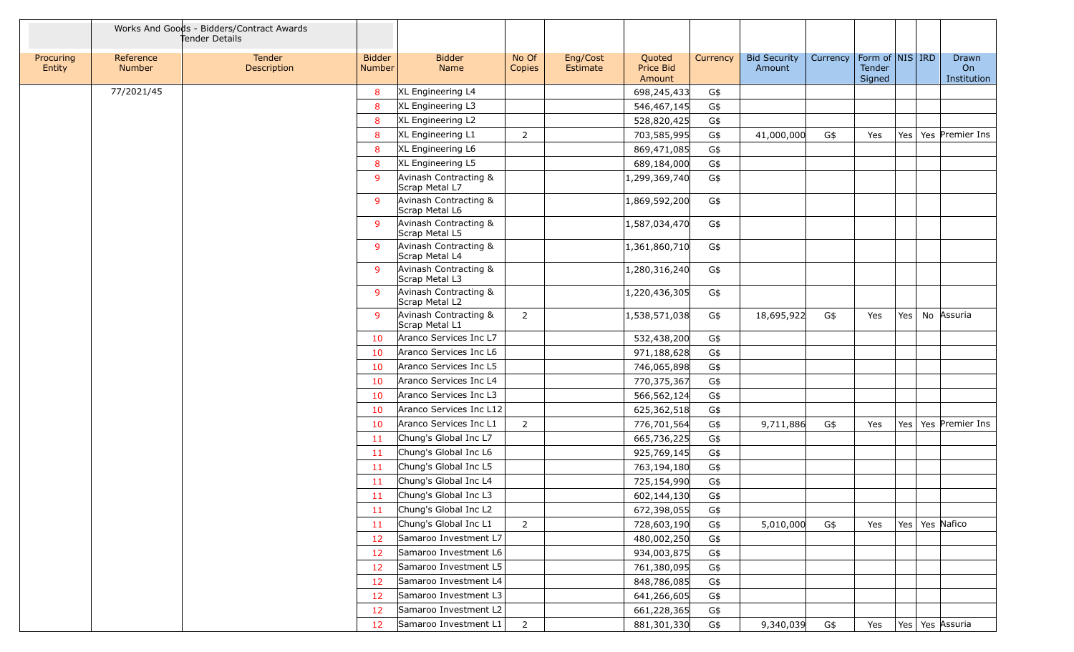|                     |                            | Works And Goods - Bidders/Contract Awards<br>Tender Details |                         |                                         |                 |                      |                               |          |                               |          |                                         |         |                            |
|---------------------|----------------------------|-------------------------------------------------------------|-------------------------|-----------------------------------------|-----------------|----------------------|-------------------------------|----------|-------------------------------|----------|-----------------------------------------|---------|----------------------------|
| Procuring<br>Entity | Reference<br><b>Number</b> | Tender<br>Description                                       | <b>Bidder</b><br>Number | <b>Bidder</b><br>Name                   | No Of<br>Copies | Eng/Cost<br>Estimate | Quoted<br>Price Bid<br>Amount | Currency | <b>Bid Security</b><br>Amount | Currency | Form of   NIS   IRD<br>Tender<br>Signed |         | Drawn<br>On<br>Institution |
|                     | 77/2021/45                 |                                                             | 8                       | XL Engineering L4                       |                 |                      | 698,245,433                   | G\$      |                               |          |                                         |         |                            |
|                     |                            |                                                             | 8                       | XL Engineering L3                       |                 |                      | 546,467,145                   | G\$      |                               |          |                                         |         |                            |
|                     |                            |                                                             | 8                       | XL Engineering L2                       |                 |                      | 528,820,425                   | G\$      |                               |          |                                         |         |                            |
|                     |                            |                                                             | 8                       | XL Engineering L1                       | $\overline{2}$  |                      | 703,585,995                   | G\$      | 41,000,000                    | G\$      | Yes                                     | Yes     | Yes Premier Ins            |
|                     |                            |                                                             | 8                       | XL Engineering L6                       |                 |                      | 869,471,085                   | G\$      |                               |          |                                         |         |                            |
|                     |                            |                                                             | 8                       | XL Engineering L5                       |                 |                      | 689,184,000                   | G\$      |                               |          |                                         |         |                            |
|                     |                            |                                                             | 9                       | Avinash Contracting &<br>Scrap Metal L7 |                 |                      | 1,299,369,740                 | G\$      |                               |          |                                         |         |                            |
|                     |                            |                                                             | 9                       | Avinash Contracting &<br>Scrap Metal L6 |                 |                      | 1,869,592,200                 | G\$      |                               |          |                                         |         |                            |
|                     |                            |                                                             | 9                       | Avinash Contracting &<br>Scrap Metal L5 |                 |                      | 1,587,034,470                 | G\$      |                               |          |                                         |         |                            |
|                     |                            |                                                             | 9                       | Avinash Contracting &<br>Scrap Metal L4 |                 |                      | 1,361,860,710                 | G\$      |                               |          |                                         |         |                            |
|                     |                            |                                                             | 9                       | Avinash Contracting &<br>Scrap Metal L3 |                 |                      | 1,280,316,240                 | G\$      |                               |          |                                         |         |                            |
|                     |                            |                                                             | 9                       | Avinash Contracting &<br>Scrap Metal L2 |                 |                      | 1,220,436,305                 | G\$      |                               |          |                                         |         |                            |
|                     |                            |                                                             | 9                       | Avinash Contracting &<br>Scrap Metal L1 | 2               |                      | 1,538,571,038                 | G\$      | 18,695,922                    | G\$      | Yes                                     | Yes $ $ | No Assuria                 |
|                     |                            |                                                             | 10                      | Aranco Services Inc L7                  |                 |                      | 532,438,200                   | G\$      |                               |          |                                         |         |                            |
|                     |                            |                                                             | 10                      | Aranco Services Inc L6                  |                 |                      | 971,188,628                   | G\$      |                               |          |                                         |         |                            |
|                     |                            |                                                             | 10                      | Aranco Services Inc L5                  |                 |                      | 746,065,898                   | G\$      |                               |          |                                         |         |                            |
|                     |                            |                                                             | 10                      | Aranco Services Inc L4                  |                 |                      | 770,375,367                   | G\$      |                               |          |                                         |         |                            |
|                     |                            |                                                             | 10                      | Aranco Services Inc L3                  |                 |                      | 566,562,124                   | G\$      |                               |          |                                         |         |                            |
|                     |                            |                                                             | 10                      | Aranco Services Inc L12                 |                 |                      | 625,362,518                   | G\$      |                               |          |                                         |         |                            |
|                     |                            |                                                             | 10                      | Aranco Services Inc L1                  | $\overline{2}$  |                      | 776,701,564                   | G\$      | 9,711,886                     | G\$      | Yes                                     |         | Yes   Yes   Premier Ins    |
|                     |                            |                                                             | 11                      | Chung's Global Inc L7                   |                 |                      | 665,736,225                   | G\$      |                               |          |                                         |         |                            |
|                     |                            |                                                             | 11                      | Chung's Global Inc L6                   |                 |                      | 925,769,145                   | G\$      |                               |          |                                         |         |                            |
|                     |                            |                                                             | 11                      | Chung's Global Inc L5                   |                 |                      | 763,194,180                   | G\$      |                               |          |                                         |         |                            |
|                     |                            |                                                             | 11                      | Chung's Global Inc L4                   |                 |                      | 725,154,990                   | G\$      |                               |          |                                         |         |                            |
|                     |                            |                                                             | 11                      | Chung's Global Inc L3                   |                 |                      | 602,144,130                   | G\$      |                               |          |                                         |         |                            |
|                     |                            |                                                             | 11                      | Chung's Global Inc L2                   |                 |                      | 672,398,055                   | G\$      |                               |          |                                         |         |                            |
|                     |                            |                                                             | 11                      | Chung's Global Inc L1                   | 2               |                      | 728,603,190                   | G\$      | 5,010,000                     | G\$      | Yes                                     |         | Yes   Yes   Nafico         |
|                     |                            |                                                             | 12                      | Samaroo Investment L7                   |                 |                      | 480,002,250                   | G\$      |                               |          |                                         |         |                            |
|                     |                            |                                                             | 12                      | Samaroo Investment L6                   |                 |                      | 934,003,875                   | G\$      |                               |          |                                         |         |                            |
|                     |                            |                                                             | 12                      | Samaroo Investment L5                   |                 |                      | 761,380,095                   | G\$      |                               |          |                                         |         |                            |
|                     |                            |                                                             | 12                      | Samaroo Investment L4                   |                 |                      | 848,786,085                   | G\$      |                               |          |                                         |         |                            |
|                     |                            |                                                             | 12                      | Samaroo Investment L3                   |                 |                      | 641,266,605                   | G\$      |                               |          |                                         |         |                            |
|                     |                            |                                                             | 12                      | Samaroo Investment L2                   |                 |                      | 661,228,365                   | G\$      |                               |          |                                         |         |                            |
|                     |                            |                                                             | 12                      | Samaroo Investment L1                   | $\overline{2}$  |                      | 881,301,330                   | G\$      | 9,340,039                     | G\$      | Yes                                     |         | Yes   Yes   Assuria        |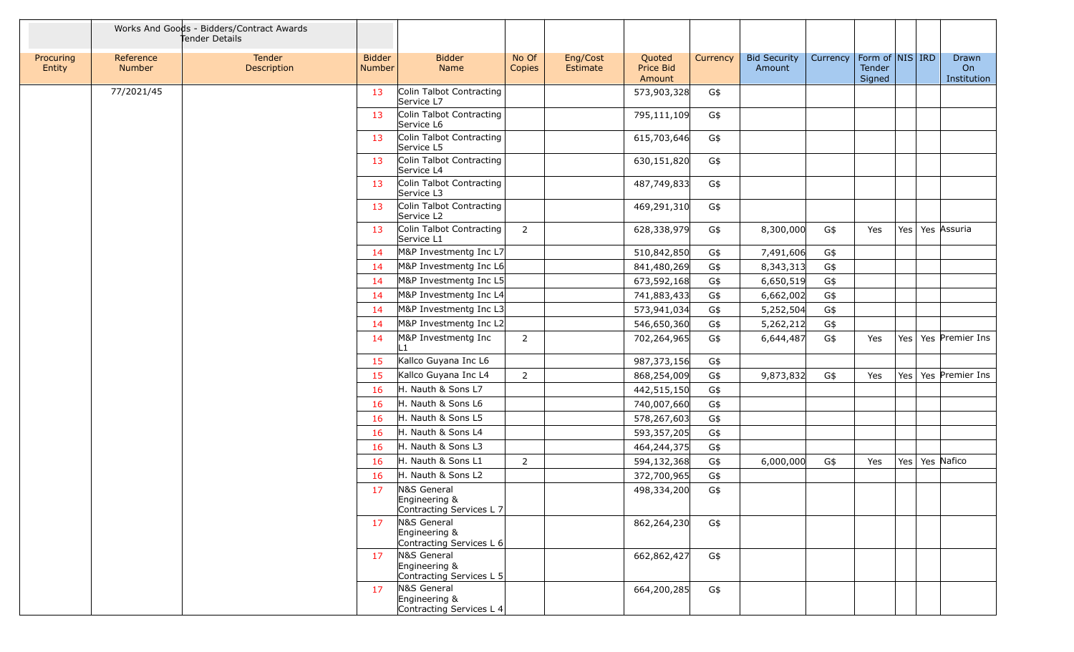|                     |                     | Works And Goods - Bidders/Contract Awards<br>Tender Details |                                |                                                                                      |                 |                      |                               |          |                               |          |                                         |     |                            |
|---------------------|---------------------|-------------------------------------------------------------|--------------------------------|--------------------------------------------------------------------------------------|-----------------|----------------------|-------------------------------|----------|-------------------------------|----------|-----------------------------------------|-----|----------------------------|
| Procuring<br>Entity | Reference<br>Number | Tender<br>Description                                       | <b>Bidder</b><br><b>Number</b> | <b>Bidder</b><br>Name                                                                | No Of<br>Copies | Eng/Cost<br>Estimate | Quoted<br>Price Bid<br>Amount | Currency | <b>Bid Security</b><br>Amount | Currency | Form of $ NIS $ IRD<br>Tender<br>Signed |     | Drawn<br>On<br>Institution |
|                     | 77/2021/45          |                                                             | 13                             | Colin Talbot Contracting<br>Service L7                                               |                 |                      | 573,903,328                   | G\$      |                               |          |                                         |     |                            |
|                     |                     |                                                             | 13                             | Colin Talbot Contracting<br>Service L6                                               |                 |                      | 795,111,109                   | G\$      |                               |          |                                         |     |                            |
|                     |                     |                                                             | 13                             | Colin Talbot Contracting<br>Service L5                                               |                 |                      | 615,703,646                   | G\$      |                               |          |                                         |     |                            |
|                     |                     |                                                             | 13                             | Colin Talbot Contracting<br>Service L4                                               |                 |                      | 630,151,820                   | G\$      |                               |          |                                         |     |                            |
|                     |                     |                                                             | 13                             | Colin Talbot Contracting<br>Service L3                                               |                 |                      | 487,749,833                   | G\$      |                               |          |                                         |     |                            |
|                     |                     |                                                             | 13                             | Colin Talbot Contracting<br>Service L2                                               |                 |                      | 469,291,310                   | G\$      |                               |          |                                         |     |                            |
|                     |                     |                                                             | 13                             | Colin Talbot Contracting<br>Service L1                                               | $\overline{2}$  |                      | 628,338,979                   | G\$      | 8,300,000                     | G\$      | Yes                                     | Yes | Yes Assuria                |
|                     |                     |                                                             | 14                             | M&P Investmentg Inc L7                                                               |                 |                      | 510,842,850                   | G\$      | 7,491,606                     | G\$      |                                         |     |                            |
|                     |                     |                                                             | 14                             | M&P Investmentg Inc L6                                                               |                 |                      | 841,480,269                   | G\$      | 8,343,313                     | G\$      |                                         |     |                            |
|                     |                     |                                                             | 14                             | M&P Investmentg Inc L5                                                               |                 |                      | 673,592,168                   | G\$      | 6,650,519                     | G\$      |                                         |     |                            |
|                     |                     |                                                             | 14                             | M&P Investmentg Inc L4                                                               |                 |                      | 741,883,433                   | G\$      | 6,662,002                     | G\$      |                                         |     |                            |
|                     |                     |                                                             | 14                             | M&P Investmentg Inc L3                                                               |                 |                      | 573,941,034                   | G\$      | 5,252,504                     | G\$      |                                         |     |                            |
|                     |                     |                                                             | 14                             | M&P Investmentg Inc L2                                                               |                 |                      | 546,650,360                   | G\$      | 5,262,212                     | G\$      |                                         |     |                            |
|                     |                     |                                                             | 14                             | M&P Investmentg Inc<br>L1                                                            | $\overline{2}$  |                      | 702,264,965                   | G\$      | 6,644,487                     | G\$      | Yes                                     | Yes | Yes Premier Ins            |
|                     |                     |                                                             | 15                             | Kallco Guyana Inc L6                                                                 |                 |                      | 987,373,156                   | G\$      |                               |          |                                         |     |                            |
|                     |                     |                                                             | 15                             | Kallco Guyana Inc L4                                                                 | $\overline{2}$  |                      | 868,254,009                   | G\$      | 9,873,832                     | G\$      | Yes                                     | Yes | Yes Premier Ins            |
|                     |                     |                                                             | 16                             | H. Nauth & Sons L7                                                                   |                 |                      | 442,515,150                   | G\$      |                               |          |                                         |     |                            |
|                     |                     |                                                             | 16                             | H. Nauth & Sons L6                                                                   |                 |                      | 740,007,660                   | G\$      |                               |          |                                         |     |                            |
|                     |                     |                                                             | 16                             | H. Nauth & Sons L5                                                                   |                 |                      | 578,267,603                   | G\$      |                               |          |                                         |     |                            |
|                     |                     |                                                             | 16                             | H. Nauth & Sons L4                                                                   |                 |                      | 593,357,205                   | G\$      |                               |          |                                         |     |                            |
|                     |                     |                                                             | 16                             | H. Nauth & Sons L3                                                                   |                 |                      | 464,244,375                   | G\$      |                               |          |                                         |     |                            |
|                     |                     |                                                             | 16                             | H. Nauth & Sons L1                                                                   | $\overline{2}$  |                      | 594,132,368                   | G\$      | 6,000,000                     | G\$      | Yes                                     |     | Yes   Yes   Nafico         |
|                     |                     |                                                             | 16                             | H. Nauth & Sons L2                                                                   |                 |                      | 372,700,965                   | G\$      |                               |          |                                         |     |                            |
|                     |                     |                                                             | 17                             | N&S General<br>Engineering &                                                         |                 |                      | 498,334,200                   | G\$      |                               |          |                                         |     |                            |
|                     |                     |                                                             | 17                             | Contracting Services L 7<br>N&S General<br>Engineering &<br>Contracting Services L 6 |                 |                      | 862,264,230                   | G\$      |                               |          |                                         |     |                            |
|                     |                     |                                                             | 17                             | N&S General<br>Engineering &<br>Contracting Services L 5                             |                 |                      | 662,862,427                   | G\$      |                               |          |                                         |     |                            |
|                     |                     |                                                             | 17                             | N&S General<br>Engineering &<br>Contracting Services L 4                             |                 |                      | 664,200,285                   | G\$      |                               |          |                                         |     |                            |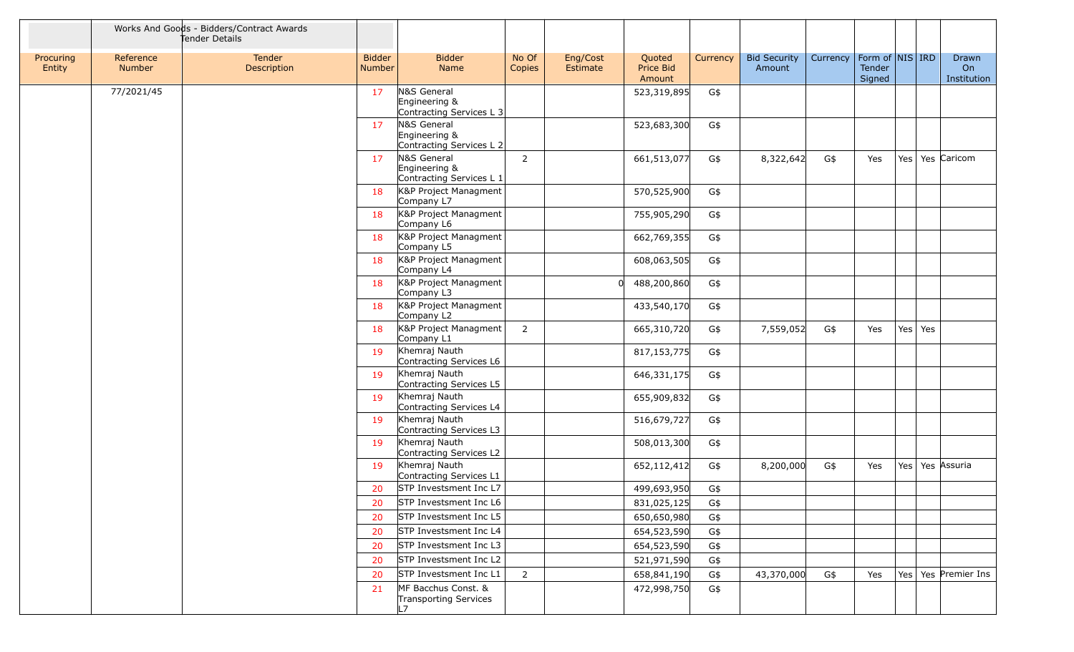|                     |                            | Works And Goods - Bidders/Contract Awards<br>Tender Details |                                |                                                          |                 |                      |                               |          |                               |          |                                         |     |     |                            |
|---------------------|----------------------------|-------------------------------------------------------------|--------------------------------|----------------------------------------------------------|-----------------|----------------------|-------------------------------|----------|-------------------------------|----------|-----------------------------------------|-----|-----|----------------------------|
| Procuring<br>Entity | Reference<br><b>Number</b> | Tender<br>Description                                       | <b>Bidder</b><br><b>Number</b> | <b>Bidder</b><br><b>Name</b>                             | No Of<br>Copies | Eng/Cost<br>Estimate | Quoted<br>Price Bid<br>Amount | Currency | <b>Bid Security</b><br>Amount | Currency | Form of   NIS   IRD<br>Tender<br>Signed |     |     | Drawn<br>On<br>Institution |
|                     | 77/2021/45                 |                                                             | 17                             | N&S General<br>Engineering &<br>Contracting Services L 3 |                 |                      | 523,319,895                   | G\$      |                               |          |                                         |     |     |                            |
|                     |                            |                                                             | 17                             | N&S General<br>Engineering &<br>Contracting Services L 2 |                 |                      | 523,683,300                   | G\$      |                               |          |                                         |     |     |                            |
|                     |                            |                                                             | 17                             | N&S General<br>Engineering &<br>Contracting Services L 1 | $\overline{2}$  |                      | 661,513,077                   | G\$      | 8,322,642                     | G\$      | Yes                                     | Yes |     | Yes Caricom                |
|                     |                            |                                                             | 18                             | K&P Project Managment<br>Company L7                      |                 |                      | 570,525,900                   | G\$      |                               |          |                                         |     |     |                            |
|                     |                            |                                                             | 18                             | K&P Project Managment<br>Company L6                      |                 |                      | 755,905,290                   | G\$      |                               |          |                                         |     |     |                            |
|                     |                            |                                                             | 18                             | K&P Project Managment<br>Company L5                      |                 |                      | 662,769,355                   | G\$      |                               |          |                                         |     |     |                            |
|                     |                            |                                                             | 18                             | K&P Project Managment<br>Company L4                      |                 |                      | 608,063,505                   | G\$      |                               |          |                                         |     |     |                            |
|                     |                            |                                                             | 18                             | K&P Project Managment<br>Company L3                      |                 | ΩI                   | 488,200,860                   | G\$      |                               |          |                                         |     |     |                            |
|                     |                            |                                                             | 18                             | K&P Project Managment<br>Company L2                      |                 |                      | 433,540,170                   | G\$      |                               |          |                                         |     |     |                            |
|                     |                            |                                                             | 18                             | K&P Project Managment<br>Company L1                      | 2               |                      | 665,310,720                   | G\$      | 7,559,052                     | G\$      | Yes                                     | Yes | Yes |                            |
|                     |                            |                                                             | 19                             | Khemraj Nauth<br>Contracting Services L6                 |                 |                      | 817, 153, 775                 | G\$      |                               |          |                                         |     |     |                            |
|                     |                            |                                                             | 19                             | Khemraj Nauth<br>Contracting Services L5                 |                 |                      | 646,331,175                   | G\$      |                               |          |                                         |     |     |                            |
|                     |                            |                                                             | 19                             | Khemraj Nauth<br>Contracting Services L4                 |                 |                      | 655,909,832                   | G\$      |                               |          |                                         |     |     |                            |
|                     |                            |                                                             | 19                             | Khemraj Nauth<br>Contracting Services L3                 |                 |                      | 516,679,727                   | G\$      |                               |          |                                         |     |     |                            |
|                     |                            |                                                             | 19                             | Khemraj Nauth<br>Contracting Services L2                 |                 |                      | 508,013,300                   | G\$      |                               |          |                                         |     |     |                            |
|                     |                            |                                                             | 19                             | Khemraj Nauth<br>Contracting Services L1                 |                 |                      | 652,112,412                   | G\$      | 8,200,000                     | G\$      | Yes                                     | Yes |     | Yes Assuria                |
|                     |                            |                                                             | 20                             | STP Investsment Inc L7                                   |                 |                      | 499,693,950                   | G\$      |                               |          |                                         |     |     |                            |
|                     |                            |                                                             | 20                             | STP Investsment Inc L6                                   |                 |                      | 831,025,125                   | G\$      |                               |          |                                         |     |     |                            |
|                     |                            |                                                             | 20                             | STP Investsment Inc L5                                   |                 |                      | 650,650,980                   | G\$      |                               |          |                                         |     |     |                            |
|                     |                            |                                                             | 20                             | STP Investsment Inc L4                                   |                 |                      | 654,523,590                   | G\$      |                               |          |                                         |     |     |                            |
|                     |                            |                                                             | 20                             | STP Investsment Inc L3                                   |                 |                      | 654,523,590                   | G\$      |                               |          |                                         |     |     |                            |
|                     |                            |                                                             | 20                             | STP Investsment Inc L2                                   |                 |                      | 521,971,590                   | G\$      |                               |          |                                         |     |     |                            |
|                     |                            |                                                             | 20                             | STP Investsment Inc L1                                   | $\overline{2}$  |                      | 658,841,190                   | G\$      | 43,370,000                    | G\$      | Yes                                     | Yes |     | Yes Premier Ins            |
|                     |                            |                                                             | 21                             | MF Bacchus Const. &<br>Transporting Services<br>L7       |                 |                      | 472,998,750                   | G\$      |                               |          |                                         |     |     |                            |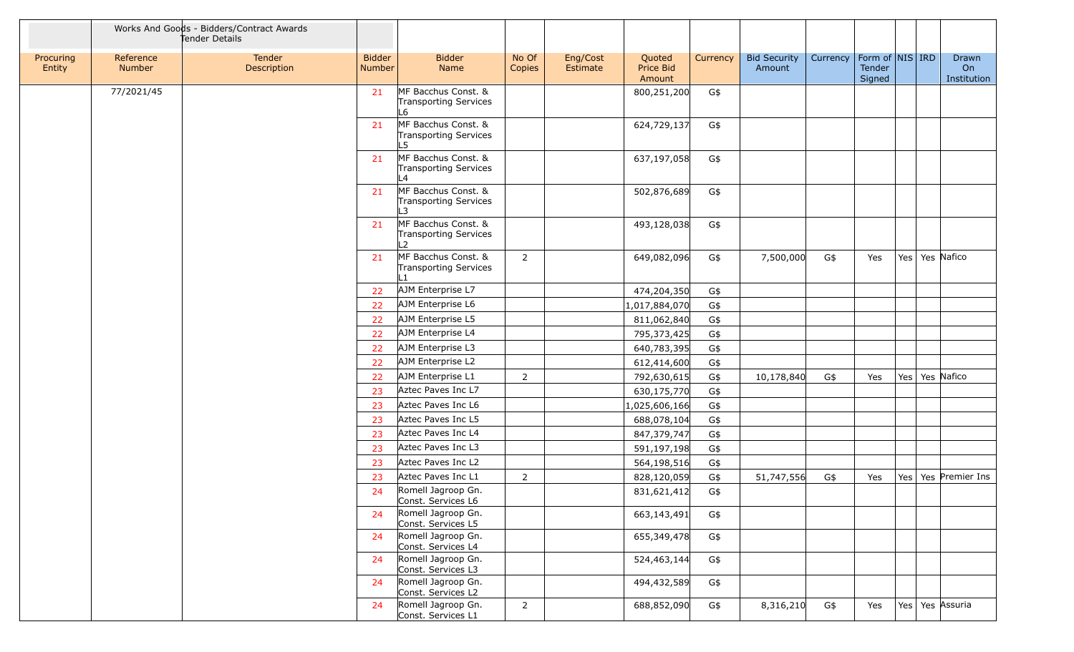|                     |                            | Works And Goods - Bidders/Contract Awards<br>Tender Details |                         |                                                                       |                 |                      |                               |          |                               |          |                                       |     |                            |
|---------------------|----------------------------|-------------------------------------------------------------|-------------------------|-----------------------------------------------------------------------|-----------------|----------------------|-------------------------------|----------|-------------------------------|----------|---------------------------------------|-----|----------------------------|
| Procuring<br>Entity | Reference<br><b>Number</b> | Tender<br>Description                                       | <b>Bidder</b><br>Number | <b>Bidder</b><br>Name                                                 | No Of<br>Copies | Eng/Cost<br>Estimate | Quoted<br>Price Bid<br>Amount | Currency | <b>Bid Security</b><br>Amount | Currency | Form of $NIS$ IRD<br>Tender<br>Signed |     | Drawn<br>On<br>Institution |
|                     | 77/2021/45                 |                                                             | 21                      | MF Bacchus Const. &<br>Transporting Services<br>.6                    |                 |                      | 800,251,200                   | G\$      |                               |          |                                       |     |                            |
|                     |                            |                                                             | 21                      | MF Bacchus Const. &<br>Transporting Services<br>.5                    |                 |                      | 624,729,137                   | G\$      |                               |          |                                       |     |                            |
|                     |                            |                                                             | 21                      | MF Bacchus Const. &<br>Transporting Services<br>4 <sub>4</sub>        |                 |                      | 637,197,058                   | G\$      |                               |          |                                       |     |                            |
|                     |                            |                                                             | 21                      | MF Bacchus Const. &<br>Transporting Services<br>L3                    |                 |                      | 502,876,689                   | G\$      |                               |          |                                       |     |                            |
|                     |                            |                                                             | 21                      | MF Bacchus Const. &<br><b>Transporting Services</b><br>$\overline{2}$ |                 |                      | 493,128,038                   | G\$      |                               |          |                                       |     |                            |
|                     |                            |                                                             | 21                      | MF Bacchus Const. &<br>Transporting Services<br>$\mathbf{1}$          | $\overline{2}$  |                      | 649,082,096                   | G\$      | 7,500,000                     | G\$      | Yes                                   |     | Yes   Yes   Nafico         |
|                     |                            |                                                             | 22                      | AJM Enterprise L7                                                     |                 |                      | 474,204,350                   | G\$      |                               |          |                                       |     |                            |
|                     |                            |                                                             | 22                      | AJM Enterprise L6                                                     |                 |                      | 1,017,884,070                 | G\$      |                               |          |                                       |     |                            |
|                     |                            |                                                             | 22                      | AJM Enterprise L5                                                     |                 |                      | 811,062,840                   | G\$      |                               |          |                                       |     |                            |
|                     |                            |                                                             | 22                      | AJM Enterprise L4                                                     |                 |                      | 795,373,425                   | G\$      |                               |          |                                       |     |                            |
|                     |                            |                                                             | 22                      | AJM Enterprise L3                                                     |                 |                      | 640,783,395                   | G\$      |                               |          |                                       |     |                            |
|                     |                            |                                                             | 22                      | AJM Enterprise L2                                                     |                 |                      | 612,414,600                   | G\$      |                               |          |                                       |     |                            |
|                     |                            |                                                             | 22                      | AJM Enterprise L1                                                     | $\overline{2}$  |                      | 792,630,615                   | G\$      | 10,178,840                    | G\$      | Yes                                   | Yes | Yes Nafico                 |
|                     |                            |                                                             | 23                      | Aztec Paves Inc L7                                                    |                 |                      | 630,175,770                   | G\$      |                               |          |                                       |     |                            |
|                     |                            |                                                             | 23                      | Aztec Paves Inc L6                                                    |                 |                      | 1,025,606,166                 | G\$      |                               |          |                                       |     |                            |
|                     |                            |                                                             | 23                      | Aztec Paves Inc L5                                                    |                 |                      | 688,078,104                   | G\$      |                               |          |                                       |     |                            |
|                     |                            |                                                             | 23                      | Aztec Paves Inc L4                                                    |                 |                      | 847,379,747                   | G\$      |                               |          |                                       |     |                            |
|                     |                            |                                                             | 23                      | Aztec Paves Inc L3                                                    |                 |                      | 591,197,198                   | G\$      |                               |          |                                       |     |                            |
|                     |                            |                                                             | 23                      | Aztec Paves Inc L2                                                    |                 |                      | 564,198,516                   | G\$      |                               |          |                                       |     |                            |
|                     |                            |                                                             | 23                      | Aztec Paves Inc L1                                                    | $\overline{2}$  |                      | 828,120,059                   | G\$      | 51,747,556                    | G\$      | Yes                                   | Yes | Yes Premier Ins            |
|                     |                            |                                                             | 24                      | Romell Jagroop Gn.<br>Const. Services L6                              |                 |                      | 831,621,412                   | G\$      |                               |          |                                       |     |                            |
|                     |                            |                                                             | 24                      | Romell Jagroop Gn.<br>Const. Services L5                              |                 |                      | 663,143,491                   | G\$      |                               |          |                                       |     |                            |
|                     |                            |                                                             | 24<br>24                | Romell Jagroop Gn.<br>Const. Services L4<br>Romell Jagroop Gn.        |                 |                      | 655,349,478                   | G\$      |                               |          |                                       |     |                            |
|                     |                            |                                                             |                         | Const. Services L3                                                    |                 |                      | 524,463,144                   | G\$      |                               |          |                                       |     |                            |
|                     |                            |                                                             | 24                      | Romell Jagroop Gn.<br>Const. Services L2                              |                 |                      | 494,432,589                   | G\$      |                               |          |                                       |     |                            |
|                     |                            |                                                             | 24                      | Romell Jagroop Gn.<br>Const. Services L1                              | $\overline{2}$  |                      | 688,852,090                   | G\$      | 8,316,210                     | G\$      | Yes                                   |     | Yes   Yes   Assuria        |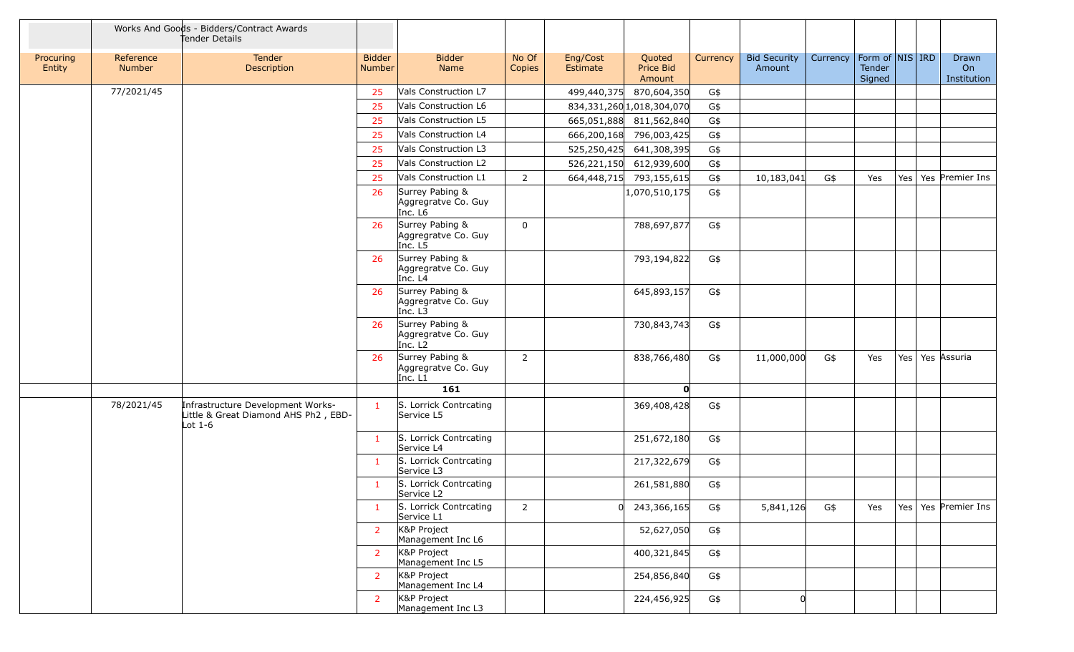|                     |                     | Works And Goods - Bidders/Contract Awards<br>Tender Details                          |                                |                                                               |                 |                      |                               |          |                               |          |                                         |     |                            |
|---------------------|---------------------|--------------------------------------------------------------------------------------|--------------------------------|---------------------------------------------------------------|-----------------|----------------------|-------------------------------|----------|-------------------------------|----------|-----------------------------------------|-----|----------------------------|
| Procuring<br>Entity | Reference<br>Number | Tender<br>Description                                                                | <b>Bidder</b><br><b>Number</b> | <b>Bidder</b><br>Name                                         | No Of<br>Copies | Eng/Cost<br>Estimate | Quoted<br>Price Bid<br>Amount | Currency | <b>Bid Security</b><br>Amount | Currency | Form of   NIS   IRD<br>Tender<br>Signed |     | Drawn<br>On<br>Institution |
|                     | 77/2021/45          |                                                                                      | 25                             | Vals Construction L7                                          |                 | 499,440,375          | 870,604,350                   | G\$      |                               |          |                                         |     |                            |
|                     |                     |                                                                                      | 25                             | Vals Construction L6                                          |                 |                      | 834,331,260 1,018,304,070     | G\$      |                               |          |                                         |     |                            |
|                     |                     |                                                                                      | 25                             | Vals Construction L5                                          |                 |                      | 665,051,888 811,562,840       | G\$      |                               |          |                                         |     |                            |
|                     |                     |                                                                                      | 25                             | Vals Construction L4                                          |                 | 666,200,168          | 796,003,425                   | G\$      |                               |          |                                         |     |                            |
|                     |                     |                                                                                      | 25                             | Vals Construction L3                                          |                 | 525,250,425          | 641,308,395                   | G\$      |                               |          |                                         |     |                            |
|                     |                     |                                                                                      | 25                             | Vals Construction L2                                          |                 |                      | 526,221,150 612,939,600       | G\$      |                               |          |                                         |     |                            |
|                     |                     |                                                                                      | 25                             | Vals Construction L1                                          | $\overline{2}$  | 664,448,715          | 793,155,615                   | G\$      | 10,183,041                    | G\$      | Yes                                     | Yes | Yes Premier Ins            |
|                     |                     |                                                                                      | 26                             | Surrey Pabing &<br>Aggregratve Co. Guy<br>Inc. L6             |                 |                      | 1,070,510,175                 | G\$      |                               |          |                                         |     |                            |
|                     |                     |                                                                                      | 26                             | Surrey Pabing &<br>Aggregratve Co. Guy<br>Inc. L5             | $\mathbf 0$     |                      | 788,697,877                   | G\$      |                               |          |                                         |     |                            |
|                     |                     |                                                                                      | 26                             | Surrey Pabing &<br>Aggregratve Co. Guy<br>Inc. L4             |                 |                      | 793,194,822                   | G\$      |                               |          |                                         |     |                            |
|                     |                     |                                                                                      | 26                             | Surrey Pabing &<br>Aggregratve Co. Guy<br>Inc. L3             |                 |                      | 645,893,157                   | G\$      |                               |          |                                         |     |                            |
|                     |                     |                                                                                      | 26                             | Surrey Pabing &<br>Aggregratve Co. Guy<br>Inc. L <sub>2</sub> |                 |                      | 730,843,743                   | G\$      |                               |          |                                         |     |                            |
|                     |                     |                                                                                      | 26                             | Surrey Pabing &<br>Aggregratve Co. Guy<br>Inc. L1             | 2               |                      | 838,766,480                   | G\$      | 11,000,000                    | G\$      | Yes                                     |     | Yes   Yes   Assuria        |
|                     |                     |                                                                                      |                                | 161                                                           |                 |                      | O                             |          |                               |          |                                         |     |                            |
|                     | 78/2021/45          | Infrastructure Development Works-<br>Little & Great Diamond AHS Ph2, EBD-<br>Lot 1-6 | $\mathbf{1}$                   | S. Lorrick Contrcating<br>Service L5                          |                 |                      | 369,408,428                   | G\$      |                               |          |                                         |     |                            |
|                     |                     |                                                                                      | $\mathbf{1}$                   | S. Lorrick Contrcating<br>Service L4                          |                 |                      | 251,672,180                   | G\$      |                               |          |                                         |     |                            |
|                     |                     |                                                                                      |                                | S. Lorrick Contrcating<br>Service L3                          |                 |                      | 217,322,679                   | G\$      |                               |          |                                         |     |                            |
|                     |                     |                                                                                      | 1                              | S. Lorrick Contrcating<br>Service L <sub>2</sub>              |                 |                      | 261,581,880                   | G\$      |                               |          |                                         |     |                            |
|                     |                     |                                                                                      | $\mathbf{1}$                   | S. Lorrick Contrcating<br>Service L1                          | $\overline{2}$  |                      | 243,366,165                   | G\$      | 5,841,126                     | G\$      | Yes                                     |     | Yes   Yes   Premier Ins    |
|                     |                     |                                                                                      | $\overline{2}$                 | K&P Project<br>Management Inc L6                              |                 |                      | 52,627,050                    | G\$      |                               |          |                                         |     |                            |
|                     |                     |                                                                                      | 2 <sup>1</sup>                 | K&P Project<br>Management Inc L5                              |                 |                      | 400,321,845                   | G\$      |                               |          |                                         |     |                            |
|                     |                     |                                                                                      | $\overline{2}$                 | K&P Project<br>Management Inc L4                              |                 |                      | 254,856,840                   | G\$      |                               |          |                                         |     |                            |
|                     |                     |                                                                                      | $\overline{2}$                 | K&P Project<br>Management Inc L3                              |                 |                      | 224,456,925                   | G\$      | $\Omega$                      |          |                                         |     |                            |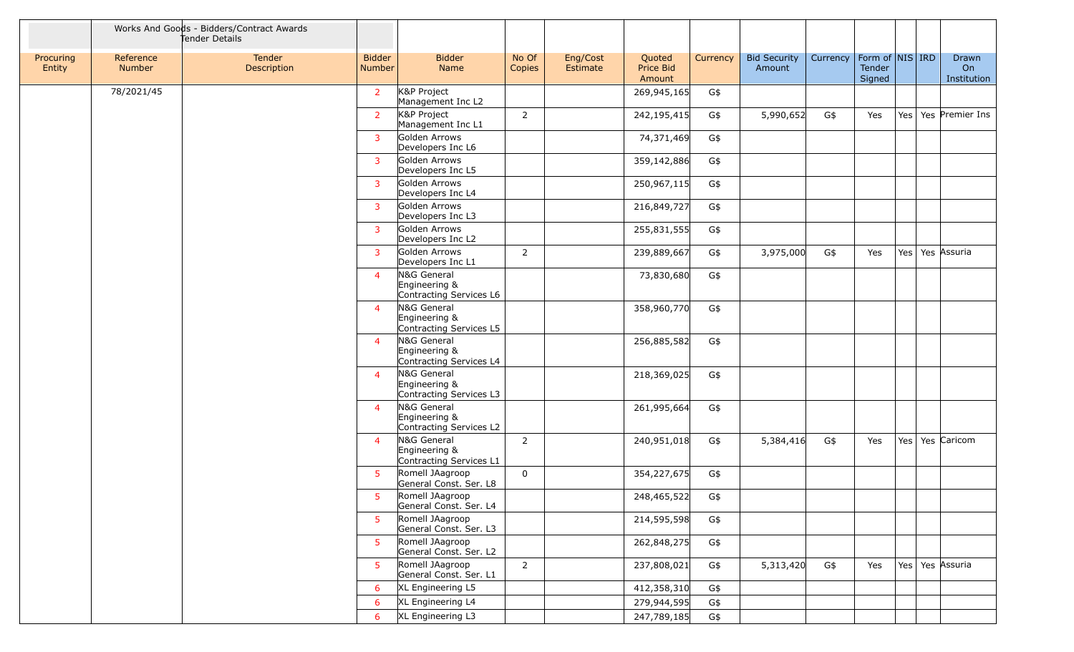|                     |                     | Works And Goods - Bidders/Contract Awards<br>Tender Details |                                |                                                         |                 |                      |                               |          |                               |          |                                     |  |                            |
|---------------------|---------------------|-------------------------------------------------------------|--------------------------------|---------------------------------------------------------|-----------------|----------------------|-------------------------------|----------|-------------------------------|----------|-------------------------------------|--|----------------------------|
| Procuring<br>Entity | Reference<br>Number | Tender<br>Description                                       | <b>Bidder</b><br><b>Number</b> | <b>Bidder</b><br>Name                                   | No Of<br>Copies | Eng/Cost<br>Estimate | Quoted<br>Price Bid<br>Amount | Currency | <b>Bid Security</b><br>Amount | Currency | Form of NIS IRD<br>Tender<br>Signed |  | Drawn<br>On<br>Institution |
|                     | 78/2021/45          |                                                             | $\overline{2}$                 | K&P Project<br>Management Inc L2                        |                 |                      | 269,945,165                   | G\$      |                               |          |                                     |  |                            |
|                     |                     |                                                             | $\overline{2}$                 | K&P Project<br>Management Inc L1                        | $\overline{2}$  |                      | 242,195,415                   | G\$      | 5,990,652                     | G\$      | Yes                                 |  | Yes   Yes   Premier Ins    |
|                     |                     |                                                             | 3                              | Golden Arrows<br>Developers Inc L6                      |                 |                      | 74,371,469                    | G\$      |                               |          |                                     |  |                            |
|                     |                     |                                                             | 3                              | Golden Arrows<br>Developers Inc L5                      |                 |                      | 359,142,886                   | G\$      |                               |          |                                     |  |                            |
|                     |                     |                                                             | 3                              | Golden Arrows<br>Developers Inc L4                      |                 |                      | 250,967,115                   | G\$      |                               |          |                                     |  |                            |
|                     |                     |                                                             | 3                              | Golden Arrows<br>Developers Inc L3                      |                 |                      | 216,849,727                   | G\$      |                               |          |                                     |  |                            |
|                     |                     |                                                             | 3                              | Golden Arrows<br>Developers Inc L2                      |                 |                      | 255,831,555                   | G\$      |                               |          |                                     |  |                            |
|                     |                     |                                                             | $\overline{3}$                 | Golden Arrows<br>Developers Inc L1                      | $\overline{2}$  |                      | 239,889,667                   | G\$      | 3,975,000                     | G\$      | Yes                                 |  | Yes   Yes   Assuria        |
|                     |                     |                                                             | $\overline{4}$                 | N&G General<br>Engineering &<br>Contracting Services L6 |                 |                      | 73,830,680                    | G\$      |                               |          |                                     |  |                            |
|                     |                     |                                                             | $\overline{4}$                 | N&G General<br>Engineering &<br>Contracting Services L5 |                 |                      | 358,960,770                   | G\$      |                               |          |                                     |  |                            |
|                     |                     |                                                             | $\overline{4}$                 | N&G General<br>Engineering &<br>Contracting Services L4 |                 |                      | 256,885,582                   | G\$      |                               |          |                                     |  |                            |
|                     |                     |                                                             | $\overline{4}$                 | N&G General<br>Engineering &<br>Contracting Services L3 |                 |                      | 218,369,025                   | G\$      |                               |          |                                     |  |                            |
|                     |                     |                                                             | $\overline{4}$                 | N&G General<br>Engineering &<br>Contracting Services L2 |                 |                      | 261,995,664                   | G\$      |                               |          |                                     |  |                            |
|                     |                     |                                                             | $\overline{4}$                 | N&G General<br>Engineering &<br>Contracting Services L1 | 2               |                      | 240,951,018                   | G\$      | 5,384,416                     | G\$      | Yes                                 |  | Yes   Yes   Caricom        |
|                     |                     |                                                             | 5.                             | Romell JAagroop<br>General Const. Ser. L8               | 0               |                      | 354,227,675                   | G\$      |                               |          |                                     |  |                            |
|                     |                     |                                                             |                                | 5 Romell JAagroop<br>General Const. Ser. L4             |                 |                      | 248,465,522                   | G\$      |                               |          |                                     |  |                            |
|                     |                     |                                                             | 5                              | Romell JAagroop<br>General Const. Ser. L3               |                 |                      | 214,595,598                   | G\$      |                               |          |                                     |  |                            |
|                     |                     |                                                             | -5                             | Romell JAagroop<br>General Const. Ser. L2               |                 |                      | 262,848,275                   | G\$      |                               |          |                                     |  |                            |
|                     |                     |                                                             | -5                             | Romell JAagroop<br>General Const. Ser. L1               | $\overline{2}$  |                      | 237,808,021                   | G\$      | 5,313,420                     | G\$      | Yes                                 |  | Yes   Yes   Assuria        |
|                     |                     |                                                             | 6                              | XL Engineering L5                                       |                 |                      | 412,358,310                   | G\$      |                               |          |                                     |  |                            |
|                     |                     |                                                             | 6                              | XL Engineering L4                                       |                 |                      | 279,944,595                   | G\$      |                               |          |                                     |  |                            |
|                     |                     |                                                             | 6                              | XL Engineering L3                                       |                 |                      | 247,789,185                   | G\$      |                               |          |                                     |  |                            |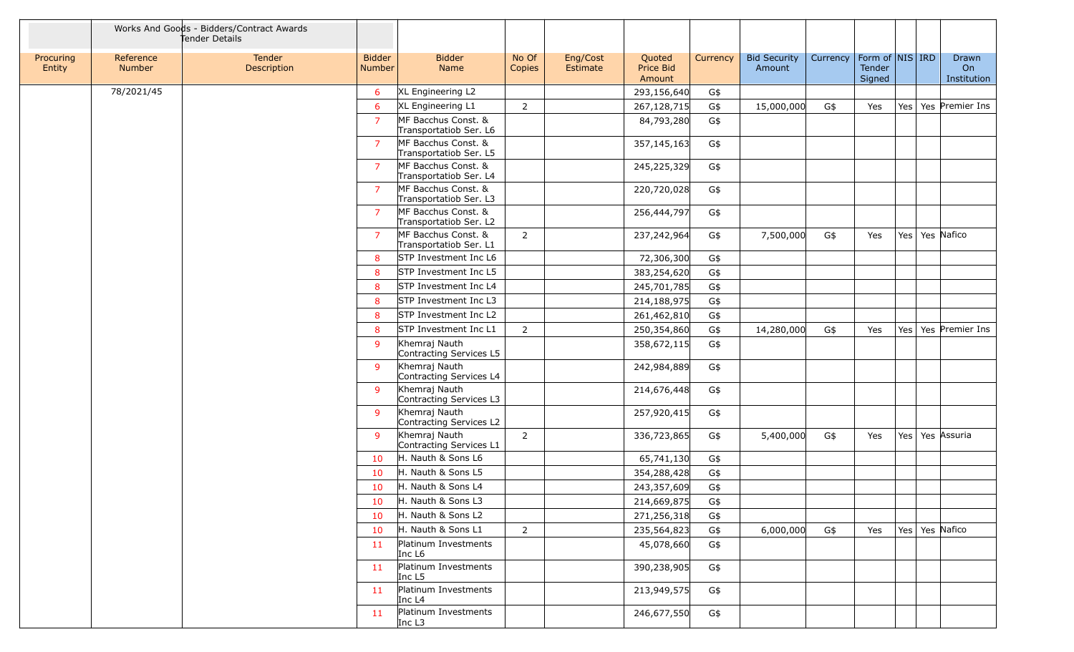|                     |                     | Works And Goods - Bidders/Contract Awards<br>Tender Details |                                |                                               |                 |                      |                               |          |                               |          |                                     |  |                            |
|---------------------|---------------------|-------------------------------------------------------------|--------------------------------|-----------------------------------------------|-----------------|----------------------|-------------------------------|----------|-------------------------------|----------|-------------------------------------|--|----------------------------|
| Procuring<br>Entity | Reference<br>Number | Tender<br>Description                                       | <b>Bidder</b><br><b>Number</b> | <b>Bidder</b><br>Name                         | No Of<br>Copies | Eng/Cost<br>Estimate | Quoted<br>Price Bid<br>Amount | Currency | <b>Bid Security</b><br>Amount | Currency | Form of NIS IRD<br>Tender<br>Signed |  | Drawn<br>On<br>Institution |
|                     | 78/2021/45          |                                                             | 6                              | XL Engineering L2                             |                 |                      | 293,156,640                   | G\$      |                               |          |                                     |  |                            |
|                     |                     |                                                             | 6                              | XL Engineering L1                             | $\overline{2}$  |                      | 267,128,715                   | G\$      | 15,000,000                    | G\$      | Yes                                 |  | Yes   Yes   Premier Ins    |
|                     |                     |                                                             | $\overline{7}$                 | MF Bacchus Const. &<br>Transportatiob Ser. L6 |                 |                      | 84,793,280                    | G\$      |                               |          |                                     |  |                            |
|                     |                     |                                                             | $\overline{7}$                 | MF Bacchus Const. &<br>Transportatiob Ser. L5 |                 |                      | 357,145,163                   | G\$      |                               |          |                                     |  |                            |
|                     |                     |                                                             | $\overline{7}$                 | MF Bacchus Const. &<br>Transportatiob Ser. L4 |                 |                      | 245,225,329                   | G\$      |                               |          |                                     |  |                            |
|                     |                     |                                                             | $\overline{7}$                 | MF Bacchus Const. &<br>Transportatiob Ser. L3 |                 |                      | 220,720,028                   | G\$      |                               |          |                                     |  |                            |
|                     |                     |                                                             | $\overline{7}$                 | MF Bacchus Const. &<br>Transportatiob Ser. L2 |                 |                      | 256,444,797                   | G\$      |                               |          |                                     |  |                            |
|                     |                     |                                                             | $\overline{7}$                 | MF Bacchus Const. &<br>Transportatiob Ser. L1 | $\overline{2}$  |                      | 237,242,964                   | G\$      | 7,500,000                     | G\$      | Yes                                 |  | Yes   Yes   Nafico         |
|                     |                     |                                                             | 8                              | STP Investment Inc L6                         |                 |                      | 72,306,300                    | G\$      |                               |          |                                     |  |                            |
|                     |                     |                                                             | 8                              | STP Investment Inc L5                         |                 |                      | 383,254,620                   | G\$      |                               |          |                                     |  |                            |
|                     |                     |                                                             | 8                              | STP Investment Inc L4                         |                 |                      | 245,701,785                   | G\$      |                               |          |                                     |  |                            |
|                     |                     |                                                             | 8                              | STP Investment Inc L3                         |                 |                      | 214,188,975                   | G\$      |                               |          |                                     |  |                            |
|                     |                     |                                                             | 8                              | STP Investment Inc L2                         |                 |                      | 261,462,810                   | G\$      |                               |          |                                     |  |                            |
|                     |                     |                                                             | 8                              | STP Investment Inc L1                         | $\overline{2}$  |                      | 250,354,860                   | G\$      | 14,280,000                    | G\$      | Yes                                 |  | Yes   Yes   Premier Ins    |
|                     |                     |                                                             | 9                              | Khemraj Nauth<br>Contracting Services L5      |                 |                      | 358,672,115                   | G\$      |                               |          |                                     |  |                            |
|                     |                     |                                                             | 9                              | Khemraj Nauth<br>Contracting Services L4      |                 |                      | 242,984,889                   | G\$      |                               |          |                                     |  |                            |
|                     |                     |                                                             | 9                              | Khemraj Nauth<br>Contracting Services L3      |                 |                      | 214,676,448                   | G\$      |                               |          |                                     |  |                            |
|                     |                     |                                                             | 9                              | Khemraj Nauth<br>Contracting Services L2      |                 |                      | 257,920,415                   | G\$      |                               |          |                                     |  |                            |
|                     |                     |                                                             | 9                              | Khemraj Nauth<br>Contracting Services L1      | 2               |                      | 336,723,865                   | G\$      | 5,400,000                     | G\$      | Yes                                 |  | Yes   Yes   Assuria        |
|                     |                     |                                                             | 10                             | H. Nauth & Sons L6                            |                 |                      | 65,741,130                    | G\$      |                               |          |                                     |  |                            |
|                     |                     |                                                             | 10                             | H. Nauth & Sons L5                            |                 |                      | 354,288,428                   | G\$      |                               |          |                                     |  |                            |
|                     |                     |                                                             | 10                             | H. Nauth & Sons L4                            |                 |                      | 243,357,609                   | G\$      |                               |          |                                     |  |                            |
|                     |                     |                                                             | 10                             | H. Nauth & Sons L3                            |                 |                      | 214,669,875                   | G\$      |                               |          |                                     |  |                            |
|                     |                     |                                                             | 10                             | H. Nauth & Sons L2                            |                 |                      | 271,256,318                   | G\$      |                               |          |                                     |  |                            |
|                     |                     |                                                             | 10                             | H. Nauth & Sons L1                            | 2               |                      | 235,564,823                   | G\$      | 6,000,000                     | G\$      | Yes                                 |  | Yes   Yes   Nafico         |
|                     |                     |                                                             | 11                             | Platinum Investments<br>Inc L <sub>6</sub>    |                 |                      | 45,078,660                    | G\$      |                               |          |                                     |  |                            |
|                     |                     |                                                             | 11                             | Platinum Investments<br>Inc L5                |                 |                      | 390,238,905                   | G\$      |                               |          |                                     |  |                            |
|                     |                     |                                                             | 11                             | Platinum Investments<br>Inc $L4$              |                 |                      | 213,949,575                   | G\$      |                               |          |                                     |  |                            |
|                     |                     |                                                             | 11                             | Platinum Investments<br>Inc $L3$              |                 |                      | 246,677,550                   | G\$      |                               |          |                                     |  |                            |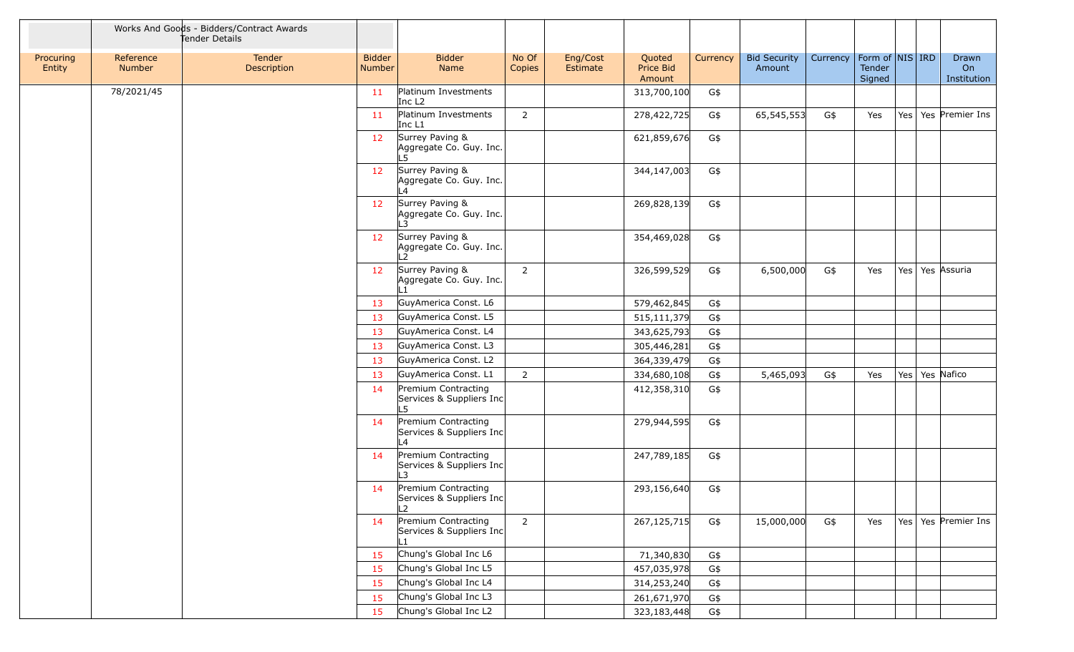|                     |                     | Works And Goods - Bidders/Contract Awards<br>Tender Details |                                |                                                       |                 |                      |                               |          |                               |          |                                       |     |                            |
|---------------------|---------------------|-------------------------------------------------------------|--------------------------------|-------------------------------------------------------|-----------------|----------------------|-------------------------------|----------|-------------------------------|----------|---------------------------------------|-----|----------------------------|
| Procuring<br>Entity | Reference<br>Number | Tender<br>Description                                       | <b>Bidder</b><br><b>Number</b> | <b>Bidder</b><br>Name                                 | No Of<br>Copies | Eng/Cost<br>Estimate | Quoted<br>Price Bid<br>Amount | Currency | <b>Bid Security</b><br>Amount | Currency | Form of $NIS$ IRD<br>Tender<br>Signed |     | Drawn<br>On<br>Institution |
|                     | 78/2021/45          |                                                             | 11                             | Platinum Investments<br>Inc L <sub>2</sub>            |                 |                      | 313,700,100                   | G\$      |                               |          |                                       |     |                            |
|                     |                     |                                                             | 11                             | Platinum Investments<br>Inc L1                        | $\overline{2}$  |                      | 278,422,725                   | G\$      | 65,545,553                    | G\$      | Yes                                   |     | Yes   Yes   Premier Ins    |
|                     |                     |                                                             | 12                             | Surrey Paving &<br>Aggregate Co. Guy. Inc.<br>L5      |                 |                      | 621,859,676                   | G\$      |                               |          |                                       |     |                            |
|                     |                     |                                                             | 12                             | Surrey Paving &<br>Aggregate Co. Guy. Inc.<br>L4      |                 |                      | 344,147,003                   | G\$      |                               |          |                                       |     |                            |
|                     |                     |                                                             | 12                             | Surrey Paving &<br>Aggregate Co. Guy. Inc.<br>L3      |                 |                      | 269,828,139                   | G\$      |                               |          |                                       |     |                            |
|                     |                     |                                                             | 12                             | Surrey Paving &<br>Aggregate Co. Guy. Inc.<br>12      |                 |                      | 354,469,028                   | G\$      |                               |          |                                       |     |                            |
|                     |                     |                                                             | 12                             | Surrey Paving &<br>Aggregate Co. Guy. Inc.            | $\overline{2}$  |                      | 326,599,529                   | G\$      | 6,500,000                     | G\$      | Yes                                   |     | Yes   Yes   Assuria        |
|                     |                     |                                                             | 13                             | GuyAmerica Const. L6                                  |                 |                      | 579,462,845                   | G\$      |                               |          |                                       |     |                            |
|                     |                     |                                                             | 13                             | GuyAmerica Const. L5                                  |                 |                      | 515,111,379                   | G\$      |                               |          |                                       |     |                            |
|                     |                     |                                                             | 13                             | GuyAmerica Const. L4                                  |                 |                      | 343,625,793                   | G\$      |                               |          |                                       |     |                            |
|                     |                     |                                                             | 13                             | GuyAmerica Const. L3                                  |                 |                      | 305,446,281                   | G\$      |                               |          |                                       |     |                            |
|                     |                     |                                                             | 13                             | GuyAmerica Const. L2                                  |                 |                      | 364,339,479                   | G\$      |                               |          |                                       |     |                            |
|                     |                     |                                                             | 13                             | GuyAmerica Const. L1                                  | $\overline{2}$  |                      | 334,680,108                   | G\$      | 5,465,093                     | G\$      | Yes                                   | Yes | Yes Nafico                 |
|                     |                     |                                                             | 14                             | Premium Contracting<br>Services & Suppliers Inc<br>L5 |                 |                      | 412,358,310                   | G\$      |                               |          |                                       |     |                            |
|                     |                     |                                                             | 14                             | Premium Contracting<br>Services & Suppliers Inc<br>L4 |                 |                      | 279,944,595                   | G\$      |                               |          |                                       |     |                            |
|                     |                     |                                                             | 14                             | Premium Contracting<br>Services & Suppliers Inc<br>۱3 |                 |                      | 247,789,185                   | G\$      |                               |          |                                       |     |                            |
|                     |                     |                                                             | 14                             | Premium Contracting<br>Services & Suppliers Inc<br>L2 |                 |                      | 293,156,640                   | G\$      |                               |          |                                       |     |                            |
|                     |                     |                                                             | 14                             | Premium Contracting<br>Services & Suppliers Inc<br>L1 | $\overline{2}$  |                      | 267,125,715                   | G\$      | 15,000,000                    | G\$      | Yes                                   |     | Yes   Yes   Premier Ins    |
|                     |                     |                                                             | 15                             | Chung's Global Inc L6                                 |                 |                      | 71,340,830                    | G\$      |                               |          |                                       |     |                            |
|                     |                     |                                                             | 15                             | Chung's Global Inc L5                                 |                 |                      | 457,035,978                   | G\$      |                               |          |                                       |     |                            |
|                     |                     |                                                             | 15                             | Chung's Global Inc L4                                 |                 |                      | 314,253,240                   | G\$      |                               |          |                                       |     |                            |
|                     |                     |                                                             | 15                             | Chung's Global Inc L3                                 |                 |                      | 261,671,970                   | G\$      |                               |          |                                       |     |                            |
|                     |                     |                                                             | 15                             | Chung's Global Inc L2                                 |                 |                      | 323,183,448                   | G\$      |                               |          |                                       |     |                            |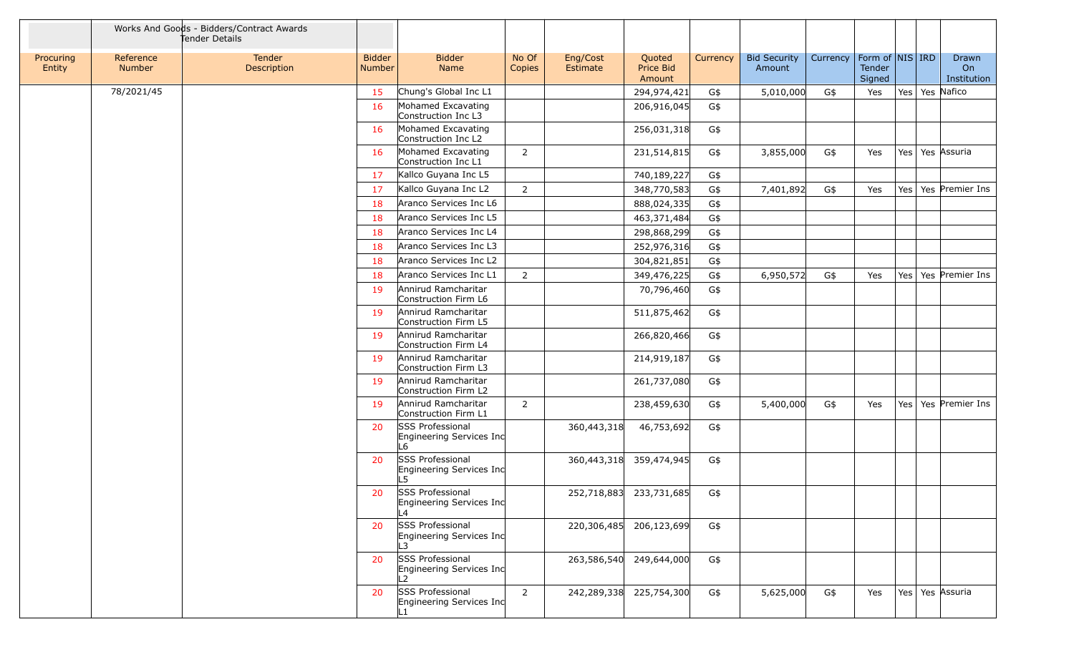|                     |                     | Works And Goods - Bidders/Contract Awards<br>Tender Details |                                |                                                           |                 |                      |                               |          |                               |          |                                     |     |                            |
|---------------------|---------------------|-------------------------------------------------------------|--------------------------------|-----------------------------------------------------------|-----------------|----------------------|-------------------------------|----------|-------------------------------|----------|-------------------------------------|-----|----------------------------|
| Procuring<br>Entity | Reference<br>Number | Tender<br>Description                                       | <b>Bidder</b><br><b>Number</b> | <b>Bidder</b><br>Name                                     | No Of<br>Copies | Eng/Cost<br>Estimate | Quoted<br>Price Bid<br>Amount | Currency | <b>Bid Security</b><br>Amount | Currency | Form of NIS IRD<br>Tender<br>Signed |     | Drawn<br>On<br>Institution |
|                     | 78/2021/45          |                                                             | 15                             | Chung's Global Inc L1                                     |                 |                      | 294,974,421                   | G\$      | 5,010,000                     | G\$      | Yes                                 | Yes | Yes Nafico                 |
|                     |                     |                                                             | 16                             | Mohamed Excavating<br>Construction Inc L3                 |                 |                      | 206,916,045                   | G\$      |                               |          |                                     |     |                            |
|                     |                     |                                                             | 16                             | Mohamed Excavating<br>Construction Inc L2                 |                 |                      | 256,031,318                   | G\$      |                               |          |                                     |     |                            |
|                     |                     |                                                             | 16                             | Mohamed Excavating<br>Construction Inc L1                 | $\overline{2}$  |                      | 231,514,815                   | G\$      | 3,855,000                     | G\$      | Yes                                 | Yes | Yes Assuria                |
|                     |                     |                                                             | 17                             | Kallco Guyana Inc L5                                      |                 |                      | 740,189,227                   | G\$      |                               |          |                                     |     |                            |
|                     |                     |                                                             | 17                             | Kallco Guyana Inc L2                                      | $\overline{2}$  |                      | 348,770,583                   | G\$      | 7,401,892                     | G\$      | Yes                                 | Yes | Yes Premier Ins            |
|                     |                     |                                                             | 18                             | Aranco Services Inc L6                                    |                 |                      | 888,024,335                   | G\$      |                               |          |                                     |     |                            |
|                     |                     |                                                             | 18                             | Aranco Services Inc L5                                    |                 |                      | 463,371,484                   | G\$      |                               |          |                                     |     |                            |
|                     |                     |                                                             | 18                             | Aranco Services Inc L4                                    |                 |                      | 298,868,299                   | G\$      |                               |          |                                     |     |                            |
|                     |                     |                                                             | 18                             | Aranco Services Inc L3                                    |                 |                      | 252,976,316                   | G\$      |                               |          |                                     |     |                            |
|                     |                     |                                                             | 18                             | Aranco Services Inc L2                                    |                 |                      | 304,821,851                   | G\$      |                               |          |                                     |     |                            |
|                     |                     |                                                             | 18                             | Aranco Services Inc L1                                    | $\overline{2}$  |                      | 349,476,225                   | G\$      | 6,950,572                     | G\$      | Yes                                 | Yes | Yes Premier Ins            |
|                     |                     |                                                             | 19                             | Annirud Ramcharitar<br>Construction Firm L6               |                 |                      | 70,796,460                    | G\$      |                               |          |                                     |     |                            |
|                     |                     |                                                             | 19                             | Annirud Ramcharitar<br>Construction Firm L5               |                 |                      | 511,875,462                   | G\$      |                               |          |                                     |     |                            |
|                     |                     |                                                             | 19                             | Annirud Ramcharitar<br>Construction Firm L4               |                 |                      | 266,820,466                   | G\$      |                               |          |                                     |     |                            |
|                     |                     |                                                             | 19                             | Annirud Ramcharitar<br>Construction Firm L3               |                 |                      | 214,919,187                   | G\$      |                               |          |                                     |     |                            |
|                     |                     |                                                             | 19                             | Annirud Ramcharitar<br>Construction Firm L2               |                 |                      | 261,737,080                   | G\$      |                               |          |                                     |     |                            |
|                     |                     |                                                             | 19                             | Annirud Ramcharitar<br>Construction Firm L1               | $\overline{2}$  |                      | 238,459,630                   | G\$      | 5,400,000                     | G\$      | Yes                                 | Yes | Yes Premier Ins            |
|                     |                     |                                                             | 20                             | <b>SSS Professional</b><br>Engineering Services Inc<br>L6 |                 | 360,443,318          | 46,753,692                    | G\$      |                               |          |                                     |     |                            |
|                     |                     |                                                             | 20                             | SSS Professional<br>Engineering Services Inc<br>L5        |                 |                      | 360,443,318 359,474,945       | G\$      |                               |          |                                     |     |                            |
|                     |                     |                                                             | 20                             | SSS Professional<br>Engineering Services Inc<br>L4        |                 |                      | 252,718,883 233,731,685       | G\$      |                               |          |                                     |     |                            |
|                     |                     |                                                             | 20                             | SSS Professional<br>Engineering Services Inc              |                 | 220,306,485          | 206,123,699                   | G\$      |                               |          |                                     |     |                            |
|                     |                     |                                                             | 20                             | SSS Professional<br>Engineering Services Inc<br>L2        |                 |                      | 263,586,540 249,644,000       | G\$      |                               |          |                                     |     |                            |
|                     |                     |                                                             | 20                             | SSS Professional<br>Engineering Services Inc              | $\overline{2}$  | 242,289,338          | 225,754,300                   | G\$      | 5,625,000                     | G\$      | Yes                                 |     | Yes   Yes   Assuria        |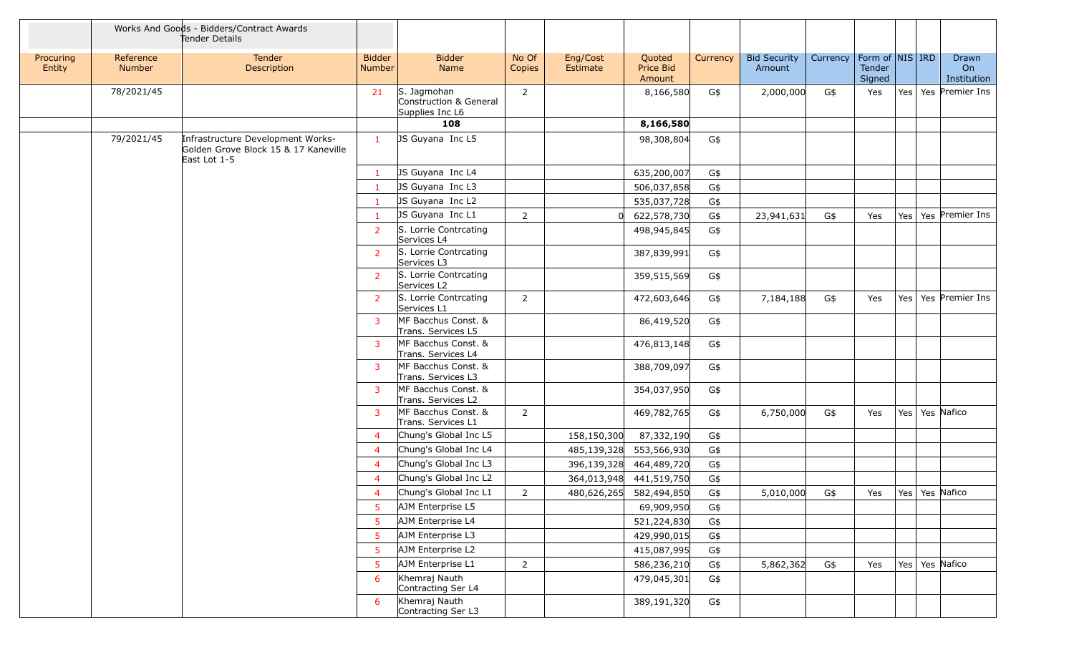|                     |                     | Works And Goods - Bidders/Contract Awards<br>Tender Details                               |                                |                                                          |                 |                      |                               |          |                               |          |                                     |     |                            |
|---------------------|---------------------|-------------------------------------------------------------------------------------------|--------------------------------|----------------------------------------------------------|-----------------|----------------------|-------------------------------|----------|-------------------------------|----------|-------------------------------------|-----|----------------------------|
| Procuring<br>Entity | Reference<br>Number | Tender<br>Description                                                                     | <b>Bidder</b><br><b>Number</b> | <b>Bidder</b><br>Name                                    | No Of<br>Copies | Eng/Cost<br>Estimate | Quoted<br>Price Bid<br>Amount | Currency | <b>Bid Security</b><br>Amount | Currency | Form of NIS IRD<br>Tender<br>Signed |     | Drawn<br>On<br>Institution |
|                     | 78/2021/45          |                                                                                           | 21                             | S. Jagmohan<br>Construction & General<br>Supplies Inc L6 | $\overline{2}$  |                      | 8,166,580                     | G\$      | 2,000,000                     | G\$      | Yes                                 |     | Yes   Yes   Premier Ins    |
|                     |                     |                                                                                           |                                | 108                                                      |                 |                      | 8,166,580                     |          |                               |          |                                     |     |                            |
|                     | 79/2021/45          | Infrastructure Development Works-<br>Golden Grove Block 15 & 17 Kaneville<br>East Lot 1-5 | $\mathbf{1}$                   | JS Guyana Inc L5                                         |                 |                      | 98,308,804                    | G\$      |                               |          |                                     |     |                            |
|                     |                     |                                                                                           | $\mathbf{1}$                   | JS Guyana Inc L4                                         |                 |                      | 635,200,007                   | G\$      |                               |          |                                     |     |                            |
|                     |                     |                                                                                           | 1                              | JS Guyana Inc L3                                         |                 |                      | 506,037,858                   | G\$      |                               |          |                                     |     |                            |
|                     |                     |                                                                                           | $\mathbf{1}$                   | JS Guyana Inc L2                                         |                 |                      | 535,037,728                   | G\$      |                               |          |                                     |     |                            |
|                     |                     |                                                                                           |                                | JS Guyana Inc L1                                         | $\overline{2}$  |                      | 622,578,730                   | G\$      | 23,941,631                    | G\$      | Yes                                 | Yes | Yes Premier Ins            |
|                     |                     |                                                                                           | $\overline{2}$                 | S. Lorrie Contrcating<br>Services L4                     |                 |                      | 498,945,845                   | G\$      |                               |          |                                     |     |                            |
|                     |                     |                                                                                           | $\overline{2}$                 | S. Lorrie Contrcating<br>Services L3                     |                 |                      | 387,839,991                   | G\$      |                               |          |                                     |     |                            |
|                     |                     |                                                                                           | 2                              | S. Lorrie Contrcating<br>Services L2                     |                 |                      | 359,515,569                   | G\$      |                               |          |                                     |     |                            |
|                     |                     |                                                                                           | 2                              | S. Lorrie Contrcating<br>Services L1                     | $\overline{2}$  |                      | 472,603,646                   | G\$      | 7,184,188                     | G\$      | Yes                                 |     | Yes   Yes   Premier Ins    |
|                     |                     |                                                                                           | 3                              | MF Bacchus Const. &<br>Trans. Services L5                |                 |                      | 86,419,520                    | G\$      |                               |          |                                     |     |                            |
|                     |                     |                                                                                           | 3                              | MF Bacchus Const. &<br>Trans. Services L4                |                 |                      | 476,813,148                   | G\$      |                               |          |                                     |     |                            |
|                     |                     |                                                                                           | 3                              | MF Bacchus Const. &<br>Trans. Services L3                |                 |                      | 388,709,097                   | G\$      |                               |          |                                     |     |                            |
|                     |                     |                                                                                           | 3                              | MF Bacchus Const. &<br>Trans. Services L2                |                 |                      | 354,037,950                   | G\$      |                               |          |                                     |     |                            |
|                     |                     |                                                                                           | 3                              | MF Bacchus Const. &<br>Trans. Services L1                | $\overline{2}$  |                      | 469,782,765                   | G\$      | 6,750,000                     | G\$      | Yes                                 |     | Yes   Yes   Nafico         |
|                     |                     |                                                                                           | $\overline{4}$                 | Chung's Global Inc L5                                    |                 | 158,150,300          | 87,332,190                    | G\$      |                               |          |                                     |     |                            |
|                     |                     |                                                                                           | $\overline{4}$                 | Chung's Global Inc L4                                    |                 | 485,139,328          | 553,566,930                   | G\$      |                               |          |                                     |     |                            |
|                     |                     |                                                                                           | 4                              | Chung's Global Inc L3                                    |                 |                      | 396,139,328 464,489,720       | G\$      |                               |          |                                     |     |                            |
|                     |                     |                                                                                           | $\overline{4}$                 | Chung's Global Inc L2                                    |                 |                      | 364,013,948 441,519,750       | G\$      |                               |          |                                     |     |                            |
|                     |                     |                                                                                           | $\overline{4}$                 | Chung's Global Inc L1                                    | 2               |                      | 480,626,265 582,494,850       | G\$      | 5,010,000                     | G\$      | Yes                                 |     | Yes   Yes Nafico           |
|                     |                     |                                                                                           | 5                              | AJM Enterprise L5                                        |                 |                      | 69,909,950                    | G\$      |                               |          |                                     |     |                            |
|                     |                     |                                                                                           | 5                              | AJM Enterprise L4                                        |                 |                      | 521,224,830                   | G\$      |                               |          |                                     |     |                            |
|                     |                     |                                                                                           | 5                              | AJM Enterprise L3                                        |                 |                      | 429,990,015                   | G\$      |                               |          |                                     |     |                            |
|                     |                     |                                                                                           | 5                              | AJM Enterprise L2                                        |                 |                      | 415,087,995                   | G\$      |                               |          |                                     |     |                            |
|                     |                     |                                                                                           | 5                              | AJM Enterprise L1                                        | $\overline{2}$  |                      | 586,236,210                   | G\$      | 5,862,362                     | G\$      | Yes                                 |     | Yes   Yes   Nafico         |
|                     |                     |                                                                                           | 6                              | Khemraj Nauth<br>Contracting Ser L4                      |                 |                      | 479,045,301                   | G\$      |                               |          |                                     |     |                            |
|                     |                     |                                                                                           | 6                              | Khemraj Nauth<br>Contracting Ser L3                      |                 |                      | 389,191,320                   | G\$      |                               |          |                                     |     |                            |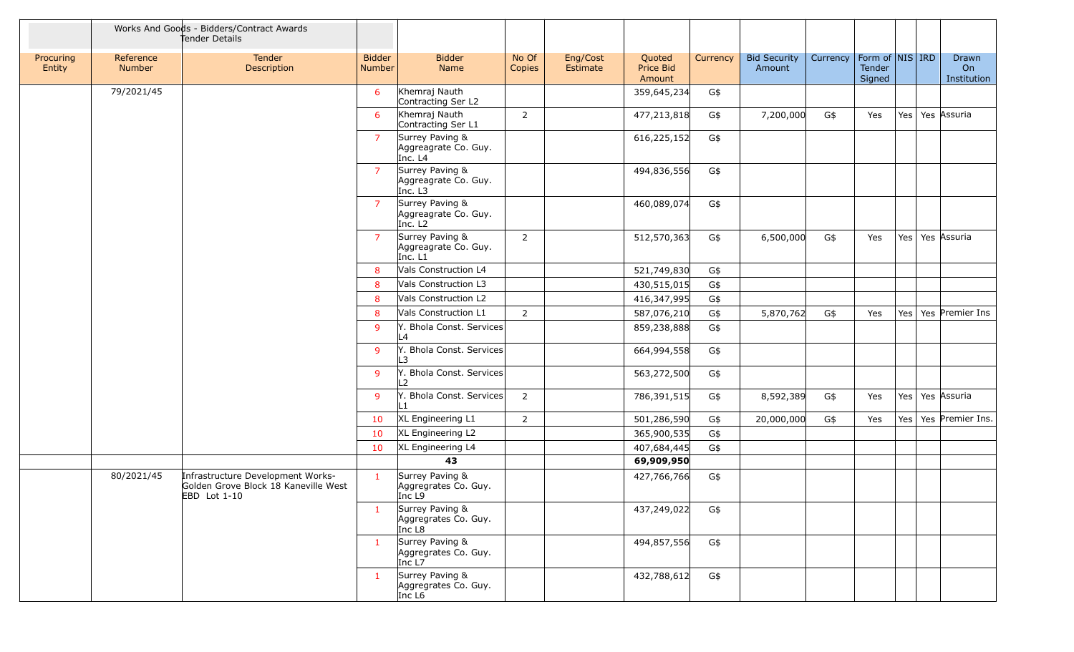|                     |                            | Works And Goods - Bidders/Contract Awards<br>Tender Details                               |                         |                                                                |                 |                      |                               |          |                               |          |                                     |     |                            |
|---------------------|----------------------------|-------------------------------------------------------------------------------------------|-------------------------|----------------------------------------------------------------|-----------------|----------------------|-------------------------------|----------|-------------------------------|----------|-------------------------------------|-----|----------------------------|
| Procuring<br>Entity | Reference<br><b>Number</b> | Tender<br>Description                                                                     | <b>Bidder</b><br>Number | <b>Bidder</b><br>Name                                          | No Of<br>Copies | Eng/Cost<br>Estimate | Quoted<br>Price Bid<br>Amount | Currency | <b>Bid Security</b><br>Amount | Currency | Form of NIS IRD<br>Tender<br>Signed |     | Drawn<br>On<br>Institution |
|                     | 79/2021/45                 |                                                                                           | 6                       | Khemraj Nauth<br>Contracting Ser L2                            |                 |                      | 359,645,234                   | G\$      |                               |          |                                     |     |                            |
|                     |                            |                                                                                           | 6                       | Khemraj Nauth<br>Contracting Ser L1                            | 2               |                      | 477,213,818                   | G\$      | 7,200,000                     | G\$      | Yes                                 |     | Yes   Yes   Assuria        |
|                     |                            |                                                                                           | $\overline{7}$          | Surrey Paving &<br>Aggreagrate Co. Guy.<br>Inc. L4             |                 |                      | 616,225,152                   | G\$      |                               |          |                                     |     |                            |
|                     |                            |                                                                                           | $\overline{7}$          | Surrey Paving &<br>Aggreagrate Co. Guy.<br>Inc. L3             |                 |                      | 494,836,556                   | G\$      |                               |          |                                     |     |                            |
|                     |                            |                                                                                           | $\overline{7}$          | Surrey Paving &<br>Aggreagrate Co. Guy.<br>Inc. L <sub>2</sub> |                 |                      | 460,089,074                   | G\$      |                               |          |                                     |     |                            |
|                     |                            |                                                                                           | 7                       | Surrey Paving &<br>Aggreagrate Co. Guy.<br>Inc. L1             | 2               |                      | 512,570,363                   | G\$      | 6,500,000                     | G\$      | Yes                                 |     | Yes   Yes   Assuria        |
|                     |                            |                                                                                           | 8                       | Vals Construction L4                                           |                 |                      | 521,749,830                   | G\$      |                               |          |                                     |     |                            |
|                     |                            |                                                                                           | 8                       | Vals Construction L3                                           |                 |                      | 430,515,015                   | G\$      |                               |          |                                     |     |                            |
|                     |                            |                                                                                           | 8                       | Vals Construction L2                                           |                 |                      | 416,347,995                   | G\$      |                               |          |                                     |     |                            |
|                     |                            |                                                                                           | 8                       | Vals Construction L1                                           | $\overline{2}$  |                      | 587,076,210                   | G\$      | 5,870,762                     | G\$      | Yes                                 |     | Yes   Yes   Premier Ins    |
|                     |                            |                                                                                           | 9                       | Y. Bhola Const. Services<br>L4                                 |                 |                      | 859,238,888                   | G\$      |                               |          |                                     |     |                            |
|                     |                            |                                                                                           | 9                       | Y. Bhola Const. Services<br>3                                  |                 |                      | 664,994,558                   | G\$      |                               |          |                                     |     |                            |
|                     |                            |                                                                                           | 9                       | Y. Bhola Const. Services<br>- 2                                |                 |                      | 563,272,500                   | G\$      |                               |          |                                     |     |                            |
|                     |                            |                                                                                           | 9                       | Y. Bhola Const. Services                                       | $\overline{2}$  |                      | 786,391,515                   | G\$      | 8,592,389                     | G\$      | Yes                                 |     | Yes   Yes   Assuria        |
|                     |                            |                                                                                           | 10                      | XL Engineering L1                                              | $\overline{2}$  |                      | 501,286,590                   | G\$      | 20,000,000                    | G\$      | Yes                                 | Yes | Yes Premier Ins.           |
|                     |                            |                                                                                           | 10                      | XL Engineering L2                                              |                 |                      | 365,900,535                   | G\$      |                               |          |                                     |     |                            |
|                     |                            |                                                                                           | 10                      | XL Engineering L4                                              |                 |                      | 407,684,445                   | G\$      |                               |          |                                     |     |                            |
|                     |                            |                                                                                           |                         | 43                                                             |                 |                      | 69,909,950                    |          |                               |          |                                     |     |                            |
|                     | 80/2021/45                 | Infrastructure Development Works-<br>Golden Grove Block 18 Kaneville West<br>EBD Lot 1-10 | $\mathbf{1}$            | Surrey Paving &<br>Aggregrates Co. Guy.<br>Inc $L9$            |                 |                      | 427,766,766                   | G\$      |                               |          |                                     |     |                            |
|                     |                            |                                                                                           | $\mathbf{1}$            | Surrey Paving &<br>Aggregrates Co. Guy.<br>Inc L8              |                 |                      | 437,249,022                   | G\$      |                               |          |                                     |     |                            |
|                     |                            |                                                                                           | $\mathbf{1}$            | Surrey Paving &<br>Aggregrates Co. Guy.<br>Inc L7              |                 |                      | 494,857,556                   | G\$      |                               |          |                                     |     |                            |
|                     |                            |                                                                                           | $\mathbf{1}$            | Surrey Paving &<br>Aggregrates Co. Guy.<br>Inc L <sub>6</sub>  |                 |                      | 432,788,612                   | G\$      |                               |          |                                     |     |                            |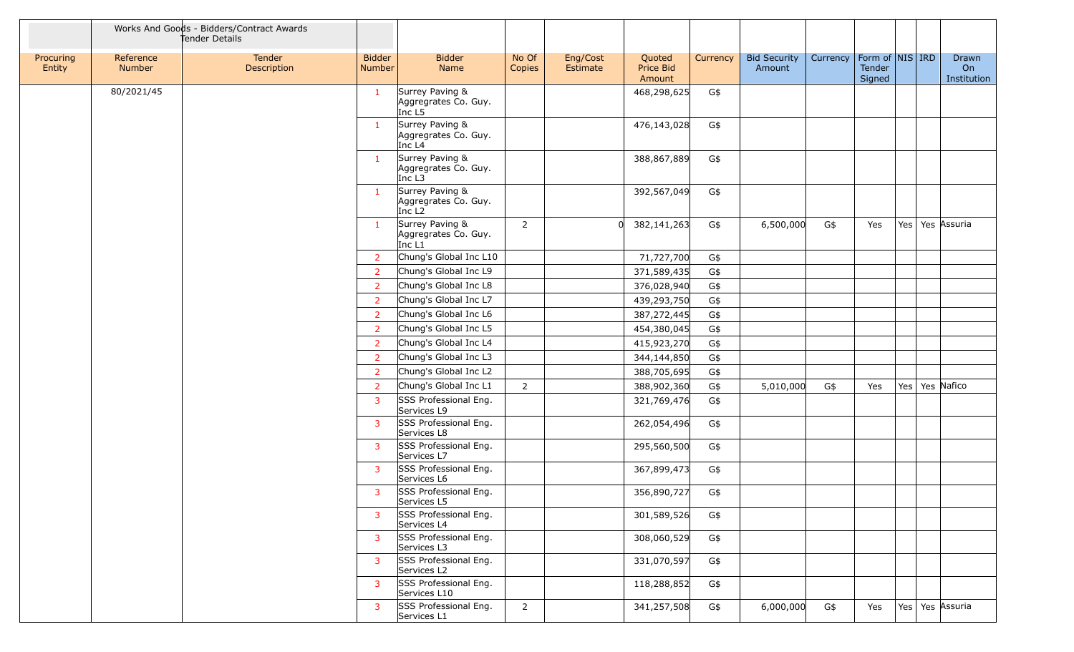|                     |                            | Works And Goods - Bidders/Contract Awards<br>Tender Details |                                |                                                               |                 |                      |                               |          |                               |          |                  |                     |                            |
|---------------------|----------------------------|-------------------------------------------------------------|--------------------------------|---------------------------------------------------------------|-----------------|----------------------|-------------------------------|----------|-------------------------------|----------|------------------|---------------------|----------------------------|
| Procuring<br>Entity | Reference<br><b>Number</b> | Tender<br>Description                                       | <b>Bidder</b><br><b>Number</b> | <b>Bidder</b><br>Name                                         | No Of<br>Copies | Eng/Cost<br>Estimate | Quoted<br>Price Bid<br>Amount | Currency | <b>Bid Security</b><br>Amount | Currency | Tender<br>Signed | Form of   NIS   IRD | Drawn<br>On<br>Institution |
|                     | 80/2021/45                 |                                                             | $\mathbf{1}$                   | Surrey Paving &<br>Aggregrates Co. Guy.<br>Inc L5             |                 |                      | 468,298,625                   | G\$      |                               |          |                  |                     |                            |
|                     |                            |                                                             | $\mathbf{1}$                   | Surrey Paving &<br>Aggregrates Co. Guy.<br>Inc L <sub>4</sub> |                 |                      | 476,143,028                   | G\$      |                               |          |                  |                     |                            |
|                     |                            |                                                             | $\mathbf{1}$                   | Surrey Paving &<br>Aggregrates Co. Guy.<br>$Inc$ L3           |                 |                      | 388,867,889                   | G\$      |                               |          |                  |                     |                            |
|                     |                            |                                                             | $\mathbf{1}$                   | Surrey Paving &<br>Aggregrates Co. Guy.<br>Inc L <sub>2</sub> |                 |                      | 392,567,049                   | G\$      |                               |          |                  |                     |                            |
|                     |                            |                                                             | $\mathbf{1}$                   | Surrey Paving &<br>Aggregrates Co. Guy.<br>Inc L1             | $\overline{2}$  |                      | 382,141,263                   | G\$      | 6,500,000                     | G\$      | Yes              | Yes   Yes   Assuria |                            |
|                     |                            |                                                             | 2                              | Chung's Global Inc L10                                        |                 |                      | 71,727,700                    | G\$      |                               |          |                  |                     |                            |
|                     |                            |                                                             | $\overline{2}$                 | Chung's Global Inc L9                                         |                 |                      | 371,589,435                   | G\$      |                               |          |                  |                     |                            |
|                     |                            |                                                             | $\overline{2}$                 | Chung's Global Inc L8                                         |                 |                      | 376,028,940                   | G\$      |                               |          |                  |                     |                            |
|                     |                            |                                                             | $\overline{2}$                 | Chung's Global Inc L7                                         |                 |                      | 439,293,750                   | G\$      |                               |          |                  |                     |                            |
|                     |                            |                                                             | $\overline{2}$                 | Chung's Global Inc L6                                         |                 |                      | 387,272,445                   | G\$      |                               |          |                  |                     |                            |
|                     |                            |                                                             | $\overline{2}$                 | Chung's Global Inc L5                                         |                 |                      | 454,380,045                   | G\$      |                               |          |                  |                     |                            |
|                     |                            |                                                             | $\overline{2}$                 | Chung's Global Inc L4                                         |                 |                      | 415,923,270                   | G\$      |                               |          |                  |                     |                            |
|                     |                            |                                                             | 2                              | Chung's Global Inc L3                                         |                 |                      | 344,144,850                   | G\$      |                               |          |                  |                     |                            |
|                     |                            |                                                             | 2                              | Chung's Global Inc L2                                         |                 |                      | 388,705,695                   | G\$      |                               |          |                  |                     |                            |
|                     |                            |                                                             | 2                              | Chung's Global Inc L1                                         | $\overline{2}$  |                      | 388,902,360                   | G\$      | 5,010,000                     | G\$      | Yes              | Yes   Yes   Nafico  |                            |
|                     |                            |                                                             | 3                              | SSS Professional Eng.<br>Services L9                          |                 |                      | 321,769,476                   | G\$      |                               |          |                  |                     |                            |
|                     |                            |                                                             | 3                              | SSS Professional Eng.<br>Services L8                          |                 |                      | 262,054,496                   | G\$      |                               |          |                  |                     |                            |
|                     |                            |                                                             | 3                              | SSS Professional Eng.<br>Services L7                          |                 |                      | 295,560,500                   | G\$      |                               |          |                  |                     |                            |
|                     |                            |                                                             | 3                              | SSS Professional Eng.<br>Services L6                          |                 |                      | 367,899,473                   | G\$      |                               |          |                  |                     |                            |
|                     |                            |                                                             | 3                              | SSS Professional Eng.<br>Services L5                          |                 |                      | 356,890,727                   | G\$      |                               |          |                  |                     |                            |
|                     |                            |                                                             | 3                              | SSS Professional Eng.<br>Services L4                          |                 |                      | 301,589,526                   | G\$      |                               |          |                  |                     |                            |
|                     |                            |                                                             | 3                              | SSS Professional Eng.<br>Services L3                          |                 |                      | 308,060,529                   | G\$      |                               |          |                  |                     |                            |
|                     |                            |                                                             | 3                              | SSS Professional Eng.<br>Services L2                          |                 |                      | 331,070,597                   | G\$      |                               |          |                  |                     |                            |
|                     |                            |                                                             | 3                              | SSS Professional Eng.<br>Services L10                         |                 |                      | 118,288,852                   | G\$      |                               |          |                  |                     |                            |
|                     |                            |                                                             | 3                              | SSS Professional Eng.<br>Services L1                          | $\overline{2}$  |                      | 341,257,508                   | G\$      | 6,000,000                     | G\$      | Yes              | Yes   Yes   Assuria |                            |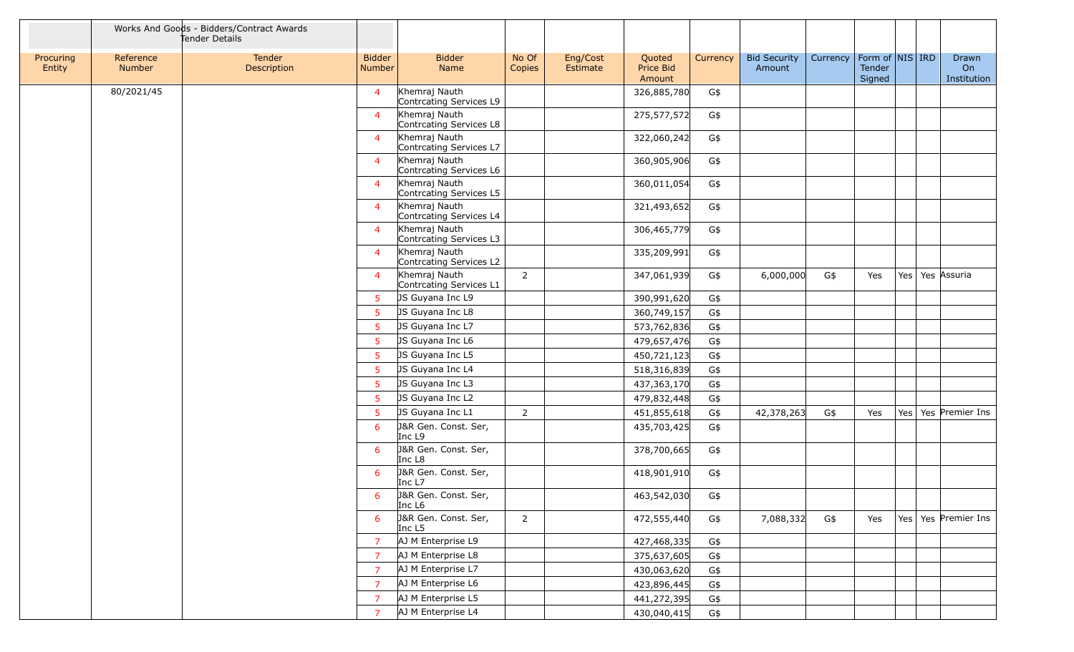|                     |                            | Works And Goods - Bidders/Contract Awards<br>Tender Details |                         |                                          |                 |                      |                               |          |                               |          |                                       |     |                            |
|---------------------|----------------------------|-------------------------------------------------------------|-------------------------|------------------------------------------|-----------------|----------------------|-------------------------------|----------|-------------------------------|----------|---------------------------------------|-----|----------------------------|
| Procuring<br>Entity | Reference<br><b>Number</b> | Tender<br>Description                                       | <b>Bidder</b><br>Number | <b>Bidder</b><br>Name                    | No Of<br>Copies | Eng/Cost<br>Estimate | Quoted<br>Price Bid<br>Amount | Currency | <b>Bid Security</b><br>Amount | Currency | Form of $NIS$ IRD<br>Tender<br>Signed |     | Drawn<br>On<br>Institution |
|                     | 80/2021/45                 |                                                             | $\overline{4}$          | Khemraj Nauth<br>Contrcating Services L9 |                 |                      | 326,885,780                   | G\$      |                               |          |                                       |     |                            |
|                     |                            |                                                             | $\overline{4}$          | Khemraj Nauth<br>Contrcating Services L8 |                 |                      | 275,577,572                   | G\$      |                               |          |                                       |     |                            |
|                     |                            |                                                             | $\overline{4}$          | Khemraj Nauth<br>Contrcating Services L7 |                 |                      | 322,060,242                   | G\$      |                               |          |                                       |     |                            |
|                     |                            |                                                             | $\overline{4}$          | Khemraj Nauth<br>Contrcating Services L6 |                 |                      | 360,905,906                   | G\$      |                               |          |                                       |     |                            |
|                     |                            |                                                             | $\overline{4}$          | Khemraj Nauth<br>Contrcating Services L5 |                 |                      | 360,011,054                   | G\$      |                               |          |                                       |     |                            |
|                     |                            |                                                             | $\overline{4}$          | Khemraj Nauth<br>Contrcating Services L4 |                 |                      | 321,493,652                   | G\$      |                               |          |                                       |     |                            |
|                     |                            |                                                             | $\overline{4}$          | Khemraj Nauth<br>Contrcating Services L3 |                 |                      | 306,465,779                   | G\$      |                               |          |                                       |     |                            |
|                     |                            |                                                             | $\overline{4}$          | Khemraj Nauth<br>Contrcating Services L2 |                 |                      | 335,209,991                   | G\$      |                               |          |                                       |     |                            |
|                     |                            |                                                             | $\overline{4}$          | Khemraj Nauth<br>Contrcating Services L1 | $\overline{2}$  |                      | 347,061,939                   | G\$      | 6,000,000                     | G\$      | Yes                                   | Yes | Yes Assuria                |
|                     |                            |                                                             | $5^{\circ}$             | JS Guyana Inc L9                         |                 |                      | 390,991,620                   | G\$      |                               |          |                                       |     |                            |
|                     |                            |                                                             | $5^{\circ}$             | JS Guyana Inc L8                         |                 |                      | 360,749,157                   | G\$      |                               |          |                                       |     |                            |
|                     |                            |                                                             | $5\phantom{.0}$         | JS Guyana Inc L7                         |                 |                      | 573,762,836                   | G\$      |                               |          |                                       |     |                            |
|                     |                            |                                                             | $5\phantom{.0}$         | JS Guyana Inc L6                         |                 |                      | 479,657,476                   | G\$      |                               |          |                                       |     |                            |
|                     |                            |                                                             | $5\phantom{.0}$         | JS Guyana Inc L5                         |                 |                      | 450,721,123                   | G\$      |                               |          |                                       |     |                            |
|                     |                            |                                                             | $5^{\circ}$             | JS Guyana Inc L4                         |                 |                      | 518,316,839                   | G\$      |                               |          |                                       |     |                            |
|                     |                            |                                                             | $5\phantom{.0}$         | JS Guyana Inc L3                         |                 |                      | 437,363,170                   | G\$      |                               |          |                                       |     |                            |
|                     |                            |                                                             | 5 <sup>5</sup>          | JS Guyana Inc L2                         |                 |                      | 479,832,448                   | G\$      |                               |          |                                       |     |                            |
|                     |                            |                                                             | $5\phantom{.0}$         | JS Guyana Inc L1                         | $\overline{2}$  |                      | 451,855,618                   | G\$      | 42,378,263                    | G\$      | Yes                                   | Yes | Yes Premier Ins            |
|                     |                            |                                                             | 6                       | J&R Gen. Const. Ser,<br>Inc L9           |                 |                      | 435,703,425                   | G\$      |                               |          |                                       |     |                            |
|                     |                            |                                                             | 6                       | J&R Gen. Const. Ser,<br>Inc L8           |                 |                      | 378,700,665                   | G\$      |                               |          |                                       |     |                            |
|                     |                            |                                                             | 6                       | J&R Gen. Const. Ser,<br>Inc L7           |                 |                      | 418,901,910                   | G\$      |                               |          |                                       |     |                            |
|                     |                            |                                                             | 6                       | J&R Gen. Const. Ser,<br>Inc L6           |                 |                      | 463,542,030                   | G\$      |                               |          |                                       |     |                            |
|                     |                            |                                                             | 6                       | J&R Gen. Const. Ser,<br>Inc L5           | $\overline{2}$  |                      | 472,555,440                   | G\$      | 7,088,332                     | G\$      | Yes                                   |     | Yes   Yes   Premier Ins    |
|                     |                            |                                                             | $\overline{7}$          | AJ M Enterprise L9                       |                 |                      | 427,468,335                   | G\$      |                               |          |                                       |     |                            |
|                     |                            |                                                             | $\overline{7}$          | AJ M Enterprise L8                       |                 |                      | 375,637,605                   | G\$      |                               |          |                                       |     |                            |
|                     |                            |                                                             | $\overline{7}$          | AJ M Enterprise L7                       |                 |                      | 430,063,620                   | G\$      |                               |          |                                       |     |                            |
|                     |                            |                                                             | $\overline{7}$          | AJ M Enterprise L6                       |                 |                      | 423,896,445                   | G\$      |                               |          |                                       |     |                            |
|                     |                            |                                                             | $\overline{7}$          | AJ M Enterprise L5                       |                 |                      | 441,272,395                   | G\$      |                               |          |                                       |     |                            |
|                     |                            |                                                             | $\overline{7}$          | AJ M Enterprise L4                       |                 |                      | 430,040,415                   | G\$      |                               |          |                                       |     |                            |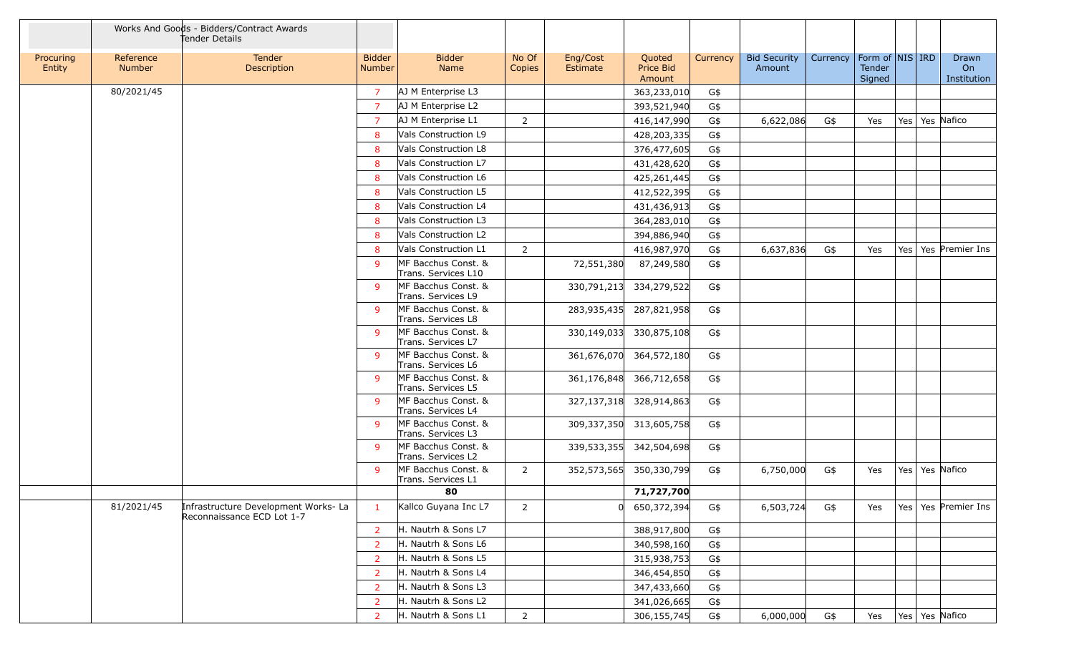|                     |                            | Works And Goods - Bidders/Contract Awards<br>Tender Details        |                         |                                            |                 |                      |                               |          |                               |          |                  |                     |                            |
|---------------------|----------------------------|--------------------------------------------------------------------|-------------------------|--------------------------------------------|-----------------|----------------------|-------------------------------|----------|-------------------------------|----------|------------------|---------------------|----------------------------|
| Procuring<br>Entity | Reference<br><b>Number</b> | Tender<br>Description                                              | <b>Bidder</b><br>Number | <b>Bidder</b><br>Name                      | No Of<br>Copies | Eng/Cost<br>Estimate | Quoted<br>Price Bid<br>Amount | Currency | <b>Bid Security</b><br>Amount | Currency | Tender<br>Signed | Form of   NIS   IRD | Drawn<br>On<br>Institution |
|                     | 80/2021/45                 |                                                                    | $\overline{7}$          | AJ M Enterprise L3                         |                 |                      | 363,233,010                   | G\$      |                               |          |                  |                     |                            |
|                     |                            |                                                                    | $\overline{7}$          | AJ M Enterprise L2                         |                 |                      | 393,521,940                   | G\$      |                               |          |                  |                     |                            |
|                     |                            |                                                                    | $\overline{7}$          | AJ M Enterprise L1                         | $\overline{2}$  |                      | 416,147,990                   | G\$      | 6,622,086                     | G\$      | Yes              | Yes   Yes   Nafico  |                            |
|                     |                            |                                                                    | 8                       | Vals Construction L9                       |                 |                      | 428,203,335                   | G\$      |                               |          |                  |                     |                            |
|                     |                            |                                                                    | 8                       | Vals Construction L8                       |                 |                      | 376,477,605                   | G\$      |                               |          |                  |                     |                            |
|                     |                            |                                                                    | 8                       | Vals Construction L7                       |                 |                      | 431,428,620                   | G\$      |                               |          |                  |                     |                            |
|                     |                            |                                                                    | 8                       | Vals Construction L6                       |                 |                      | 425,261,445                   | $G$ \$   |                               |          |                  |                     |                            |
|                     |                            |                                                                    | 8                       | Vals Construction L5                       |                 |                      | 412,522,395                   | G\$      |                               |          |                  |                     |                            |
|                     |                            |                                                                    | 8                       | Vals Construction L4                       |                 |                      | 431,436,913                   | $G$ \$   |                               |          |                  |                     |                            |
|                     |                            |                                                                    | 8                       | Vals Construction L3                       |                 |                      | 364,283,010                   | G\$      |                               |          |                  |                     |                            |
|                     |                            |                                                                    | 8                       | Vals Construction L2                       |                 |                      | 394,886,940                   | $G$ \$   |                               |          |                  |                     |                            |
|                     |                            |                                                                    | 8                       | Vals Construction L1                       | $\overline{2}$  |                      | 416,987,970                   | G\$      | 6,637,836                     | G\$      | Yes              |                     | Yes   Yes   Premier Ins    |
|                     |                            |                                                                    | -9                      | MF Bacchus Const. &<br>Trans. Services L10 |                 | 72,551,380           | 87,249,580                    | G\$      |                               |          |                  |                     |                            |
|                     |                            |                                                                    | -9                      | MF Bacchus Const. &<br>Trans. Services L9  |                 | 330,791,213          | 334,279,522                   | G\$      |                               |          |                  |                     |                            |
|                     |                            |                                                                    | -9                      | MF Bacchus Const. &<br>Trans. Services L8  |                 | 283,935,435          | 287,821,958                   | G\$      |                               |          |                  |                     |                            |
|                     |                            |                                                                    | -9                      | MF Bacchus Const. &<br>Trans. Services L7  |                 | 330,149,033          | 330,875,108                   | G\$      |                               |          |                  |                     |                            |
|                     |                            |                                                                    | -9                      | MF Bacchus Const. &<br>Trans. Services L6  |                 | 361,676,070          | 364,572,180                   | G\$      |                               |          |                  |                     |                            |
|                     |                            |                                                                    | -9                      | MF Bacchus Const. &<br>Trans. Services L5  |                 | 361,176,848          | 366,712,658                   | G\$      |                               |          |                  |                     |                            |
|                     |                            |                                                                    | -9                      | MF Bacchus Const. &<br>Trans. Services L4  |                 | 327,137,318          | 328,914,863                   | G\$      |                               |          |                  |                     |                            |
|                     |                            |                                                                    | $\mathsf{q}$            | MF Bacchus Const. &<br>Trans. Services L3  |                 | 309,337,350          | 313,605,758                   | G\$      |                               |          |                  |                     |                            |
|                     |                            |                                                                    | -9                      | MF Bacchus Const. &<br>Trans. Services L2  |                 | 339,533,355          | 342,504,698                   | G\$      |                               |          |                  |                     |                            |
|                     |                            |                                                                    | -9                      | MF Bacchus Const. &<br>Trans. Services L1  | $\overline{2}$  |                      | 352,573,565 350,330,799       | G\$      | 6,750,000                     | G\$      | Yes              | Yes   Yes   Nafico  |                            |
|                     |                            |                                                                    |                         | 80                                         |                 |                      | 71,727,700                    |          |                               |          |                  |                     |                            |
|                     | 81/2021/45                 | Infrastructure Development Works- La<br>Reconnaissance ECD Lot 1-7 | $\mathbf{1}$            | Kallco Guyana Inc L7                       | $\overline{2}$  |                      | 650,372,394                   | G\$      | 6,503,724                     | G\$      | Yes              |                     | Yes   Yes   Premier Ins    |
|                     |                            |                                                                    | $\overline{2}$          | H. Nautrh & Sons L7                        |                 |                      | 388,917,800                   | G\$      |                               |          |                  |                     |                            |
|                     |                            |                                                                    | $\overline{2}$          | H. Nautrh & Sons L6                        |                 |                      | 340,598,160                   | G\$      |                               |          |                  |                     |                            |
|                     |                            |                                                                    | $\overline{2}$          | H. Nautrh & Sons L5                        |                 |                      | 315,938,753                   | G\$      |                               |          |                  |                     |                            |
|                     |                            |                                                                    | $\overline{2}$          | H. Nautrh & Sons L4                        |                 |                      | 346,454,850                   | G\$      |                               |          |                  |                     |                            |
|                     |                            |                                                                    | $\overline{2}$          | H. Nautrh & Sons L3                        |                 |                      | 347,433,660                   | G\$      |                               |          |                  |                     |                            |
|                     |                            |                                                                    | $\overline{2}$          | H. Nautrh & Sons L2                        |                 |                      | 341,026,665                   | G\$      |                               |          |                  |                     |                            |
|                     |                            |                                                                    | <b>2</b>                | H. Nautrh & Sons L1                        | $\overline{2}$  |                      | 306,155,745                   | G\$      | 6,000,000                     | G\$      | Yes              | Yes   Yes   Nafico  |                            |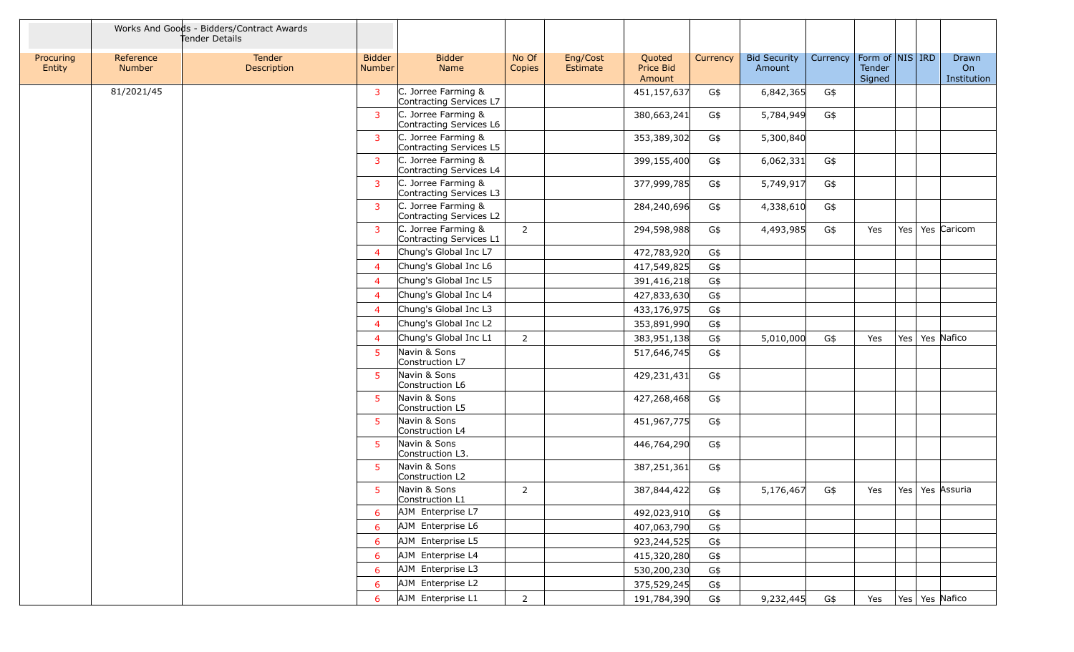|                     |                            | Works And Goods - Bidders/Contract Awards<br>Tender Details |                         |                                                |                 |                      |                               |          |                               |          |                  |                     |                            |
|---------------------|----------------------------|-------------------------------------------------------------|-------------------------|------------------------------------------------|-----------------|----------------------|-------------------------------|----------|-------------------------------|----------|------------------|---------------------|----------------------------|
| Procuring<br>Entity | Reference<br><b>Number</b> | Tender<br>Description                                       | <b>Bidder</b><br>Number | <b>Bidder</b><br>Name                          | No Of<br>Copies | Eng/Cost<br>Estimate | Quoted<br>Price Bid<br>Amount | Currency | <b>Bid Security</b><br>Amount | Currency | Tender<br>Signed | Form of   NIS   IRD | Drawn<br>On<br>Institution |
|                     | 81/2021/45                 |                                                             | 3                       | C. Jorree Farming &<br>Contracting Services L7 |                 |                      | 451,157,637                   | G\$      | 6,842,365                     | G\$      |                  |                     |                            |
|                     |                            |                                                             | $\overline{3}$          | C. Jorree Farming &<br>Contracting Services L6 |                 |                      | 380,663,241                   | G\$      | 5,784,949                     | G\$      |                  |                     |                            |
|                     |                            |                                                             | $\overline{3}$          | C. Jorree Farming &<br>Contracting Services L5 |                 |                      | 353,389,302                   | G\$      | 5,300,840                     |          |                  |                     |                            |
|                     |                            |                                                             | $\overline{3}$          | C. Jorree Farming &<br>Contracting Services L4 |                 |                      | 399,155,400                   | G\$      | 6,062,331                     | G\$      |                  |                     |                            |
|                     |                            |                                                             | 3                       | C. Jorree Farming &<br>Contracting Services L3 |                 |                      | 377,999,785                   | G\$      | 5,749,917                     | G\$      |                  |                     |                            |
|                     |                            |                                                             | 3                       | C. Jorree Farming &<br>Contracting Services L2 |                 |                      | 284,240,696                   | G\$      | 4,338,610                     | G\$      |                  |                     |                            |
|                     |                            |                                                             | 3                       | C. Jorree Farming &<br>Contracting Services L1 | $\overline{2}$  |                      | 294,598,988                   | G\$      | 4,493,985                     | G\$      | Yes              | Yes                 | Yes Caricom                |
|                     |                            |                                                             | $\overline{4}$          | Chung's Global Inc L7                          |                 |                      | 472,783,920                   | G\$      |                               |          |                  |                     |                            |
|                     |                            |                                                             | $\overline{4}$          | Chung's Global Inc L6                          |                 |                      | 417,549,825                   | G\$      |                               |          |                  |                     |                            |
|                     |                            |                                                             | $\overline{4}$          | Chung's Global Inc L5                          |                 |                      | 391,416,218                   | G\$      |                               |          |                  |                     |                            |
|                     |                            |                                                             | $\overline{4}$          | Chung's Global Inc L4                          |                 |                      | 427,833,630                   | G\$      |                               |          |                  |                     |                            |
|                     |                            |                                                             | $\overline{4}$          | Chung's Global Inc L3                          |                 |                      | 433,176,975                   | G\$      |                               |          |                  |                     |                            |
|                     |                            |                                                             | $\overline{4}$          | Chung's Global Inc L2                          |                 |                      | 353,891,990                   | G\$      |                               |          |                  |                     |                            |
|                     |                            |                                                             | $\overline{4}$          | Chung's Global Inc L1                          | $\overline{2}$  |                      | 383,951,138                   | G\$      | 5,010,000                     | G\$      | Yes              | Yes                 | Yes Nafico                 |
|                     |                            |                                                             | 5                       | Navin & Sons<br>Construction L7                |                 |                      | 517,646,745                   | G\$      |                               |          |                  |                     |                            |
|                     |                            |                                                             | $5^{\circ}$             | Navin & Sons<br>Construction L6                |                 |                      | 429,231,431                   | G\$      |                               |          |                  |                     |                            |
|                     |                            |                                                             | 5                       | Navin & Sons<br>Construction L5                |                 |                      | 427,268,468                   | G\$      |                               |          |                  |                     |                            |
|                     |                            |                                                             | 5                       | Navin & Sons<br>Construction L4                |                 |                      | 451,967,775                   | G\$      |                               |          |                  |                     |                            |
|                     |                            |                                                             | 5                       | Navin & Sons<br>Construction L3.               |                 |                      | 446,764,290                   | G\$      |                               |          |                  |                     |                            |
|                     |                            |                                                             | $5^{\circ}$             | Navin & Sons<br>Construction L2                |                 |                      | 387,251,361                   | G\$      |                               |          |                  |                     |                            |
|                     |                            |                                                             | 5                       | Navin & Sons<br>Construction L1                | $\overline{2}$  |                      | 387,844,422                   | G\$      | 5,176,467                     | G\$      | Yes              | Yes   Yes   Assuria |                            |
|                     |                            |                                                             | 6                       | AJM Enterprise L7                              |                 |                      | 492,023,910                   | G\$      |                               |          |                  |                     |                            |
|                     |                            |                                                             | 6                       | AJM Enterprise L6                              |                 |                      | 407,063,790                   | G\$      |                               |          |                  |                     |                            |
|                     |                            |                                                             | 6                       | AJM Enterprise L5                              |                 |                      | 923,244,525                   | G\$      |                               |          |                  |                     |                            |
|                     |                            |                                                             | 6                       | AJM Enterprise L4                              |                 |                      | 415,320,280                   | G\$      |                               |          |                  |                     |                            |
|                     |                            |                                                             | 6                       | AJM Enterprise L3                              |                 |                      | 530,200,230                   | G\$      |                               |          |                  |                     |                            |
|                     |                            |                                                             | 6                       | AJM Enterprise L2                              |                 |                      | 375,529,245                   | G\$      |                               |          |                  |                     |                            |
|                     |                            |                                                             | 6                       | AJM Enterprise L1                              | $\overline{2}$  |                      | 191,784,390                   | G\$      | 9,232,445                     | G\$      | Yes              | Yes   Yes   Nafico  |                            |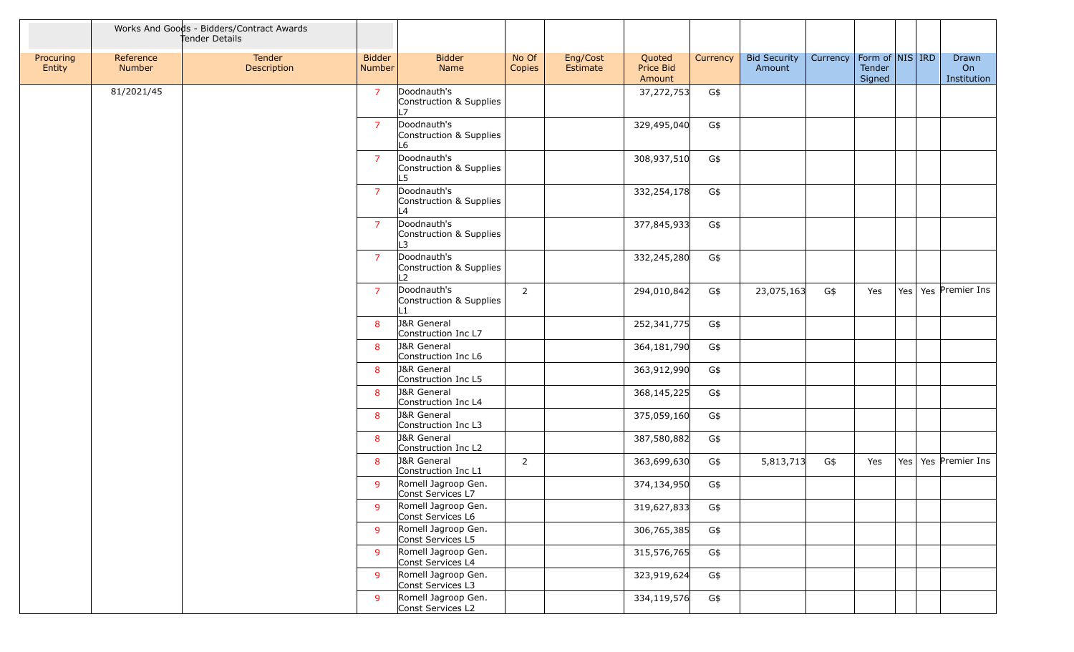|                     |                     | Works And Goods - Bidders/Contract Awards<br>Tender Details |                                |                                                          |                 |                      |                               |          |                               |                                |                  |                            |
|---------------------|---------------------|-------------------------------------------------------------|--------------------------------|----------------------------------------------------------|-----------------|----------------------|-------------------------------|----------|-------------------------------|--------------------------------|------------------|----------------------------|
| Procuring<br>Entity | Reference<br>Number | Tender<br>Description                                       | <b>Bidder</b><br><b>Number</b> | <b>Bidder</b><br>Name                                    | No Of<br>Copies | Eng/Cost<br>Estimate | Quoted<br>Price Bid<br>Amount | Currency | <b>Bid Security</b><br>Amount | Currency   Form of   NIS   IRD | Tender<br>Signed | Drawn<br>On<br>Institution |
|                     | 81/2021/45          |                                                             | $\overline{7}$                 | Doodnauth's<br>Construction & Supplies<br>L7             |                 |                      | 37,272,753                    | G\$      |                               |                                |                  |                            |
|                     |                     |                                                             | $\overline{7}$                 | Doodnauth's<br>Construction & Supplies<br>L6             |                 |                      | 329,495,040                   | G\$      |                               |                                |                  |                            |
|                     |                     |                                                             | $\overline{7}$                 | Doodnauth's<br>Construction & Supplies<br>L5             |                 |                      | 308,937,510                   | G\$      |                               |                                |                  |                            |
|                     |                     |                                                             | $\overline{7}$                 | Doodnauth's<br>Construction & Supplies<br>L4             |                 |                      | 332,254,178                   | G\$      |                               |                                |                  |                            |
|                     |                     |                                                             | $\overline{7}$                 | Doodnauth's<br>Construction & Supplies<br>L3             |                 |                      | 377,845,933                   | G\$      |                               |                                |                  |                            |
|                     |                     |                                                             | $\overline{7}$                 | Doodnauth's<br>Construction & Supplies<br>L <sub>2</sub> |                 |                      | 332,245,280                   | G\$      |                               |                                |                  |                            |
|                     |                     |                                                             | $\overline{7}$                 | Doodnauth's<br>Construction & Supplies<br>L1             | $\overline{2}$  |                      | 294,010,842                   | G\$      | 23,075,163                    | G\$                            | Yes              | Yes   Yes   Premier Ins    |
|                     |                     |                                                             | 8                              | <b>J&amp;R</b> General<br>Construction Inc L7            |                 |                      | 252,341,775                   | G\$      |                               |                                |                  |                            |
|                     |                     |                                                             | 8                              | <b>J&amp;R</b> General<br>Construction Inc L6            |                 |                      | 364,181,790                   | G\$      |                               |                                |                  |                            |
|                     |                     |                                                             | 8                              | <b>J&amp;R</b> General<br>Construction Inc L5            |                 |                      | 363,912,990                   | G\$      |                               |                                |                  |                            |
|                     |                     |                                                             | 8                              | <b>J&amp;R</b> General<br>Construction Inc L4            |                 |                      | 368,145,225                   | G\$      |                               |                                |                  |                            |
|                     |                     |                                                             | 8                              | <b>J&amp;R</b> General<br>Construction Inc L3            |                 |                      | 375,059,160                   | G\$      |                               |                                |                  |                            |
|                     |                     |                                                             | 8                              | <b>J&amp;R</b> General<br>Construction Inc L2            |                 |                      | 387,580,882                   | G\$      |                               |                                |                  |                            |
|                     |                     |                                                             | 8                              | <b>J&amp;R</b> General<br>Construction Inc L1            | $\overline{2}$  |                      | 363,699,630                   | G\$      | 5,813,713                     | G\$                            | Yes              | Yes   Yes   Premier Ins    |
|                     |                     |                                                             | 9                              | Romell Jagroop Gen.<br>Const Services L7                 |                 |                      | 374,134,950                   | G\$      |                               |                                |                  |                            |
|                     |                     |                                                             | 9                              | Romell Jagroop Gen.<br>Const Services L6                 |                 |                      | 319,627,833                   | G\$      |                               |                                |                  |                            |
|                     |                     |                                                             | 9                              | Romell Jagroop Gen.<br>Const Services L5                 |                 |                      | 306,765,385                   | G\$      |                               |                                |                  |                            |
|                     |                     |                                                             | 9                              | Romell Jagroop Gen.<br>Const Services L4                 |                 |                      | 315,576,765                   | G\$      |                               |                                |                  |                            |
|                     |                     |                                                             | $\mathsf{q}$                   | Romell Jagroop Gen.<br>Const Services L3                 |                 |                      | 323,919,624                   | G\$      |                               |                                |                  |                            |
|                     |                     |                                                             | 9                              | Romell Jagroop Gen.<br>Const Services L2                 |                 |                      | 334,119,576                   | G\$      |                               |                                |                  |                            |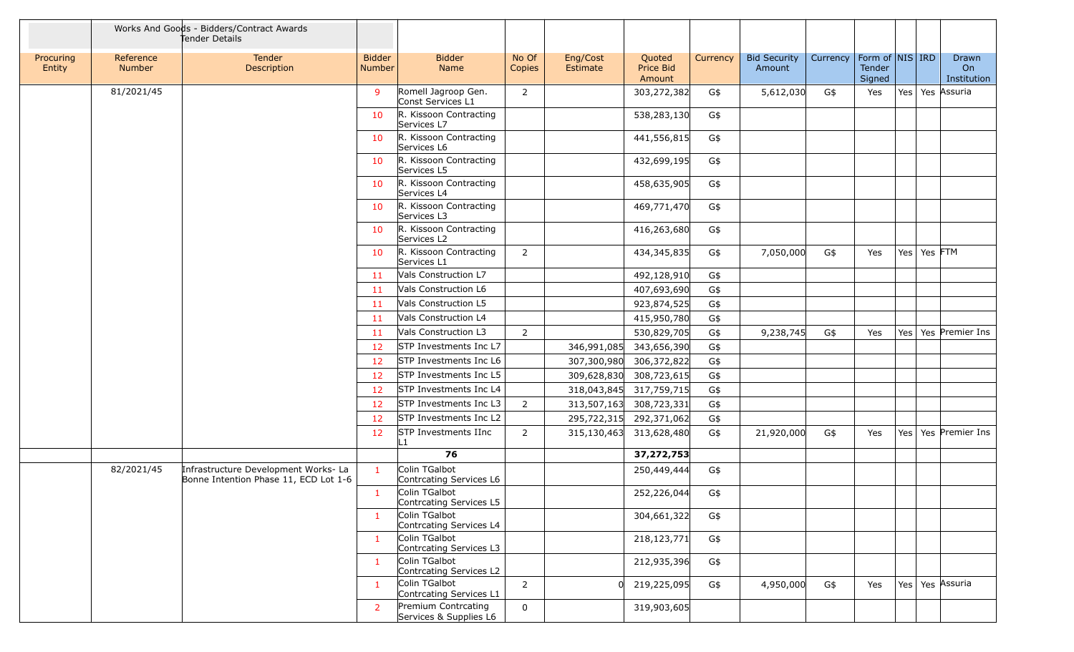|                     |                     | Works And Goods - Bidders/Contract Awards<br>Tender Details                   |                                |                                               |                 |                             |                               |          |                               |          |                                         |                 |                            |
|---------------------|---------------------|-------------------------------------------------------------------------------|--------------------------------|-----------------------------------------------|-----------------|-----------------------------|-------------------------------|----------|-------------------------------|----------|-----------------------------------------|-----------------|----------------------------|
| Procuring<br>Entity | Reference<br>Number | Tender<br>Description                                                         | <b>Bidder</b><br><b>Number</b> | <b>Bidder</b><br><b>Name</b>                  | No Of<br>Copies | Eng/Cost<br><b>Estimate</b> | Quoted<br>Price Bid<br>Amount | Currency | <b>Bid Security</b><br>Amount | Currency | Form of   NIS   IRD<br>Tender<br>Signed |                 | Drawn<br>On<br>Institution |
|                     | 81/2021/45          |                                                                               | 9                              | Romell Jagroop Gen.<br>Const Services L1      | 2               |                             | 303,272,382                   | G\$      | 5,612,030                     | G\$      | Yes                                     |                 | Yes   Yes   Assuria        |
|                     |                     |                                                                               | 10                             | R. Kissoon Contracting<br>Services L7         |                 |                             | 538,283,130                   | G\$      |                               |          |                                         |                 |                            |
|                     |                     |                                                                               | 10                             | R. Kissoon Contracting<br>Services L6         |                 |                             | 441,556,815                   | G\$      |                               |          |                                         |                 |                            |
|                     |                     |                                                                               | 10                             | R. Kissoon Contracting<br>Services L5         |                 |                             | 432,699,195                   | G\$      |                               |          |                                         |                 |                            |
|                     |                     |                                                                               | 10                             | R. Kissoon Contracting<br>Services L4         |                 |                             | 458,635,905                   | G\$      |                               |          |                                         |                 |                            |
|                     |                     |                                                                               | 10                             | R. Kissoon Contracting<br>Services L3         |                 |                             | 469,771,470                   | G\$      |                               |          |                                         |                 |                            |
|                     |                     |                                                                               | 10                             | R. Kissoon Contracting<br>Services L2         |                 |                             | 416,263,680                   | G\$      |                               |          |                                         |                 |                            |
|                     |                     |                                                                               | 10                             | R. Kissoon Contracting<br>Services L1         | $\overline{2}$  |                             | 434,345,835                   | G\$      | 7,050,000                     | G\$      | Yes                                     | Yes   Yes   FTM |                            |
|                     |                     |                                                                               | 11                             | <b>Vals Construction L7</b>                   |                 |                             | 492,128,910                   | G\$      |                               |          |                                         |                 |                            |
|                     |                     |                                                                               | 11                             | Vals Construction L6                          |                 |                             | 407,693,690                   | G\$      |                               |          |                                         |                 |                            |
|                     |                     |                                                                               | -11                            | Vals Construction L5                          |                 |                             | 923,874,525                   | G\$      |                               |          |                                         |                 |                            |
|                     |                     |                                                                               | -11                            | Vals Construction L4                          |                 |                             | 415,950,780                   | G\$      |                               |          |                                         |                 |                            |
|                     |                     |                                                                               | 11                             | Vals Construction L3                          | 2               |                             | 530,829,705                   | G\$      | 9,238,745                     | G\$      | Yes                                     |                 | Yes   Yes   Premier Ins    |
|                     |                     |                                                                               | 12                             | STP Investments Inc L7                        |                 | 346,991,085                 | 343,656,390                   | G\$      |                               |          |                                         |                 |                            |
|                     |                     |                                                                               | 12                             | STP Investments Inc L6                        |                 | 307,300,980                 | 306,372,822                   | G\$      |                               |          |                                         |                 |                            |
|                     |                     |                                                                               | 12                             | STP Investments Inc L5                        |                 | 309,628,830                 | 308,723,615                   | G\$      |                               |          |                                         |                 |                            |
|                     |                     |                                                                               | 12                             | STP Investments Inc L4                        |                 |                             | 318,043,845 317,759,715       | G\$      |                               |          |                                         |                 |                            |
|                     |                     |                                                                               | 12                             | STP Investments Inc L3                        | 2               | 313,507,163                 | 308,723,331                   | G\$      |                               |          |                                         |                 |                            |
|                     |                     |                                                                               | 12                             | STP Investments Inc L2                        |                 |                             | 295,722,315 292,371,062       | G\$      |                               |          |                                         |                 |                            |
|                     |                     |                                                                               | 12                             | <b>STP Investments IInc</b><br>$\parallel$ 1  | 2               | 315,130,463                 | 313,628,480                   | G\$      | 21,920,000                    | G\$      | Yes                                     |                 | Yes   Yes   Premier Ins    |
|                     |                     |                                                                               |                                | 76                                            |                 |                             | 37,272,753                    |          |                               |          |                                         |                 |                            |
|                     | 82/2021/45          | Infrastructure Development Works- La<br>Bonne Intention Phase 11, ECD Lot 1-6 | $\mathbf{1}$                   | Colin TGalbot<br>Contrcating Services L6      |                 |                             | 250,449,444                   | G\$      |                               |          |                                         |                 |                            |
|                     |                     |                                                                               |                                | Colin TGalbot<br>Contrcating Services L5      |                 |                             | 252,226,044                   | G\$      |                               |          |                                         |                 |                            |
|                     |                     |                                                                               | $\mathbf{1}$                   | Colin TGalbot<br>Contrcating Services L4      |                 |                             | 304,661,322                   | G\$      |                               |          |                                         |                 |                            |
|                     |                     |                                                                               | $\mathbf{1}$                   | Colin TGalbot<br>Contrcating Services L3      |                 |                             | 218,123,771                   | G\$      |                               |          |                                         |                 |                            |
|                     |                     |                                                                               | -1                             | Colin TGalbot<br>Contrcating Services L2      |                 |                             | 212,935,396                   | G\$      |                               |          |                                         |                 |                            |
|                     |                     |                                                                               | $\mathbf{1}$                   | Colin TGalbot<br>Contrcating Services L1      | $\overline{2}$  | 0l                          | 219,225,095                   | G\$      | 4,950,000                     | G\$      | Yes                                     |                 | Yes   Yes   Assuria        |
|                     |                     |                                                                               | $\overline{2}$                 | Premium Contrcating<br>Services & Supplies L6 | $\mathbf 0$     |                             | 319,903,605                   |          |                               |          |                                         |                 |                            |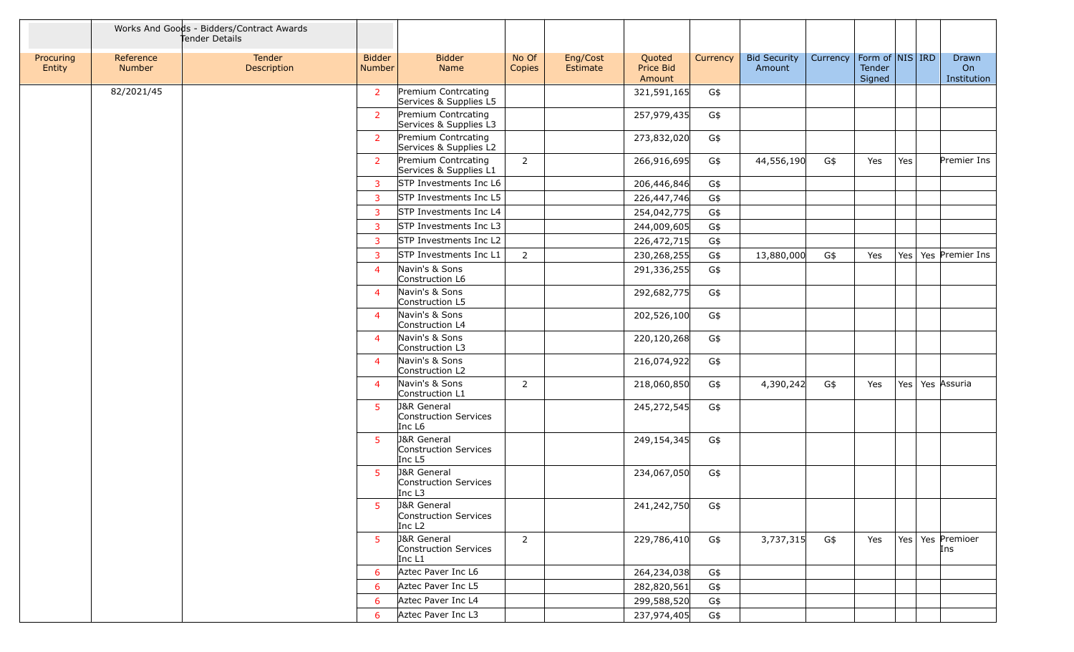|                     |                            | Works And Goods - Bidders/Contract Awards<br>Tender Details |                         |                                                                       |                 |                      |                               |          |                               |          |                                       |     |                            |
|---------------------|----------------------------|-------------------------------------------------------------|-------------------------|-----------------------------------------------------------------------|-----------------|----------------------|-------------------------------|----------|-------------------------------|----------|---------------------------------------|-----|----------------------------|
| Procuring<br>Entity | Reference<br><b>Number</b> | Tender<br>Description                                       | <b>Bidder</b><br>Number | <b>Bidder</b><br>Name                                                 | No Of<br>Copies | Eng/Cost<br>Estimate | Quoted<br>Price Bid<br>Amount | Currency | <b>Bid Security</b><br>Amount | Currency | Form of $NIS$ IRD<br>Tender<br>Signed |     | Drawn<br>On<br>Institution |
|                     | 82/2021/45                 |                                                             | $\overline{2}$          | Premium Contrcating<br>Services & Supplies L5                         |                 |                      | 321,591,165                   | G\$      |                               |          |                                       |     |                            |
|                     |                            |                                                             | $\overline{2}$          | Premium Contrcating<br>Services & Supplies L3                         |                 |                      | 257,979,435                   | G\$      |                               |          |                                       |     |                            |
|                     |                            |                                                             | $\overline{2}$          | Premium Contrcating<br>Services & Supplies L2                         |                 |                      | 273,832,020                   | G\$      |                               |          |                                       |     |                            |
|                     |                            |                                                             | $\overline{2}$          | Premium Contrcating<br>Services & Supplies L1                         | 2               |                      | 266,916,695                   | G\$      | 44,556,190                    | G\$      | Yes                                   | Yes | Premier Ins                |
|                     |                            |                                                             | 3                       | STP Investments Inc L6                                                |                 |                      | 206,446,846                   | G\$      |                               |          |                                       |     |                            |
|                     |                            |                                                             | 3                       | STP Investments Inc L5                                                |                 |                      | 226,447,746                   | G\$      |                               |          |                                       |     |                            |
|                     |                            |                                                             | 3                       | STP Investments Inc L4                                                |                 |                      | 254,042,775                   | G\$      |                               |          |                                       |     |                            |
|                     |                            |                                                             | 3                       | STP Investments Inc L3                                                |                 |                      | 244,009,605                   | $G$ \$   |                               |          |                                       |     |                            |
|                     |                            |                                                             | 3                       | STP Investments Inc L2                                                |                 |                      | 226,472,715                   | G\$      |                               |          |                                       |     |                            |
|                     |                            |                                                             | 3                       | STP Investments Inc L1                                                | $\overline{2}$  |                      | 230,268,255                   | G\$      | 13,880,000                    | G\$      | Yes                                   | Yes | Yes Premier Ins            |
|                     |                            |                                                             | $\overline{4}$          | Navin's & Sons<br>Construction L6                                     |                 |                      | 291,336,255                   | G\$      |                               |          |                                       |     |                            |
|                     |                            |                                                             | $\overline{4}$          | Navin's & Sons<br>Construction L5                                     |                 |                      | 292,682,775                   | G\$      |                               |          |                                       |     |                            |
|                     |                            |                                                             | $\overline{4}$          | Navin's & Sons<br>Construction L4                                     |                 |                      | 202,526,100                   | G\$      |                               |          |                                       |     |                            |
|                     |                            |                                                             | $\overline{4}$          | Navin's & Sons<br>Construction L3                                     |                 |                      | 220,120,268                   | G\$      |                               |          |                                       |     |                            |
|                     |                            |                                                             | $\overline{4}$          | Navin's & Sons<br>Construction L2                                     |                 |                      | 216,074,922                   | G\$      |                               |          |                                       |     |                            |
|                     |                            |                                                             | $\overline{4}$          | Navin's & Sons<br>Construction L1                                     | $\overline{2}$  |                      | 218,060,850                   | G\$      | 4,390,242                     | G\$      | Yes                                   |     | Yes   Yes   Assuria        |
|                     |                            |                                                             | 5                       | <b>J&amp;R General</b><br>Construction Services<br>Inc L <sub>6</sub> |                 |                      | 245,272,545                   | G\$      |                               |          |                                       |     |                            |
|                     |                            |                                                             | 5                       | <b>J&amp;R</b> General<br>Construction Services<br>Inc L5             |                 |                      | 249,154,345                   | G\$      |                               |          |                                       |     |                            |
|                     |                            |                                                             | 5                       | <b>J&amp;R</b> General<br>Construction Services<br>Inc $L3$           |                 |                      | 234,067,050                   | G\$      |                               |          |                                       |     |                            |
|                     |                            |                                                             | 5                       | <b>J&amp;R</b> General<br>Construction Services<br>Inc L <sub>2</sub> |                 |                      | 241,242,750                   | G\$      |                               |          |                                       |     |                            |
|                     |                            |                                                             | 5                       | <b>J&amp;R</b> General<br>Construction Services<br>Inc L1             | $\overline{2}$  |                      | 229,786,410                   | G\$      | 3,737,315                     | G\$      | Yes                                   | Yes | Yes Premioer<br>Ins        |
|                     |                            |                                                             | 6                       | Aztec Paver Inc L6                                                    |                 |                      | 264,234,038                   | G\$      |                               |          |                                       |     |                            |
|                     |                            |                                                             | 6                       | Aztec Paver Inc L5                                                    |                 |                      | 282,820,561                   | G\$      |                               |          |                                       |     |                            |
|                     |                            |                                                             | 6                       | Aztec Paver Inc L4                                                    |                 |                      | 299,588,520                   | G\$      |                               |          |                                       |     |                            |
|                     |                            |                                                             | 6                       | Aztec Paver Inc L3                                                    |                 |                      | 237,974,405                   | G\$      |                               |          |                                       |     |                            |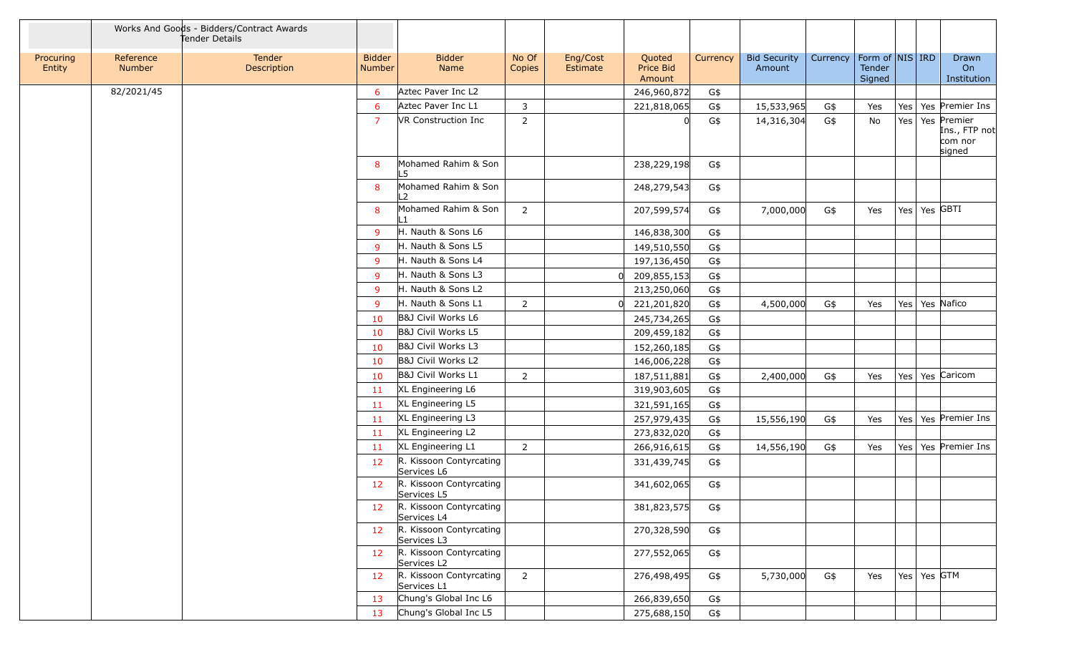|                     |                            | Works And Goods - Bidders/Contract Awards<br>Tender Details |                         |                                        |                 |                      |                               |          |                               |          |                                         |     |                  |                                                   |
|---------------------|----------------------------|-------------------------------------------------------------|-------------------------|----------------------------------------|-----------------|----------------------|-------------------------------|----------|-------------------------------|----------|-----------------------------------------|-----|------------------|---------------------------------------------------|
| Procuring<br>Entity | Reference<br><b>Number</b> | Tender<br>Description                                       | <b>Bidder</b><br>Number | <b>Bidder</b><br>Name                  | No Of<br>Copies | Eng/Cost<br>Estimate | Quoted<br>Price Bid<br>Amount | Currency | <b>Bid Security</b><br>Amount | Currency | Form of $ NIS $ IRD<br>Tender<br>Signed |     |                  | Drawn<br>On<br>Institution                        |
|                     | 82/2021/45                 |                                                             | 6                       | Aztec Paver Inc L2                     |                 |                      | 246,960,872                   | G\$      |                               |          |                                         |     |                  |                                                   |
|                     |                            |                                                             | 6                       | Aztec Paver Inc L1                     | 3               |                      | 221,818,065                   | G\$      | 15,533,965                    | G\$      | Yes                                     | Yes |                  | Yes Premier Ins                                   |
|                     |                            |                                                             | $\overline{7}$          | VR Construction Inc                    | $\overline{2}$  |                      |                               | G\$      | 14,316,304                    | G\$      | No                                      | Yes |                  | Yes Premier<br>Ins., FTP not<br>com nor<br>signed |
|                     |                            |                                                             | 8                       | Mohamed Rahim & Son<br>L5              |                 |                      | 238,229,198                   | G\$      |                               |          |                                         |     |                  |                                                   |
|                     |                            |                                                             | 8                       | Mohamed Rahim & Son<br>L2              |                 |                      | 248,279,543                   | G\$      |                               |          |                                         |     |                  |                                                   |
|                     |                            |                                                             | 8                       | Mohamed Rahim & Son                    | $\overline{2}$  |                      | 207,599,574                   | G\$      | 7,000,000                     | G\$      | Yes                                     |     | Yes   Yes   GBTI |                                                   |
|                     |                            |                                                             | 9                       | H. Nauth & Sons L6                     |                 |                      | 146,838,300                   | G\$      |                               |          |                                         |     |                  |                                                   |
|                     |                            |                                                             | 9                       | H. Nauth & Sons L5                     |                 |                      | 149,510,550                   | G\$      |                               |          |                                         |     |                  |                                                   |
|                     |                            |                                                             | 9                       | H. Nauth & Sons L4                     |                 |                      | 197,136,450                   | G\$      |                               |          |                                         |     |                  |                                                   |
|                     |                            |                                                             | 9                       | H. Nauth & Sons L3                     |                 |                      | 209,855,153                   | G\$      |                               |          |                                         |     |                  |                                                   |
|                     |                            |                                                             | 9                       | H. Nauth & Sons L2                     |                 |                      | 213,250,060                   | G\$      |                               |          |                                         |     |                  |                                                   |
|                     |                            |                                                             | 9                       | H. Nauth & Sons L1                     | $\overline{2}$  |                      | 221,201,820                   | G\$      | 4,500,000                     | G\$      | Yes                                     | Yes |                  | Yes Nafico                                        |
|                     |                            |                                                             | 10                      | B&J Civil Works L6                     |                 |                      | 245,734,265                   | G\$      |                               |          |                                         |     |                  |                                                   |
|                     |                            |                                                             | 10                      | B&J Civil Works L5                     |                 |                      | 209,459,182                   | G\$      |                               |          |                                         |     |                  |                                                   |
|                     |                            |                                                             | 10                      | B&J Civil Works L3                     |                 |                      | 152,260,185                   | G\$      |                               |          |                                         |     |                  |                                                   |
|                     |                            |                                                             | 10                      | B&J Civil Works L2                     |                 |                      | 146,006,228                   | G\$      |                               |          |                                         |     |                  |                                                   |
|                     |                            |                                                             | 10                      | B&J Civil Works L1                     | $\overline{2}$  |                      | 187,511,881                   | G\$      | 2,400,000                     | G\$      | Yes                                     | Yes |                  | Yes Caricom                                       |
|                     |                            |                                                             | 11                      | XL Engineering L6                      |                 |                      | 319,903,605                   | G\$      |                               |          |                                         |     |                  |                                                   |
|                     |                            |                                                             | 11                      | XL Engineering L5                      |                 |                      | 321,591,165                   | G\$      |                               |          |                                         |     |                  |                                                   |
|                     |                            |                                                             | 11                      | XL Engineering L3                      |                 |                      | 257,979,435                   | G\$      | 15,556,190                    | G\$      | Yes                                     |     |                  | Yes   Yes   Premier Ins                           |
|                     |                            |                                                             | 11                      | XL Engineering L2                      |                 |                      | 273,832,020                   | G\$      |                               |          |                                         |     |                  |                                                   |
|                     |                            |                                                             | 11                      | XL Engineering L1                      | $\overline{2}$  |                      | 266,916,615                   | G\$      | 14,556,190                    | G\$      | Yes                                     |     |                  | Yes   Yes   Premier Ins                           |
|                     |                            |                                                             | 12                      | R. Kissoon Contyrcating<br>Services L6 |                 |                      | 331,439,745                   | G\$      |                               |          |                                         |     |                  |                                                   |
|                     |                            |                                                             | 12                      | R. Kissoon Contyrcating<br>Services L5 |                 |                      | 341,602,065                   | G\$      |                               |          |                                         |     |                  |                                                   |
|                     |                            |                                                             | 12                      | R. Kissoon Contyrcating<br>Services L4 |                 |                      | 381,823,575                   | G\$      |                               |          |                                         |     |                  |                                                   |
|                     |                            |                                                             | 12                      | R. Kissoon Contyrcating<br>Services L3 |                 |                      | 270,328,590                   | G\$      |                               |          |                                         |     |                  |                                                   |
|                     |                            |                                                             | 12                      | R. Kissoon Contyrcating<br>Services L2 |                 |                      | 277,552,065                   | G\$      |                               |          |                                         |     |                  |                                                   |
|                     |                            |                                                             | 12                      | R. Kissoon Contyrcating<br>Services L1 | $\overline{2}$  |                      | 276,498,495                   | G\$      | 5,730,000                     | G\$      | Yes                                     |     | Yes   Yes   GTM  |                                                   |
|                     |                            |                                                             | 13                      | Chung's Global Inc L6                  |                 |                      | 266,839,650                   | G\$      |                               |          |                                         |     |                  |                                                   |
|                     |                            |                                                             | 13                      | Chung's Global Inc L5                  |                 |                      | 275,688,150                   | G\$      |                               |          |                                         |     |                  |                                                   |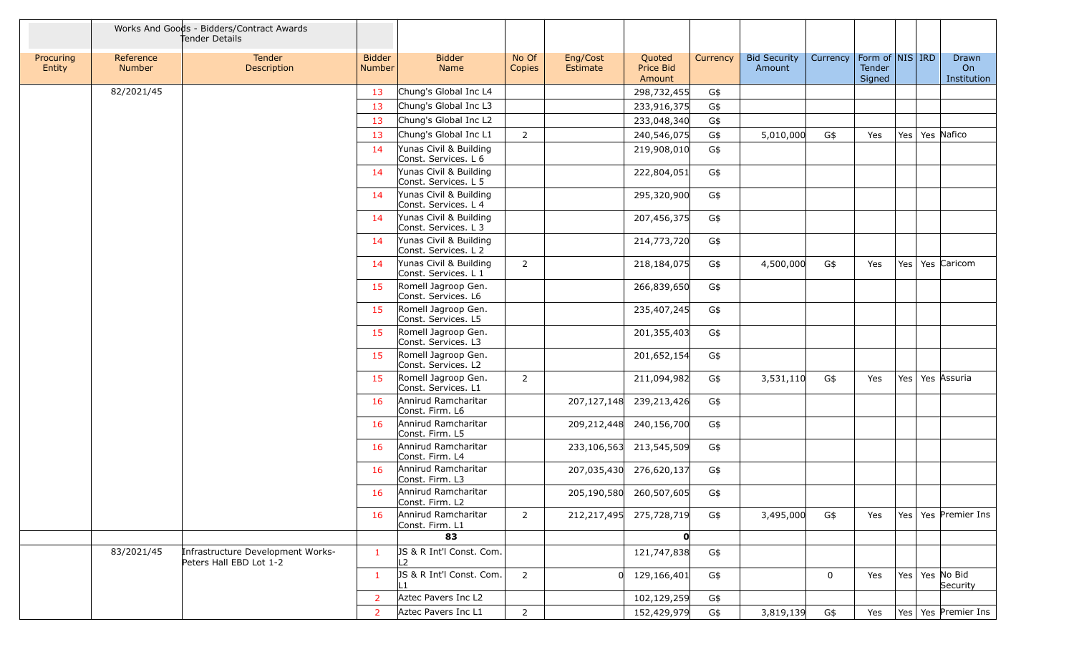|                     |                     | Works And Goods - Bidders/Contract Awards<br>Tender Details  |                                |                                                |                 |                             |                               |          |                               |              |                                         |     |                                   |
|---------------------|---------------------|--------------------------------------------------------------|--------------------------------|------------------------------------------------|-----------------|-----------------------------|-------------------------------|----------|-------------------------------|--------------|-----------------------------------------|-----|-----------------------------------|
| Procuring<br>Entity | Reference<br>Number | Tender<br>Description                                        | <b>Bidder</b><br><b>Number</b> | <b>Bidder</b><br>Name                          | No Of<br>Copies | Eng/Cost<br><b>Estimate</b> | Quoted<br>Price Bid<br>Amount | Currency | <b>Bid Security</b><br>Amount | Currency     | Form of   NIS   IRD<br>Tender<br>Signed |     | <b>Drawn</b><br>On<br>Institution |
|                     | 82/2021/45          |                                                              | 13                             | Chung's Global Inc L4                          |                 |                             | 298,732,455                   | G\$      |                               |              |                                         |     |                                   |
|                     |                     |                                                              | 13                             | Chung's Global Inc L3                          |                 |                             | 233,916,375                   | G\$      |                               |              |                                         |     |                                   |
|                     |                     |                                                              | 13                             | Chung's Global Inc L2                          |                 |                             | 233,048,340                   | G\$      |                               |              |                                         |     |                                   |
|                     |                     |                                                              | 13                             | Chung's Global Inc L1                          | $\overline{2}$  |                             | 240,546,075                   | G\$      | 5,010,000                     | G\$          | Yes                                     |     | Yes   Yes   Nafico                |
|                     |                     |                                                              | 14                             | Yunas Civil & Building<br>Const. Services. L 6 |                 |                             | 219,908,010                   | G\$      |                               |              |                                         |     |                                   |
|                     |                     |                                                              | 14                             | Yunas Civil & Building<br>Const. Services. L 5 |                 |                             | 222,804,051                   | G\$      |                               |              |                                         |     |                                   |
|                     |                     |                                                              | -14                            | Yunas Civil & Building<br>Const. Services. L 4 |                 |                             | 295,320,900                   | G\$      |                               |              |                                         |     |                                   |
|                     |                     |                                                              | 14                             | Yunas Civil & Building<br>Const. Services. L 3 |                 |                             | 207,456,375                   | G\$      |                               |              |                                         |     |                                   |
|                     |                     |                                                              | 14                             | Yunas Civil & Building<br>Const. Services. L 2 |                 |                             | 214,773,720                   | G\$      |                               |              |                                         |     |                                   |
|                     |                     |                                                              | 14                             | Yunas Civil & Building<br>Const. Services. L 1 | $\overline{2}$  |                             | 218,184,075                   | G\$      | 4,500,000                     | G\$          | Yes                                     | Yes | Yes Caricom                       |
|                     |                     |                                                              | 15                             | Romell Jagroop Gen.<br>Const. Services. L6     |                 |                             | 266,839,650                   | G\$      |                               |              |                                         |     |                                   |
|                     |                     |                                                              | 15                             | Romell Jagroop Gen.<br>Const. Services. L5     |                 |                             | 235,407,245                   | G\$      |                               |              |                                         |     |                                   |
|                     |                     |                                                              | 15                             | Romell Jagroop Gen.<br>Const. Services. L3     |                 |                             | 201,355,403                   | G\$      |                               |              |                                         |     |                                   |
|                     |                     |                                                              | 15                             | Romell Jagroop Gen.<br>Const. Services. L2     |                 |                             | 201,652,154                   | G\$      |                               |              |                                         |     |                                   |
|                     |                     |                                                              | 15                             | Romell Jagroop Gen.<br>Const. Services. L1     | $\overline{2}$  |                             | 211,094,982                   | G\$      | 3,531,110                     | G\$          | Yes                                     | Yes | Yes Assuria                       |
|                     |                     |                                                              | 16                             | Annirud Ramcharitar<br>Const. Firm. L6         |                 |                             | 207,127,148 239,213,426       | G\$      |                               |              |                                         |     |                                   |
|                     |                     |                                                              | 16                             | Annirud Ramcharitar<br>Const. Firm. L5         |                 |                             | 209,212,448 240,156,700       | G\$      |                               |              |                                         |     |                                   |
|                     |                     |                                                              | 16                             | Annirud Ramcharitar<br>Const. Firm. L4         |                 |                             | 233,106,563 213,545,509       | G\$      |                               |              |                                         |     |                                   |
|                     |                     |                                                              | 16                             | Annirud Ramcharitar<br>Const. Firm. L3         |                 |                             | 207,035,430 276,620,137       | G\$      |                               |              |                                         |     |                                   |
|                     |                     |                                                              | 16                             | Annirud Ramcharitar<br>Const. Firm. L2         |                 |                             | 205,190,580 260,507,605       | G\$      |                               |              |                                         |     |                                   |
|                     |                     |                                                              | 16                             | Annirud Ramcharitar<br>Const. Firm. L1         | $\overline{2}$  |                             | 212,217,495 275,728,719       | G\$      | 3,495,000                     | G\$          | Yes                                     |     | Yes   Yes   Premier Ins           |
|                     |                     |                                                              |                                | 83                                             |                 |                             | $\mathbf{o}$                  |          |                               |              |                                         |     |                                   |
|                     | 83/2021/45          | Infrastructure Development Works-<br>Peters Hall EBD Lot 1-2 | $\mathbf{1}$                   | JS & R Int'l Const. Com.<br>L <sub>2</sub>     |                 |                             | 121,747,838                   | G\$      |                               |              |                                         |     |                                   |
|                     |                     |                                                              | 1                              | JS & R Int'l Const. Com.<br>L1                 | 2               |                             | 129,166,401                   | G\$      |                               | $\mathbf{0}$ | Yes                                     |     | Yes   Yes   No Bid<br>Security    |
|                     |                     |                                                              | 2                              | Aztec Pavers Inc L2                            |                 |                             | 102,129,259                   | G\$      |                               |              |                                         |     |                                   |
|                     |                     |                                                              | $\overline{2}$                 | Aztec Pavers Inc L1                            | $\overline{2}$  |                             | 152,429,979                   | G\$      | 3,819,139                     | G\$          | Yes                                     |     | Yes   Yes   Premier Ins           |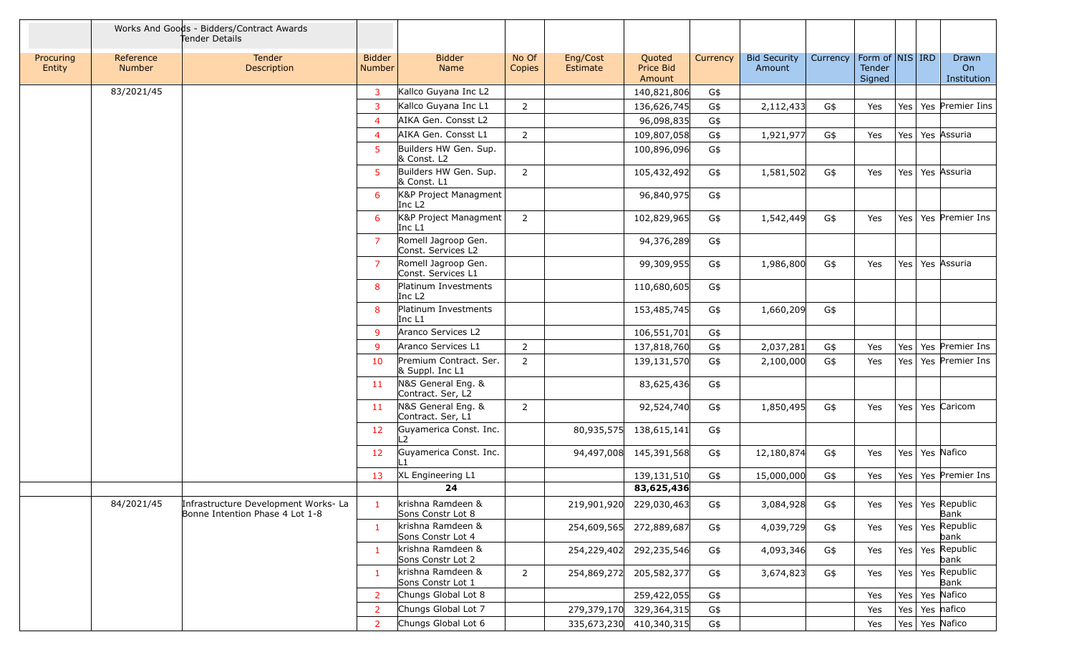|                     |                     | Works And Goods - Bidders/Contract Awards<br>Tender Details             |                                |                                             |                 |                      |                               |          |                               |          |                  |                     |                              |
|---------------------|---------------------|-------------------------------------------------------------------------|--------------------------------|---------------------------------------------|-----------------|----------------------|-------------------------------|----------|-------------------------------|----------|------------------|---------------------|------------------------------|
| Procuring<br>Entity | Reference<br>Number | Tender<br>Description                                                   | <b>Bidder</b><br><b>Number</b> | <b>Bidder</b><br>Name                       | No Of<br>Copies | Eng/Cost<br>Estimate | Quoted<br>Price Bid<br>Amount | Currency | <b>Bid Security</b><br>Amount | Currency | Tender<br>Signed | Form of NIS IRD     | Drawn<br>On<br>Institution   |
|                     | 83/2021/45          |                                                                         | $\mathbf{3}$                   | Kallco Guyana Inc L2                        |                 |                      | 140,821,806                   | G\$      |                               |          |                  |                     |                              |
|                     |                     |                                                                         | 3                              | Kallco Guyana Inc L1                        | $\overline{2}$  |                      | 136,626,745                   | G\$      | 2,112,433                     | G\$      | Yes              |                     | Yes   Yes   Premier Iins     |
|                     |                     |                                                                         | $\overline{4}$                 | AIKA Gen. Consst L2                         |                 |                      | 96,098,835                    | G\$      |                               |          |                  |                     |                              |
|                     |                     |                                                                         | $\overline{4}$                 | AIKA Gen. Consst L1                         | $\overline{2}$  |                      | 109,807,058                   | G\$      | 1,921,977                     | G\$      | Yes              | Yes   Yes   Assuria |                              |
|                     |                     |                                                                         | 5                              | Builders HW Gen. Sup.<br>& Const. L2        |                 |                      | 100,896,096                   | G\$      |                               |          |                  |                     |                              |
|                     |                     |                                                                         | 5                              | Builders HW Gen. Sup.<br>& Const. L1        | $\overline{2}$  |                      | 105,432,492                   | G\$      | 1,581,502                     | G\$      | Yes              | Yes   Yes   Assuria |                              |
|                     |                     |                                                                         | 6                              | K&P Project Managment<br>Inc L <sub>2</sub> |                 |                      | 96,840,975                    | G\$      |                               |          |                  |                     |                              |
|                     |                     |                                                                         | 6                              | K&P Project Managment<br>Inc L1             | 2               |                      | 102,829,965                   | G\$      | 1,542,449                     | G\$      | Yes              |                     | Yes   Yes   Premier Ins      |
|                     |                     |                                                                         | $\overline{7}$                 | Romell Jagroop Gen.<br>Const. Services L2   |                 |                      | 94,376,289                    | G\$      |                               |          |                  |                     |                              |
|                     |                     |                                                                         | $\overline{7}$                 | Romell Jagroop Gen.<br>Const. Services L1   |                 |                      | 99,309,955                    | G\$      | 1,986,800                     | G\$      | Yes              | Yes   Yes   Assuria |                              |
|                     |                     |                                                                         | 8                              | Platinum Investments<br>Inc L <sub>2</sub>  |                 |                      | 110,680,605                   | G\$      |                               |          |                  |                     |                              |
|                     |                     |                                                                         | 8                              | Platinum Investments<br>Inc L1              |                 |                      | 153,485,745                   | G\$      | 1,660,209                     | G\$      |                  |                     |                              |
|                     |                     |                                                                         | 9                              | Aranco Services L2                          |                 |                      | 106,551,701                   | G\$      |                               |          |                  |                     |                              |
|                     |                     |                                                                         | 9                              | Aranco Services L1                          | $\overline{2}$  |                      | 137,818,760                   | G\$      | 2,037,281                     | G\$      | Yes              |                     | Yes   Yes   Premier Ins      |
|                     |                     |                                                                         | 10                             | Premium Contract. Ser.<br>& Suppl. Inc L1   | $\overline{2}$  |                      | 139,131,570                   | G\$      | 2,100,000                     | G\$      | Yes              |                     | Yes   Yes   Premier Ins      |
|                     |                     |                                                                         | 11                             | N&S General Eng. &<br>Contract. Ser, L2     |                 |                      | 83,625,436                    | G\$      |                               |          |                  |                     |                              |
|                     |                     |                                                                         | 11                             | N&S General Eng. &<br>Contract. Ser, L1     | $\overline{2}$  |                      | 92,524,740                    | G\$      | 1,850,495                     | G\$      | Yes              |                     | Yes   Yes   Caricom          |
|                     |                     |                                                                         | 12                             | Guyamerica Const. Inc.<br>$\overline{2}$    |                 | 80,935,575           | 138,615,141                   | G\$      |                               |          |                  |                     |                              |
|                     |                     |                                                                         | 12                             | Guvamerica Const. Inc.                      |                 | 94,497,008           | 145,391,568                   | G\$      | 12,180,874                    | G\$      | Yes              | Yes   Yes   Nafico  |                              |
|                     |                     |                                                                         | 13                             | XL Engineering L1                           |                 |                      | 139,131,510                   | G\$      | 15,000,000                    | G\$      | Yes              | Yes                 | Yes Premier Ins              |
|                     |                     |                                                                         |                                | 24                                          |                 |                      | 83,625,436                    |          |                               |          |                  |                     |                              |
|                     | 84/2021/45          | Infrastructure Development Works- La<br>Bonne Intention Phase 4 Lot 1-8 | $\mathbf{1}$                   | krishna Ramdeen &<br>Sons Constr Lot 8      |                 | 219,901,920          | 229,030,463                   | G\$      | 3,084,928                     | G\$      | Yes              |                     | Yes   Yes   Republic<br>Bank |
|                     |                     |                                                                         | -1                             | krishna Ramdeen &<br>Sons Constr Lot 4      |                 | 254,609,565          | 272,889,687                   | G\$      | 4,039,729                     | G\$      | Yes              |                     | Yes   Yes   Republic<br>bank |
|                     |                     |                                                                         | -1                             | krishna Ramdeen &<br>Sons Constr Lot 2      |                 | 254,229,402          | 292,235,546                   | G\$      | 4,093,346                     | G\$      | Yes              |                     | Yes   Yes   Republic<br>bank |
|                     |                     |                                                                         | -1                             | krishna Ramdeen &<br>Sons Constr Lot 1      | $\overline{2}$  | 254,869,272          | 205,582,377                   | G\$      | 3,674,823                     | G\$      | Yes              |                     | Yes   Yes   Republic<br>Bank |
|                     |                     |                                                                         | 2                              | Chungs Global Lot 8                         |                 |                      | 259,422,055                   | G\$      |                               |          | Yes              | Yes   Yes   Nafico  |                              |
|                     |                     |                                                                         | 2                              | Chungs Global Lot 7                         |                 | 279,379,170          | 329,364,315                   | G\$      |                               |          | Yes              | Yes                 | Yes nafico                   |
|                     |                     |                                                                         | $\overline{2}$                 | Chungs Global Lot 6                         |                 | 335,673,230          | 410,340,315                   | G\$      |                               |          | Yes              | Yes   Yes   Nafico  |                              |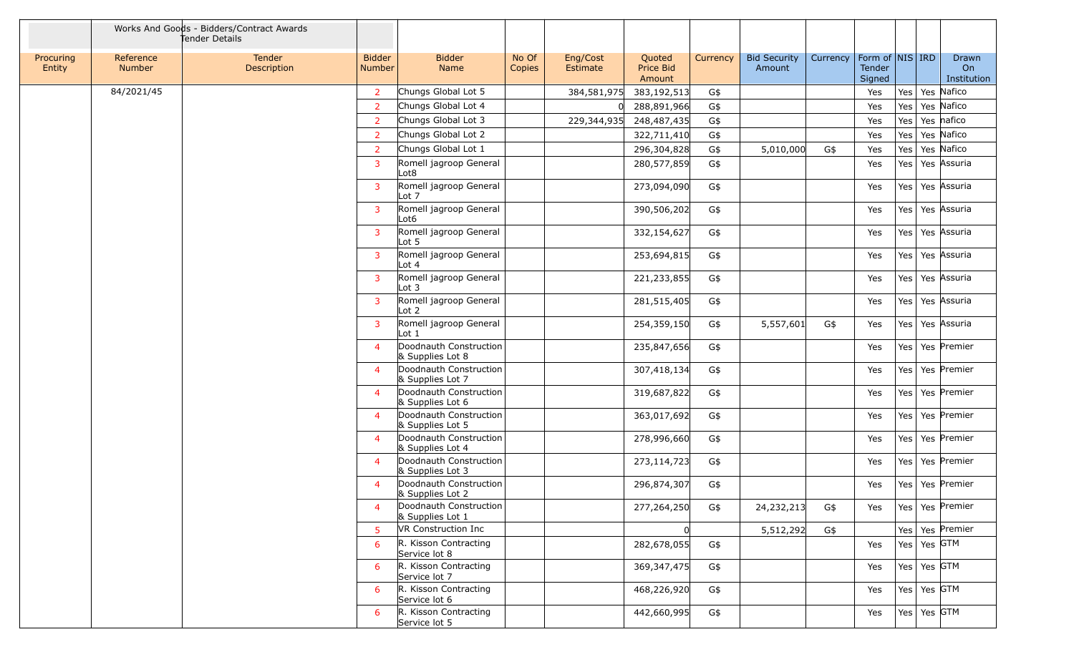|                     |                            | Works And Goods - Bidders/Contract Awards<br>Tender Details |                         |                                                    |                 |                      |                               |          |                               |          |                                       |     |                   |                            |
|---------------------|----------------------------|-------------------------------------------------------------|-------------------------|----------------------------------------------------|-----------------|----------------------|-------------------------------|----------|-------------------------------|----------|---------------------------------------|-----|-------------------|----------------------------|
| Procuring<br>Entity | Reference<br><b>Number</b> | Tender<br>Description                                       | <b>Bidder</b><br>Number | <b>Bidder</b><br>Name                              | No Of<br>Copies | Eng/Cost<br>Estimate | Quoted<br>Price Bid<br>Amount | Currency | <b>Bid Security</b><br>Amount | Currency | Form of $NIS$ IRD<br>Tender<br>Signed |     |                   | Drawn<br>On<br>Institution |
|                     | 84/2021/45                 |                                                             | $\overline{2}$          | Chungs Global Lot 5                                |                 | 384,581,975          | 383,192,513                   | G\$      |                               |          | Yes                                   |     |                   | Yes   Yes   Nafico         |
|                     |                            |                                                             | $\overline{2}$          | Chungs Global Lot 4                                |                 |                      | 288,891,966                   | G\$      |                               |          | Yes                                   | Yes |                   | Yes Nafico                 |
|                     |                            |                                                             | $\overline{2}$          | Chungs Global Lot 3                                |                 | 229,344,935          | 248,487,435                   | G\$      |                               |          | Yes                                   | Yes |                   | Yes nafico                 |
|                     |                            |                                                             | $\overline{2}$          | Chungs Global Lot 2                                |                 |                      | 322,711,410                   | G\$      |                               |          | Yes                                   | Yes |                   | Yes Nafico                 |
|                     |                            |                                                             | $\overline{2}$          | Chungs Global Lot 1                                |                 |                      | 296,304,828                   | G\$      | 5,010,000                     | G\$      | Yes                                   | Yes |                   | Yes Nafico                 |
|                     |                            |                                                             | 3                       | Romell jagroop General<br>Lot <sub>8</sub>         |                 |                      | 280,577,859                   | G\$      |                               |          | Yes                                   | Yes |                   | Yes Assuria                |
|                     |                            |                                                             | 3                       | Romell jagroop General<br>Lot 7                    |                 |                      | 273,094,090                   | G\$      |                               |          | Yes                                   | Yes |                   | Yes Assuria                |
|                     |                            |                                                             | 3                       | Romell jagroop General<br>Lot6                     |                 |                      | 390,506,202                   | G\$      |                               |          | Yes                                   | Yes |                   | Yes Assuria                |
|                     |                            |                                                             | $\overline{3}$          | Romell jagroop General<br>Lot 5                    |                 |                      | 332,154,627                   | G\$      |                               |          | Yes                                   | Yes |                   | Yes Assuria                |
|                     |                            |                                                             | $\overline{3}$          | Romell jagroop General<br>Lot $4$                  |                 |                      | 253,694,815                   | G\$      |                               |          | Yes                                   |     |                   | Yes   Yes   Assuria        |
|                     |                            |                                                             | 3                       | Romell jagroop General<br>$\lfloor \cot 3 \rfloor$ |                 |                      | 221,233,855                   | G\$      |                               |          | Yes                                   | Yes |                   | Yes Assuria                |
|                     |                            |                                                             | 3                       | Romell jagroop General<br>$\lfloor \cot 2 \rfloor$ |                 |                      | 281,515,405                   | G\$      |                               |          | Yes                                   | Yes |                   | Yes Assuria                |
|                     |                            |                                                             | 3                       | Romell jagroop General<br>Lot 1                    |                 |                      | 254,359,150                   | G\$      | 5,557,601                     | G\$      | Yes                                   | Yes |                   | Yes Assuria                |
|                     |                            |                                                             | $\overline{4}$          | Doodnauth Construction<br>& Supplies Lot 8         |                 |                      | 235,847,656                   | G\$      |                               |          | Yes                                   | Yes |                   | Yes Premier                |
|                     |                            |                                                             | $\overline{4}$          | Doodnauth Construction<br>& Supplies Lot 7         |                 |                      | 307,418,134                   | G\$      |                               |          | Yes                                   | Yes |                   | Yes Premier                |
|                     |                            |                                                             | $\overline{4}$          | Doodnauth Construction<br>& Supplies Lot 6         |                 |                      | 319,687,822                   | G\$      |                               |          | Yes                                   |     |                   | Yes   Yes   Premier        |
|                     |                            |                                                             | $\overline{4}$          | Doodnauth Construction<br>& Supplies Lot 5         |                 |                      | 363,017,692                   | G\$      |                               |          | Yes                                   | Yes |                   | Yes Premier                |
|                     |                            |                                                             | $\overline{a}$          | Doodnauth Construction<br>& Supplies Lot 4         |                 |                      | 278,996,660                   | G\$      |                               |          | Yes                                   | Yes |                   | Yes Premier                |
|                     |                            |                                                             | $\overline{4}$          | Doodnauth Construction<br>& Supplies Lot 3         |                 |                      | 273,114,723                   | G\$      |                               |          | Yes                                   | Yes |                   | Yes Premier                |
|                     |                            |                                                             | 4                       | Doodnauth Construction<br>& Supplies Lot 2         |                 |                      | 296,874,307                   | G\$      |                               |          | Yes                                   | Yes |                   | Yes Premier                |
|                     |                            |                                                             | 4                       | Doodnauth Construction<br>& Supplies Lot 1         |                 |                      | 277,264,250                   | G\$      | 24, 232, 213                  | G\$      | Yes                                   |     |                   | Yes   Yes   Premier        |
|                     |                            |                                                             | 5                       | VR Construction Inc                                |                 |                      |                               |          | 5,512,292                     | G\$      |                                       |     |                   | Yes   Yes   Premier        |
|                     |                            |                                                             | 6                       | R. Kisson Contracting<br>Service lot 8             |                 |                      | 282,678,055                   | G\$      |                               |          | Yes                                   |     | Yes   Yes $GTM$   |                            |
|                     |                            |                                                             | 6                       | R. Kisson Contracting<br>Service lot 7             |                 |                      | 369, 347, 475                 | G\$      |                               |          | Yes                                   |     | Yes   Yes   GTM   |                            |
|                     |                            |                                                             | 6                       | R. Kisson Contracting<br>Service lot 6             |                 |                      | 468,226,920                   | G\$      |                               |          | Yes                                   |     | Yes   Yes   GTM   |                            |
|                     |                            |                                                             | 6                       | R. Kisson Contracting<br>Service lot 5             |                 |                      | 442,660,995                   | G\$      |                               |          | Yes                                   |     | Yes   Yes $ GTM $ |                            |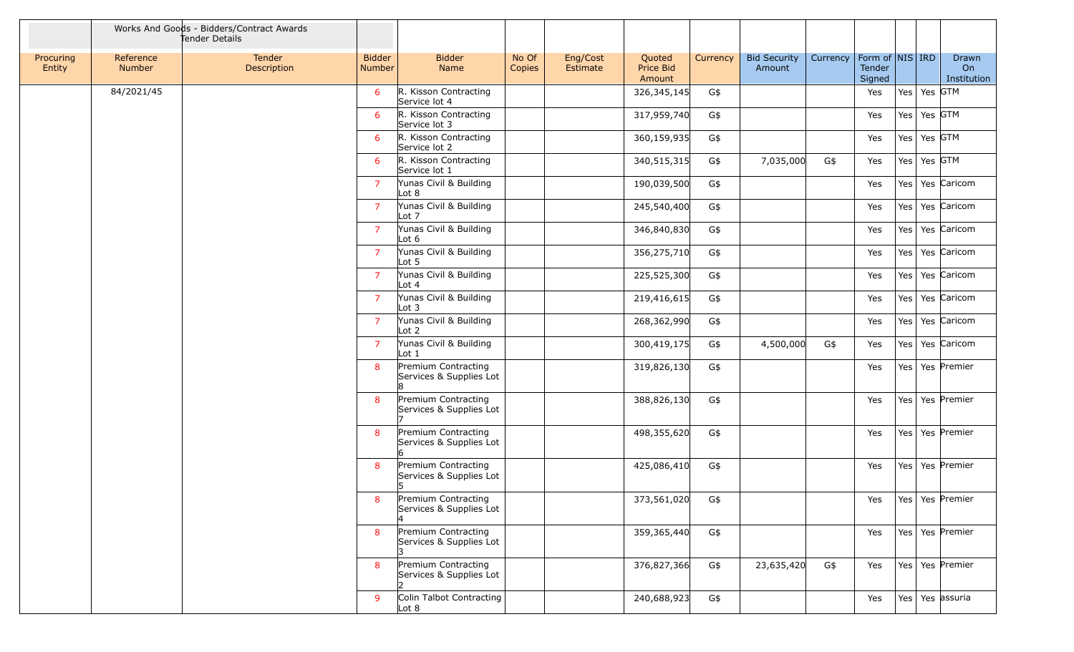|                     |                     | Works And Goods - Bidders/Contract Awards<br>Tender Details |                                  |                                                                              |                 |                      |                               |            |                               |          |                                         |     |                 |                                            |
|---------------------|---------------------|-------------------------------------------------------------|----------------------------------|------------------------------------------------------------------------------|-----------------|----------------------|-------------------------------|------------|-------------------------------|----------|-----------------------------------------|-----|-----------------|--------------------------------------------|
| Procuring<br>Entity | Reference<br>Number | Tender<br>Description                                       | <b>Bidder</b><br>Number          | <b>Bidder</b><br>Name                                                        | No Of<br>Copies | Eng/Cost<br>Estimate | Quoted<br>Price Bid<br>Amount | Currency   | <b>Bid Security</b><br>Amount | Currency | Form of   NIS   IRD<br>Tender<br>Signed |     |                 | Drawn<br>On<br>Institution                 |
|                     | 84/2021/45          |                                                             | 6                                | R. Kisson Contracting<br>Service lot 4                                       |                 |                      | 326,345,145                   | G\$        |                               |          | Yes                                     |     | Yes   Yes   GTM |                                            |
|                     |                     |                                                             | 6                                | R. Kisson Contracting<br>Service lot 3                                       |                 |                      | 317,959,740                   | G\$        |                               |          | Yes                                     |     | Yes   Yes GTM   |                                            |
|                     |                     |                                                             | 6                                | R. Kisson Contracting<br>Service lot 2                                       |                 |                      | 360,159,935                   | G\$        |                               |          | Yes                                     |     | Yes   Yes   GTM |                                            |
|                     |                     |                                                             | 6                                | R. Kisson Contracting<br>Service lot 1                                       |                 |                      | 340,515,315                   | G\$        | 7,035,000                     | G\$      | Yes                                     |     | Yes   Yes   GTM |                                            |
|                     |                     |                                                             | $\overline{7}$                   | Yunas Civil & Building<br>$\lfloor \cot 8 \rfloor$                           |                 |                      | 190,039,500                   | G\$        |                               |          | Yes                                     | Yes |                 | Yes Caricom                                |
|                     |                     |                                                             | $\overline{7}$                   | Yunas Civil & Building<br>Lot 7                                              |                 |                      | 245,540,400                   | G\$        |                               |          | Yes                                     |     |                 | Yes   Yes   Caricom                        |
|                     |                     |                                                             | $\overline{7}$                   | Yunas Civil & Building<br>Lot 6                                              |                 |                      | 346,840,830                   | G\$        |                               |          | Yes                                     |     |                 | Yes   Yes   Caricom                        |
|                     |                     |                                                             | $\overline{7}$<br>$\overline{7}$ | Yunas Civil & Building<br>$\lfloor \cot 5 \rfloor$<br>Yunas Civil & Building |                 |                      | 356,275,710                   | G\$        |                               |          | Yes                                     |     |                 | Yes   Yes   Caricom<br>Yes   Yes   Caricom |
|                     |                     |                                                             | $\overline{7}$                   | Lot 4<br>Yunas Civil & Building                                              |                 |                      | 225,525,300                   | G\$        |                               |          | Yes                                     |     |                 | Yes   Yes   Caricom                        |
|                     |                     |                                                             | $\overline{7}$                   | $\lfloor \cot 3 \rfloor$<br>Yunas Civil & Building                           |                 |                      | 219,416,615<br>268,362,990    | G\$<br>G\$ |                               |          | Yes                                     | Yes |                 | Yes Caricom                                |
|                     |                     |                                                             | $\overline{7}$                   | $\lfloor \cot 2 \rfloor$<br>Yunas Civil & Building                           |                 |                      | 300,419,175                   | G\$        | 4,500,000                     | G\$      | Yes<br>Yes                              |     |                 | Yes   Yes   Caricom                        |
|                     |                     |                                                             | 8                                | Lot 1<br>Premium Contracting                                                 |                 |                      | 319,826,130                   | G\$        |                               |          | Yes                                     |     |                 | Yes   Yes   Premier                        |
|                     |                     |                                                             |                                  | Services & Supplies Lot                                                      |                 |                      |                               |            |                               |          |                                         |     |                 |                                            |
|                     |                     |                                                             | 8                                | Premium Contracting<br>Services & Supplies Lot                               |                 |                      | 388,826,130                   | G\$        |                               |          | Yes                                     |     |                 | Yes   Yes   Premier                        |
|                     |                     |                                                             | 8                                | Premium Contracting<br>Services & Supplies Lot                               |                 |                      | 498,355,620                   | G\$        |                               |          | Yes                                     |     |                 | Yes   Yes   Premier                        |
|                     |                     |                                                             | 8                                | Premium Contracting<br>Services & Supplies Lot<br>15                         |                 |                      | 425,086,410                   | G\$        |                               |          | Yes                                     |     |                 | Yes   Yes   Premier                        |
|                     |                     |                                                             | 8                                | Premium Contracting<br>Services & Supplies Lot                               |                 |                      | 373,561,020                   | G\$        |                               |          | Yes                                     |     |                 | Yes Yes Premier                            |
|                     |                     |                                                             | 8                                | Premium Contracting<br>Services & Supplies Lot                               |                 |                      | 359,365,440                   | G\$        |                               |          | Yes                                     |     |                 | Yes   Yes   Premier                        |
|                     |                     |                                                             | 8                                | Premium Contracting<br>Services & Supplies Lot                               |                 |                      | 376,827,366                   | G\$        | 23,635,420                    | G\$      | Yes                                     |     |                 | Yes   Yes   Premier                        |
|                     |                     |                                                             | 9                                | Colin Talbot Contracting<br>$\lfloor \cot 8 \rfloor$                         |                 |                      | 240,688,923                   | G\$        |                               |          | Yes                                     |     |                 | Yes   Yes   assuria                        |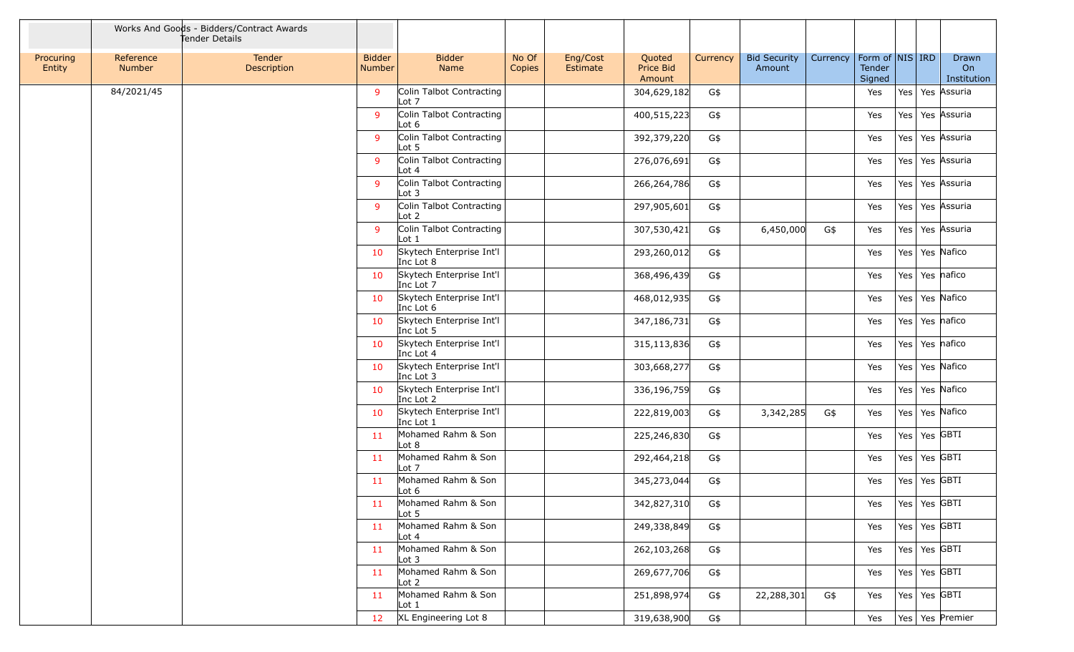|                     |                            | Works And Goods - Bidders/Contract Awards<br>Tender Details |                         |                                              |                 |                      |                               |          |                               |          |                                         |     |                            |
|---------------------|----------------------------|-------------------------------------------------------------|-------------------------|----------------------------------------------|-----------------|----------------------|-------------------------------|----------|-------------------------------|----------|-----------------------------------------|-----|----------------------------|
| Procuring<br>Entity | Reference<br><b>Number</b> | Tender<br>Description                                       | <b>Bidder</b><br>Number | <b>Bidder</b><br>Name                        | No Of<br>Copies | Eng/Cost<br>Estimate | Quoted<br>Price Bid<br>Amount | Currency | <b>Bid Security</b><br>Amount | Currency | Form of   NIS   IRD<br>Tender<br>Signed |     | Drawn<br>On<br>Institution |
|                     | 84/2021/45                 |                                                             | 9                       | Colin Talbot Contracting<br>Lot 7            |                 |                      | 304,629,182                   | G\$      |                               |          | Yes                                     |     | Yes   Yes   Assuria        |
|                     |                            |                                                             | 9                       | Colin Talbot Contracting<br>Lot $6$          |                 |                      | 400,515,223                   | G\$      |                               |          | Yes                                     |     | Yes   Yes   Assuria        |
|                     |                            |                                                             | 9                       | Colin Talbot Contracting<br>Lot 5            |                 |                      | 392,379,220                   | G\$      |                               |          | Yes                                     | Yes | Yes Assuria                |
|                     |                            |                                                             | 9                       | Colin Talbot Contracting<br>Lot $4$          |                 |                      | 276,076,691                   | G\$      |                               |          | Yes                                     | Yes | Yes Assuria                |
|                     |                            |                                                             | 9                       | Colin Talbot Contracting<br>Lot $3$          |                 |                      | 266,264,786                   | G\$      |                               |          | Yes                                     | Yes | Yes Assuria                |
|                     |                            |                                                             | 9                       | Colin Talbot Contracting<br>Lot <sub>2</sub> |                 |                      | 297,905,601                   | G\$      |                               |          | Yes                                     |     | Yes   Yes   Assuria        |
|                     |                            |                                                             | 9                       | Colin Talbot Contracting<br>Lot <sub>1</sub> |                 |                      | 307,530,421                   | G\$      | 6,450,000                     | G\$      | Yes                                     | Yes | Yes Assuria                |
|                     |                            |                                                             | 10                      | Skytech Enterprise Int'l<br>Inc Lot 8        |                 |                      | 293,260,012                   | G\$      |                               |          | Yes                                     | Yes | Yes Nafico                 |
|                     |                            |                                                             | 10                      | Skytech Enterprise Int'l<br>Inc Lot 7        |                 |                      | 368,496,439                   | G\$      |                               |          | Yes                                     | Yes | Yes nafico                 |
|                     |                            |                                                             | 10                      | Skytech Enterprise Int'l<br>Inc Lot 6        |                 |                      | 468,012,935                   | G\$      |                               |          | Yes                                     | Yes | Yes Nafico                 |
|                     |                            |                                                             | 10                      | Skytech Enterprise Int'l<br>Inc Lot 5        |                 |                      | 347,186,731                   | G\$      |                               |          | Yes                                     |     | Yes   Yes   nafico         |
|                     |                            |                                                             | 10                      | Skytech Enterprise Int'l<br>Inc Lot 4        |                 |                      | 315,113,836                   | G\$      |                               |          | Yes                                     |     | Yes   Yes   nafico         |
|                     |                            |                                                             | 10                      | Skytech Enterprise Int'l<br>Inc Lot 3        |                 |                      | 303,668,277                   | G\$      |                               |          | Yes                                     | Yes | Yes Nafico                 |
|                     |                            |                                                             | 10                      | Skytech Enterprise Int'l<br>Inc Lot 2        |                 |                      | 336,196,759                   | G\$      |                               |          | Yes                                     | Yes | Yes Nafico                 |
|                     |                            |                                                             | 10                      | Skytech Enterprise Int'l<br>Inc Lot 1        |                 |                      | 222,819,003                   | G\$      | 3,342,285                     | G\$      | Yes                                     |     | Yes   Yes   Nafico         |
|                     |                            |                                                             | 11                      | Mohamed Rahm & Son<br>Lot 8                  |                 |                      | 225,246,830                   | G\$      |                               |          | Yes                                     | Yes | $\vert$ Yes GBTI           |
|                     |                            |                                                             | 11                      | Mohamed Rahm & Son<br>Lot 7                  |                 |                      | 292,464,218                   | G\$      |                               |          | Yes                                     |     | Yes   Yes   GBTI           |
|                     |                            |                                                             | 11                      | Mohamed Rahm & Son<br>Lot 6                  |                 |                      | 345,273,044                   | G\$      |                               |          | Yes                                     |     | Yes   Yes   GBTI           |
|                     |                            |                                                             | 11                      | Mohamed Rahm & Son<br>Lot <sub>5</sub>       |                 |                      | 342,827,310                   | G\$      |                               |          | Yes                                     |     | Yes   Yes $ GBTI $         |
|                     |                            |                                                             | 11                      | Mohamed Rahm & Son<br>Lot $4$                |                 |                      | 249,338,849                   | G\$      |                               |          | Yes                                     |     | Yes   Yes GBTI             |
|                     |                            |                                                             | 11                      | Mohamed Rahm & Son<br>Lot <sub>3</sub>       |                 |                      | 262,103,268                   | G\$      |                               |          | Yes                                     |     | Yes $\sqrt{9}$ Yes GBTI    |
|                     |                            |                                                             | 11                      | Mohamed Rahm & Son<br>Lot <sub>2</sub>       |                 |                      | 269,677,706                   | G\$      |                               |          | Yes                                     |     | Yes   Yes $ GBTI $         |
|                     |                            |                                                             | 11                      | Mohamed Rahm & Son<br>Lot 1                  |                 |                      | 251,898,974                   | G\$      | 22,288,301                    | G\$      | Yes                                     |     | Yes   Yes GBTI             |
|                     |                            |                                                             | 12 <sub>2</sub>         | XL Engineering Lot 8                         |                 |                      | 319,638,900                   | G\$      |                               |          | Yes                                     |     | Yes   Yes   Premier        |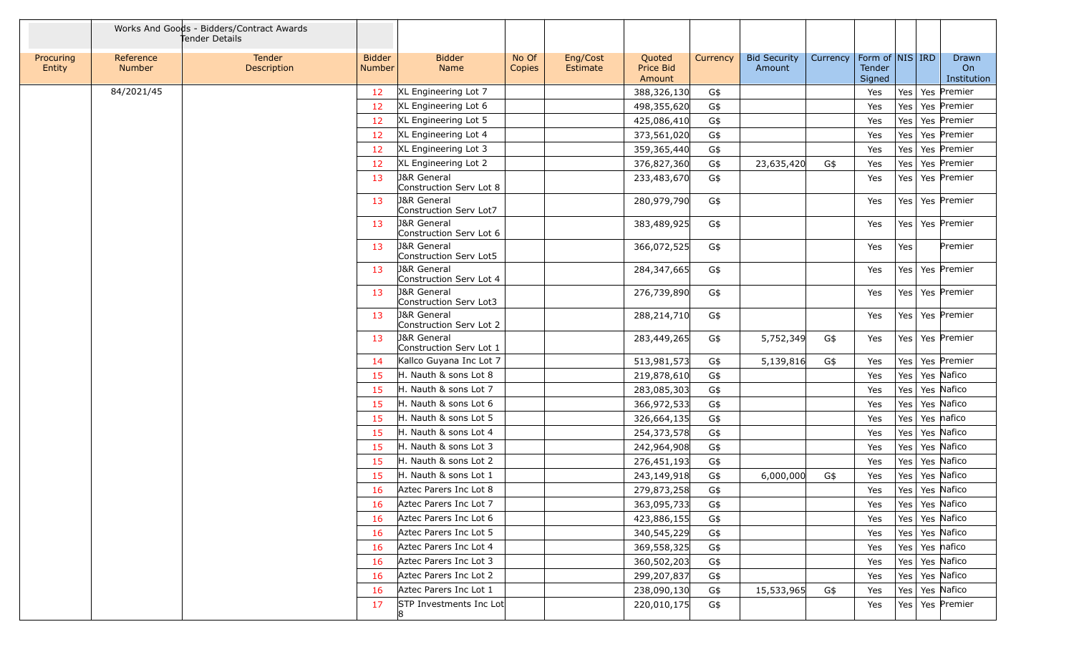|                     |                            | Works And Goods - Bidders/Contract Awards<br>Tender Details |                                |                                                   |                 |                      |                               |            |                               |          |                                     |            |                            |
|---------------------|----------------------------|-------------------------------------------------------------|--------------------------------|---------------------------------------------------|-----------------|----------------------|-------------------------------|------------|-------------------------------|----------|-------------------------------------|------------|----------------------------|
| Procuring<br>Entity | Reference<br><b>Number</b> | Tender<br>Description                                       | <b>Bidder</b><br><b>Number</b> | <b>Bidder</b><br>Name                             | No Of<br>Copies | Eng/Cost<br>Estimate | Quoted<br>Price Bid<br>Amount | Currency   | <b>Bid Security</b><br>Amount | Currency | Form of NIS IRD<br>Tender<br>Signed |            | Drawn<br>On<br>Institution |
|                     | 84/2021/45                 |                                                             | 12                             | XL Engineering Lot 7                              |                 |                      | 388,326,130                   | G\$        |                               |          | Yes                                 | Yes        | Yes Premier                |
|                     |                            |                                                             | 12                             | XL Engineering Lot 6                              |                 |                      | 498,355,620                   | G\$        |                               |          | Yes                                 | Yes        | Yes Premier                |
|                     |                            |                                                             | 12                             | XL Engineering Lot 5                              |                 |                      | 425,086,410                   | G\$        |                               |          | Yes                                 | Yes        | Yes Premier                |
|                     |                            |                                                             | 12                             | XL Engineering Lot 4                              |                 |                      | 373,561,020                   | G\$        |                               |          | Yes                                 | Yes        | Yes Premier                |
|                     |                            |                                                             | 12                             | XL Engineering Lot 3                              |                 |                      | 359,365,440                   | G\$        |                               |          | Yes                                 | Yes        | Yes Premier                |
|                     |                            |                                                             | 12                             | XL Engineering Lot 2                              |                 |                      | 376,827,360                   | G\$        | 23,635,420                    | G\$      | Yes                                 | Yes        | Yes Premier                |
|                     |                            |                                                             | 13                             | <b>J&amp;R</b> General<br>Construction Serv Lot 8 |                 |                      | 233,483,670                   | G\$        |                               |          | Yes                                 | Yes        | Yes Premier                |
|                     |                            |                                                             | 13                             | <b>J&amp;R</b> General<br>Construction Serv Lot7  |                 |                      | 280,979,790                   | G\$        |                               |          | Yes                                 |            | Yes   Yes   Premier        |
|                     |                            |                                                             | 13                             | <b>J&amp;R</b> General<br>Construction Serv Lot 6 |                 |                      | 383,489,925                   | G\$        |                               |          | Yes                                 |            | Yes   Yes   Premier        |
|                     |                            |                                                             | 13                             | <b>J&amp;R</b> General<br>Construction Serv Lot5  |                 |                      | 366,072,525                   | G\$        |                               |          | Yes                                 | Yes        | Premier                    |
|                     |                            |                                                             | 13                             | <b>J&amp;R</b> General<br>Construction Serv Lot 4 |                 |                      | 284,347,665                   | G\$        |                               |          | Yes                                 |            | Yes   Yes   Premier        |
|                     |                            |                                                             | 13                             | <b>J&amp;R</b> General<br>Construction Serv Lot3  |                 |                      | 276,739,890                   | G\$        |                               |          | Yes                                 |            | Yes   Yes   Premier        |
|                     |                            |                                                             | 13                             | <b>J&amp;R</b> General<br>Construction Serv Lot 2 |                 |                      | 288,214,710                   | G\$        |                               |          | Yes                                 |            | Yes   Yes   Premier        |
|                     |                            |                                                             | 13                             | <b>J&amp;R</b> General<br>Construction Serv Lot 1 |                 |                      | 283,449,265                   | G\$        | 5,752,349                     | G\$      | Yes                                 |            | Yes   Yes   Premier        |
|                     |                            |                                                             | 14                             | Kallco Guyana Inc Lot 7                           |                 |                      | 513,981,573                   | G\$        | 5,139,816                     | G\$      | Yes                                 | Yes        | Yes Premier                |
|                     |                            |                                                             | 15                             | H. Nauth & sons Lot 8                             |                 |                      | 219,878,610                   | G\$        |                               |          | Yes                                 | Yes        | Yes Nafico                 |
|                     |                            |                                                             | 15                             | H. Nauth & sons Lot 7<br>H. Nauth & sons Lot 6    |                 |                      | 283,085,303                   | G\$        |                               |          | Yes                                 | Yes        | Yes Nafico<br>Yes Nafico   |
|                     |                            |                                                             | 15<br>15                       | H. Nauth & sons Lot 5                             |                 |                      | 366,972,533<br>326,664,135    | G\$<br>G\$ |                               |          | Yes<br>Yes                          | Yes<br>Yes | Yes nafico                 |
|                     |                            |                                                             | 15                             | H. Nauth & sons Lot 4                             |                 |                      | 254,373,578                   | G\$        |                               |          | Yes                                 | Yes        | Yes Nafico                 |
|                     |                            |                                                             | 15                             | H. Nauth & sons Lot 3                             |                 |                      | 242,964,908                   | G\$        |                               |          | Yes                                 | Yes        | Yes Nafico                 |
|                     |                            |                                                             | 15                             | H. Nauth & sons Lot 2                             |                 |                      | 276,451,193                   | G\$        |                               |          | Yes                                 | Yes        | Yes Nafico                 |
|                     |                            |                                                             | 15                             | H. Nauth & sons Lot 1                             |                 |                      | 243,149,918                   | G\$        | 6,000,000                     | G\$      | Yes                                 | Yes        | Yes Nafico                 |
|                     |                            |                                                             | 16                             | Aztec Parers Inc Lot 8                            |                 |                      | 279,873,258                   | G\$        |                               |          | Yes                                 | Yes        | Yes Nafico                 |
|                     |                            |                                                             | 16                             | Aztec Parers Inc Lot 7                            |                 |                      | 363,095,733                   | G\$        |                               |          | Yes                                 |            | Yes   Yes   Nafico         |
|                     |                            |                                                             | 16                             | Aztec Parers Inc Lot 6                            |                 |                      | 423,886,155                   | G\$        |                               |          | Yes                                 |            | Yes   Yes   Nafico         |
|                     |                            |                                                             | 16                             | Aztec Parers Inc Lot 5                            |                 |                      | 340,545,229                   | G\$        |                               |          | Yes                                 | Yes        | Yes Nafico                 |
|                     |                            |                                                             | -16                            | Aztec Parers Inc Lot 4                            |                 |                      | 369,558,325                   | G\$        |                               |          | Yes                                 | Yes        | Yes nafico                 |
|                     |                            |                                                             | 16                             | Aztec Parers Inc Lot 3                            |                 |                      | 360,502,203                   | G\$        |                               |          | Yes                                 | Yes        | Yes Nafico                 |
|                     |                            |                                                             | 16                             | Aztec Parers Inc Lot 2                            |                 |                      | 299,207,837                   | G\$        |                               |          | Yes                                 | Yes        | Yes Nafico                 |
|                     |                            |                                                             | 16                             | Aztec Parers Inc Lot 1                            |                 |                      | 238,090,130                   | G\$        | 15,533,965                    | G\$      | Yes                                 | Yes        | Yes Nafico                 |
|                     |                            |                                                             | 17                             | STP Investments Inc Lot<br>18                     |                 |                      | 220,010,175                   | G\$        |                               |          | Yes                                 |            | Yes   Yes   Premier        |